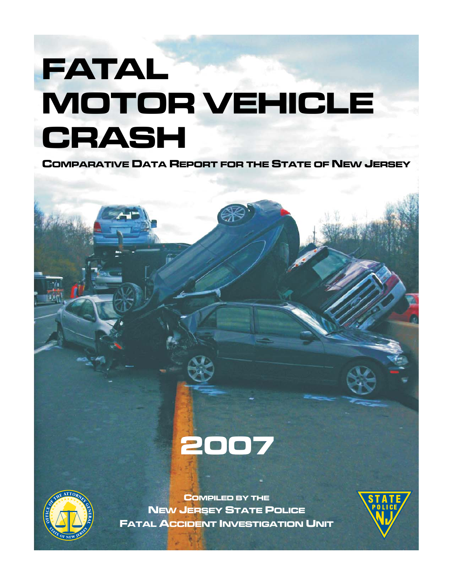# **FATAL MOTOR VEHICLE CRASH**

**COMPARATIVE DATA REPORT FOR THE STATE OF NEW JERSEY**





**COMPILED BY THE NEW JERSEY STATE POLICE FATAL ACCIDENT INVESTIGATION UNIT**

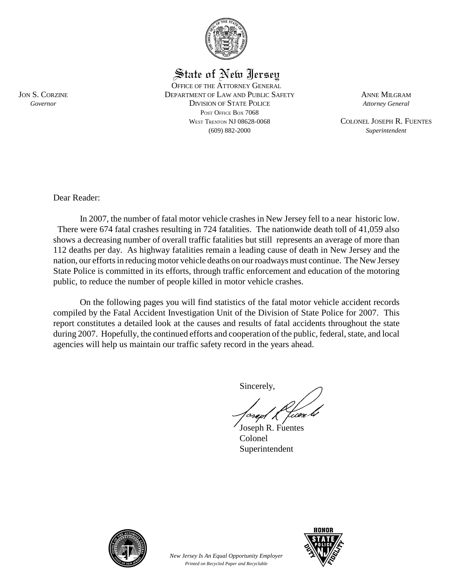

State of New Jersey

OFFICE OF THE ATTORNEY GENERAL JON S. CORZINE DEPARTMENT OF LAW AND PUBLIC SAFETY ANNE MILGRAM *Governor* DIVISION OF STATE POLICE *Attorney General* POST OFFICE BOX 7068 WEST TRENTON NJ 08628-0068 COLONEL JOSEPH R. FUENTES (609) 882-2000 *Superintendent*

Dear Reader:

In 2007, the number of fatal motor vehicle crashes in New Jersey fell to a near historic low. There were 674 fatal crashes resulting in 724 fatalities. The nationwide death toll of 41,059 also shows a decreasing number of overall traffic fatalities but still represents an average of more than 112 deaths per day. As highway fatalities remain a leading cause of death in New Jersey and the nation, our efforts in reducing motor vehicle deaths on our roadways must continue. The New Jersey State Police is committed in its efforts, through traffic enforcement and education of the motoring public, to reduce the number of people killed in motor vehicle crashes.

On the following pages you will find statistics of the fatal motor vehicle accident records compiled by the Fatal Accident Investigation Unit of the Division of State Police for 2007. This report constitutes a detailed look at the causes and results of fatal accidents throughout the state during 2007. Hopefully, the continued efforts and cooperation of the public, federal, state, and local agencies will help us maintain our traffic safety record in the years ahead.

> *New Jersey Is An Equal Opportunity Employer Printed on Recycled Paper and Recyclable*

Sincerely,

Joseph R. Fuentes Colonel Superintendent



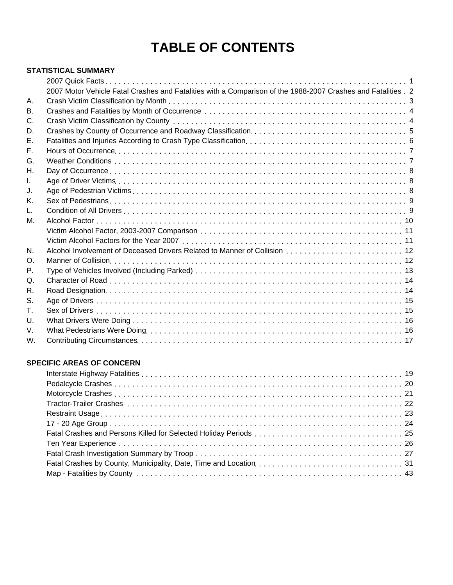# **TABLE OF CONTENTS**

#### **STATISTICAL SUMMARY**

|                | 2007 Motor Vehicle Fatal Crashes and Fatalities with a Comparison of the 1988-2007 Crashes and Fatalities . 2 |  |
|----------------|---------------------------------------------------------------------------------------------------------------|--|
| А.             |                                                                                                               |  |
| В.             |                                                                                                               |  |
| C.             |                                                                                                               |  |
| D.             |                                                                                                               |  |
| Е.             |                                                                                                               |  |
| F.             |                                                                                                               |  |
| G.             |                                                                                                               |  |
| Н.             |                                                                                                               |  |
| L.             |                                                                                                               |  |
| J.             |                                                                                                               |  |
| Κ.             |                                                                                                               |  |
| L.             |                                                                                                               |  |
| М.             |                                                                                                               |  |
|                |                                                                                                               |  |
|                |                                                                                                               |  |
| N.             |                                                                                                               |  |
| $\mathsf{O}$ . |                                                                                                               |  |
| Р.             |                                                                                                               |  |
| Q.             |                                                                                                               |  |
| R.             |                                                                                                               |  |
| S.             |                                                                                                               |  |
| Τ.             |                                                                                                               |  |
| U.             |                                                                                                               |  |
| V.             |                                                                                                               |  |
| W.             |                                                                                                               |  |

#### **SPECIFIC AREAS OF CONCERN**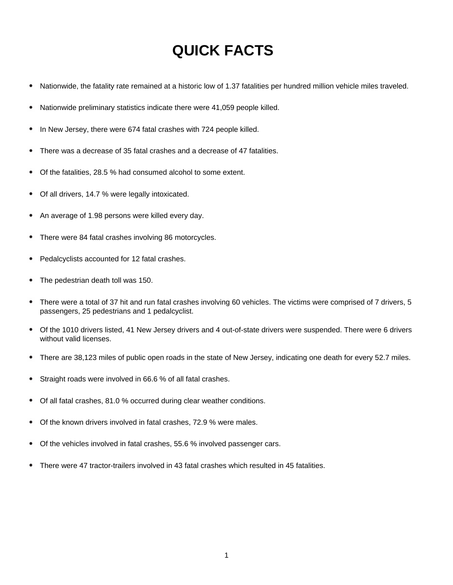# **QUICK FACTS**

- Nationwide, the fatality rate remained at a historic low of 1.37 fatalities per hundred million vehicle miles traveled.  $\bullet$
- Nationwide preliminary statistics indicate there were 41,059 people killed.
- In New Jersey, there were 674 fatal crashes with 724 people killed.
- There was a decrease of 35 fatal crashes and a decrease of 47 fatalities.
- Of the fatalities, 28.5 % had consumed alcohol to some extent.
- Of all drivers, 14.7 % were legally intoxicated.  $\bullet$
- An average of 1.98 persons were killed every day.
- There were 84 fatal crashes involving 86 motorcycles.
- Pedalcyclists accounted for 12 fatal crashes.
- The pedestrian death toll was 150.
- There were a total of 37 hit and run fatal crashes involving 60 vehicles. The victims were comprised of 7 drivers, 5 passengers, 25 pedestrians and 1 pedalcyclist.
- Of the 1010 drivers listed, 41 New Jersey drivers and 4 out-of-state drivers were suspended. There were 6 drivers without valid licenses.
- There are 38,123 miles of public open roads in the state of New Jersey, indicating one death for every 52.7 miles.
- Straight roads were involved in 66.6 % of all fatal crashes.
- Of all fatal crashes, 81.0 % occurred during clear weather conditions.
- Of the known drivers involved in fatal crashes, 72.9 % were males.
- Of the vehicles involved in fatal crashes, 55.6 % involved passenger cars.
- There were 47 tractor-trailers involved in 43 fatal crashes which resulted in 45 fatalities.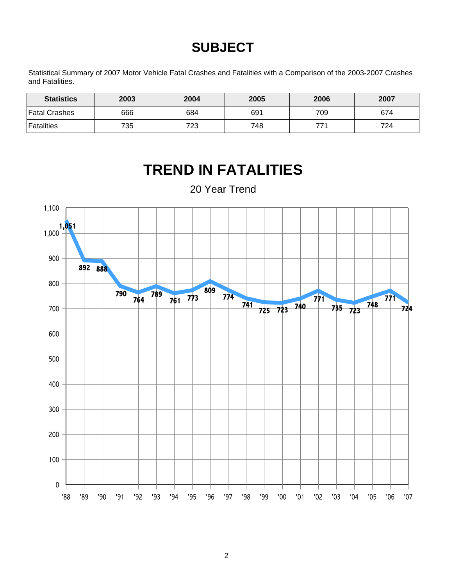# **SUBJECT**

Statistical Summary of 2007 Motor Vehicle Fatal Crashes and Fatalities with a Comparison of the 2003-2007 Crashes and Fatalities.

| <b>Statistics</b> | 2003 | 2004 | 2005 | 2006 | 2007 |
|-------------------|------|------|------|------|------|
| ∣Fatal Crashes    | 666  | 684  | 691  | 709  | 674  |
| <b>Fatalities</b> | 735  | 723  | 748  | 771  | 724  |



# **TREND IN FATALITIES**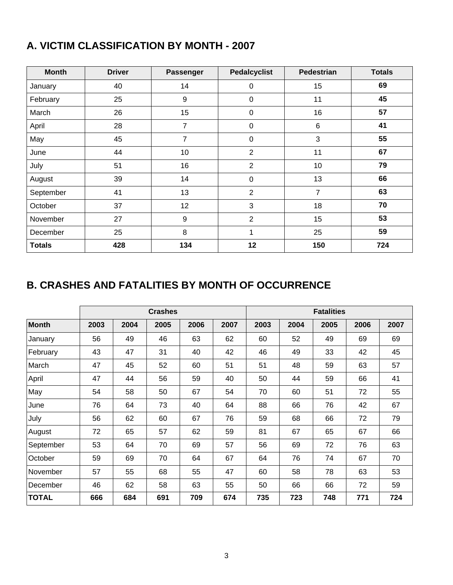### **A. VICTIM CLASSIFICATION BY MONTH - 2007**

| <b>Month</b>  | <b>Driver</b> | Passenger      | <b>Pedalcyclist</b> | <b>Pedestrian</b> | <b>Totals</b> |
|---------------|---------------|----------------|---------------------|-------------------|---------------|
| January       | 40            | 14             | 0                   | 15                | 69            |
| February      | 25            | 9              | $\mathbf 0$         | 11                | 45            |
| March         | 26            | 15             | $\mathbf 0$         | 16                | 57            |
| April         | 28            | $\overline{7}$ | $\pmb{0}$           | $6\phantom{1}6$   | 41            |
| May           | 45            | 7              | 0                   | 3                 | 55            |
| June          | 44            | 10             | $\overline{2}$      | 11                | 67            |
| July          | 51            | 16             | $\overline{2}$      | 10                | 79            |
| August        | 39            | 14             | $\mathbf 0$         | 13                | 66            |
| September     | 41            | 13             | $\overline{2}$      | $\overline{7}$    | 63            |
| October       | 37            | 12             | 3                   | 18                | 70            |
| November      | 27            | 9              | $\overline{2}$      | 15                | 53            |
| December      | 25            | 8              | 1                   | 25                | 59            |
| <b>Totals</b> | 428           | 134            | 12                  | 150               | 724           |

### **B. CRASHES AND FATALITIES BY MONTH OF OCCURRENCE**

|              |      |      | <b>Crashes</b> |      | <b>Fatalities</b> |      |      |      |      |      |
|--------------|------|------|----------------|------|-------------------|------|------|------|------|------|
| <b>Month</b> | 2003 | 2004 | 2005           | 2006 | 2007              | 2003 | 2004 | 2005 | 2006 | 2007 |
| January      | 56   | 49   | 46             | 63   | 62                | 60   | 52   | 49   | 69   | 69   |
| February     | 43   | 47   | 31             | 40   | 42                | 46   | 49   | 33   | 42   | 45   |
| March        | 47   | 45   | 52             | 60   | 51                | 51   | 48   | 59   | 63   | 57   |
| April        | 47   | 44   | 56             | 59   | 40                | 50   | 44   | 59   | 66   | 41   |
| May          | 54   | 58   | 50             | 67   | 54                | 70   | 60   | 51   | 72   | 55   |
| June         | 76   | 64   | 73             | 40   | 64                | 88   | 66   | 76   | 42   | 67   |
| July         | 56   | 62   | 60             | 67   | 76                | 59   | 68   | 66   | 72   | 79   |
| August       | 72   | 65   | 57             | 62   | 59                | 81   | 67   | 65   | 67   | 66   |
| September    | 53   | 64   | 70             | 69   | 57                | 56   | 69   | 72   | 76   | 63   |
| October      | 59   | 69   | 70             | 64   | 67                | 64   | 76   | 74   | 67   | 70   |
| November     | 57   | 55   | 68             | 55   | 47                | 60   | 58   | 78   | 63   | 53   |
| December     | 46   | 62   | 58             | 63   | 55                | 50   | 66   | 66   | 72   | 59   |
| <b>TOTAL</b> | 666  | 684  | 691            | 709  | 674               | 735  | 723  | 748  | 771  | 724  |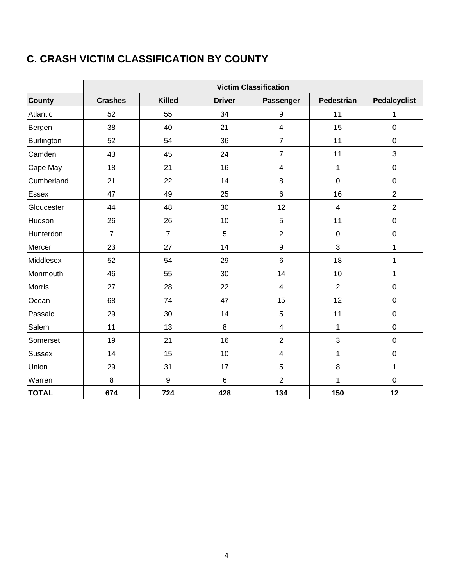### **C. CRASH VICTIM CLASSIFICATION BY COUNTY**

|               | <b>Victim Classification</b> |                |               |                         |                         |                     |  |  |  |  |
|---------------|------------------------------|----------------|---------------|-------------------------|-------------------------|---------------------|--|--|--|--|
| County        | <b>Crashes</b>               | <b>Killed</b>  | <b>Driver</b> | Passenger               | <b>Pedestrian</b>       | <b>Pedalcyclist</b> |  |  |  |  |
| Atlantic      | 52                           | 55             | 34            | $\boldsymbol{9}$        | 11                      | 1                   |  |  |  |  |
| Bergen        | 38                           | 40             | 21            | $\overline{\mathbf{4}}$ | 15                      | $\pmb{0}$           |  |  |  |  |
| Burlington    | 52                           | 54             | 36            | $\overline{7}$          | 11                      | $\pmb{0}$           |  |  |  |  |
| Camden        | 43                           | 45             | 24            | $\overline{7}$          | 11                      | 3                   |  |  |  |  |
| Cape May      | 18                           | 21             | 16            | 4                       | $\mathbf{1}$            | $\pmb{0}$           |  |  |  |  |
| Cumberland    | 21                           | 22             | 14            | 8                       | $\mathbf 0$             | $\mathbf 0$         |  |  |  |  |
| Essex         | 47                           | 49             | 25            | $\,6$                   | 16                      | $\overline{2}$      |  |  |  |  |
| Gloucester    | 44                           | 48             | 30            | 12                      | $\overline{\mathbf{4}}$ | $\overline{2}$      |  |  |  |  |
| Hudson        | 26                           | 26             | 10            | 5                       | 11                      | $\mathbf 0$         |  |  |  |  |
| Hunterdon     | $\overline{7}$               | $\overline{7}$ | 5             | $\overline{2}$          | $\pmb{0}$               | $\pmb{0}$           |  |  |  |  |
| Mercer        | 23                           | 27             | 14            | $\boldsymbol{9}$        | 3                       | $\mathbf{1}$        |  |  |  |  |
| Middlesex     | 52                           | 54             | 29            | $\,6$                   | 18                      | 1                   |  |  |  |  |
| Monmouth      | 46                           | 55             | 30            | 14                      | 10                      | $\mathbf{1}$        |  |  |  |  |
| Morris        | 27                           | 28             | 22            | 4                       | $\overline{2}$          | $\boldsymbol{0}$    |  |  |  |  |
| Ocean         | 68                           | 74             | 47            | 15                      | 12                      | $\mathbf 0$         |  |  |  |  |
| Passaic       | 29                           | 30             | 14            | 5                       | 11                      | $\pmb{0}$           |  |  |  |  |
| Salem         | 11                           | 13             | 8             | $\overline{\mathbf{4}}$ | 1                       | $\pmb{0}$           |  |  |  |  |
| Somerset      | 19                           | 21             | 16            | $\overline{2}$          | 3                       | $\pmb{0}$           |  |  |  |  |
| <b>Sussex</b> | 14                           | 15             | 10            | $\overline{\mathbf{4}}$ | $\mathbf{1}$            | $\pmb{0}$           |  |  |  |  |
| Union         | 29                           | 31             | 17            | 5                       | 8                       | $\mathbf{1}$        |  |  |  |  |
| Warren        | 8                            | 9              | $\,6$         | $\overline{2}$          | $\mathbf{1}$            | $\pmb{0}$           |  |  |  |  |
| <b>TOTAL</b>  | 674                          | 724            | 428           | 134                     | 150                     | 12                  |  |  |  |  |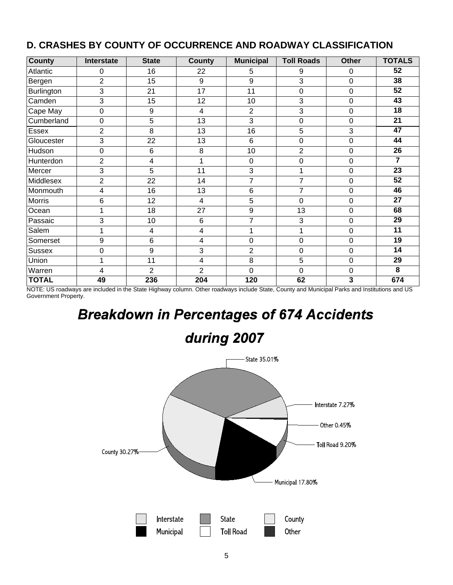| <b>County</b>     | Interstate     | <b>State</b>   | <b>County</b>           | <b>Municipal</b> | <b>Toll Roads</b>   | <b>Other</b> | <b>TOTALS</b>   |
|-------------------|----------------|----------------|-------------------------|------------------|---------------------|--------------|-----------------|
| Atlantic          | 0              | 16             | 22                      | 5                | 9                   | 0            | 52              |
| Bergen            | $\overline{2}$ | 15             | 9                       | 9                | 3                   | 0            | $\overline{38}$ |
| <b>Burlington</b> | 3              | 21             | 17                      | 11               | 0                   | 0            | $\overline{52}$ |
| Camden            | 3              | 15             | 12                      | 10               | 3                   | 0            | 43              |
| Cape May          | 0              | 9              | 4                       | $\overline{2}$   | 3                   | 0            | $\overline{18}$ |
| Cumberland        | 0              | 5              | 13                      | 3                | 0                   | 0            | 21              |
| Essex             | $\overline{c}$ | 8              | 13                      | 16               | 5                   | 3            | 47              |
| Gloucester        | 3              | 22             | 13                      | $6\phantom{1}$   | 0                   | 0            | 44              |
| Hudson            | 0              | 6              | 8                       | 10               | $\overline{c}$      | 0            | 26              |
| Hunterdon         | $\overline{2}$ | 4              | 1                       | 0                | 0                   | 0            | $\overline{7}$  |
| Mercer            | 3              | 5              | 11                      | 3                | 1                   | 0            | 23              |
| Middlesex         | $\overline{2}$ | 22             | 14                      | $\overline{7}$   | $\overline{7}$      | 0            | $\overline{52}$ |
| Monmouth          | 4              | 16             | 13                      | 6                | $\overline{7}$      | 0            | 46              |
| <b>Morris</b>     | 6              | 12             | 4                       | 5                | 0                   | 0            | 27              |
| Ocean             | 1              | 18             | 27                      | 9                | 13                  | 0            | 68              |
| Passaic           | 3              | 10             | 6                       | $\overline{7}$   | 3                   | 0            | $\overline{29}$ |
| Salem             | 1              | 4              | 4                       | 1                | 1                   | 0            | 11              |
| Somerset          | 9              | $6\phantom{1}$ | $\overline{\mathbf{4}}$ | $\mathbf 0$      | $\mathbf 0$         | 0            | $\overline{19}$ |
| <b>Sussex</b>     | $\mathbf 0$    | 9              | 3                       | $\overline{2}$   | $\mathsf{O}\xspace$ | 0            | 14              |
| Union             | 1              | 11             | 4                       | 8                | 5                   | 0            | 29              |
| Warren            | 4              | $\overline{2}$ | $\overline{2}$          | $\mathbf 0$      | 0                   | 0            | 8               |
| <b>TOTAL</b>      | 49             | 236            | 204                     | 120              | 62                  | 3            | 674             |

### **D. CRASHES BY COUNTY OF OCCURRENCE AND ROADWAY CLASSIFICATION**

NOTE: US roadways are included in the State Highway column. Other roadways include State, County and Municipal Parks and Institutions and US Government Property.

# **Breakdown in Percentages of 674 Accidents**

# during 2007

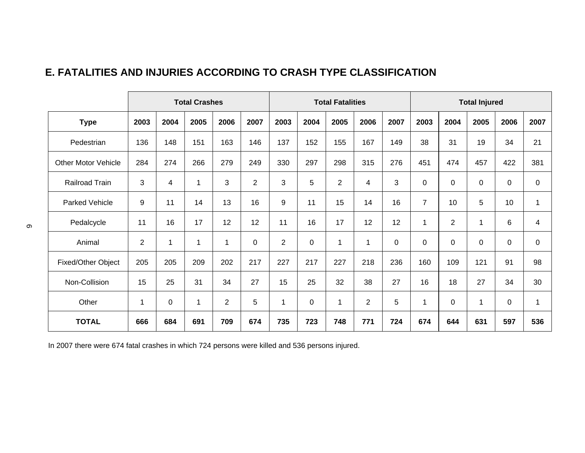### **E. FATALITIES AND INJURIES ACCORDING TO CRASH TYPE CLASSIFICATION**

|                            |                |             | <b>Total Crashes</b> |                |                 |                |      | <b>Total Fatalities</b> |                |      |                |                | <b>Total Injured</b> |             |              |
|----------------------------|----------------|-------------|----------------------|----------------|-----------------|----------------|------|-------------------------|----------------|------|----------------|----------------|----------------------|-------------|--------------|
| <b>Type</b>                | 2003           | 2004        | 2005                 | 2006           | 2007            | 2003           | 2004 | 2005                    | 2006           | 2007 | 2003           | 2004           | 2005                 | 2006        | 2007         |
| Pedestrian                 | 136            | 148         | 151                  | 163            | 146             | 137            | 152  | 155                     | 167            | 149  | 38             | 31             | 19                   | 34          | 21           |
| <b>Other Motor Vehicle</b> | 284            | 274         | 266                  | 279            | 249             | 330            | 297  | 298                     | 315            | 276  | 451            | 474            | 457                  | 422         | 381          |
| Railroad Train             | 3              | 4           | $\mathbf 1$          | 3              | 2               | 3              | 5    | $\overline{2}$          | 4              | 3    | $\mathbf 0$    | $\pmb{0}$      | $\pmb{0}$            | $\mathbf 0$ | $\mathsf 0$  |
| Parked Vehicle             | 9              | 11          | 14                   | 13             | 16              | 9              | 11   | 15                      | 14             | 16   | $\overline{7}$ | 10             | 5                    | 10          | $\mathbf{1}$ |
| Pedalcycle                 | 11             | 16          | 17                   | 12             | 12              | 11             | 16   | 17                      | 12             | 12   | 1              | $\overline{2}$ | 1                    | 6           | 4            |
| Animal                     | $\overline{c}$ | $\mathbf 1$ | $\mathbf 1$          | 1              | $\mathbf 0$     | $\overline{2}$ | 0    | $\mathbf{1}$            | 1              | 0    | $\mathbf 0$    | 0              | $\pmb{0}$            | $\mathbf 0$ | $\mathsf 0$  |
| Fixed/Other Object         | 205            | 205         | 209                  | 202            | 217             | 227            | 217  | 227                     | 218            | 236  | 160            | 109            | 121                  | 91          | 98           |
| Non-Collision              | 15             | 25          | 31                   | 34             | 27              | 15             | 25   | 32                      | 38             | 27   | 16             | 18             | 27                   | 34          | 30           |
| Other                      | $\mathbf 1$    | $\mathbf 0$ | $\mathbf 1$          | $\overline{2}$ | $5\phantom{.0}$ | 1              | 0    | $\mathbf{1}$            | $\overline{2}$ | 5    | $\mathbf{1}$   | 0              | $\mathbf{1}$         | $\mathbf 0$ | $\mathbf{1}$ |
| <b>TOTAL</b>               | 666            | 684         | 691                  | 709            | 674             | 735            | 723  | 748                     | 771            | 724  | 674            | 644            | 631                  | 597         | 536          |

In 2007 there were 674 fatal crashes in which 724 persons were killed and 536 persons injured.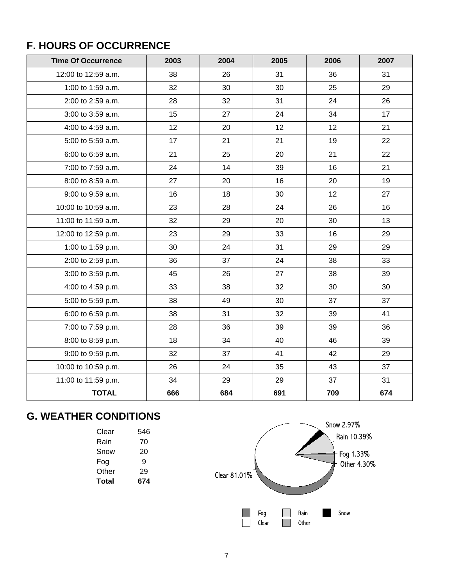### **F. HOURS OF OCCURRENCE**

| <b>Time Of Occurrence</b> | 2003 | 2004 | 2005 | 2006 | 2007 |
|---------------------------|------|------|------|------|------|
| 12:00 to 12:59 a.m.       | 38   | 26   | 31   | 36   | 31   |
| 1:00 to 1:59 a.m.         | 32   | 30   | 30   | 25   | 29   |
| 2:00 to 2:59 a.m.         | 28   | 32   | 31   | 24   | 26   |
| 3:00 to 3:59 a.m.         | 15   | 27   | 24   | 34   | 17   |
| 4:00 to 4:59 a.m.         | 12   | 20   | 12   | 12   | 21   |
| 5:00 to 5:59 a.m.         | 17   | 21   | 21   | 19   | 22   |
| 6:00 to 6:59 a.m.         | 21   | 25   | 20   | 21   | 22   |
| 7:00 to 7:59 a.m.         | 24   | 14   | 39   | 16   | 21   |
| 8:00 to 8:59 a.m.         | 27   | 20   | 16   | 20   | 19   |
| 9:00 to 9:59 a.m.         | 16   | 18   | 30   | 12   | 27   |
| 10:00 to 10:59 a.m.       | 23   | 28   | 24   | 26   | 16   |
| 11:00 to 11:59 a.m.       | 32   | 29   | 20   | 30   | 13   |
| 12:00 to 12:59 p.m.       | 23   | 29   | 33   | 16   | 29   |
| 1:00 to 1:59 p.m.         | 30   | 24   | 31   | 29   | 29   |
| 2:00 to 2:59 p.m.         | 36   | 37   | 24   | 38   | 33   |
| 3:00 to 3:59 p.m.         | 45   | 26   | 27   | 38   | 39   |
| 4:00 to 4:59 p.m.         | 33   | 38   | 32   | 30   | 30   |
| 5:00 to 5:59 p.m.         | 38   | 49   | 30   | 37   | 37   |
| 6:00 to 6:59 p.m.         | 38   | 31   | 32   | 39   | 41   |
| 7:00 to 7:59 p.m.         | 28   | 36   | 39   | 39   | 36   |
| 8:00 to 8:59 p.m.         | 18   | 34   | 40   | 46   | 39   |
| 9:00 to 9:59 p.m.         | 32   | 37   | 41   | 42   | 29   |
| 10:00 to 10:59 p.m.       | 26   | 24   | 35   | 43   | 37   |
| 11:00 to 11:59 p.m.       | 34   | 29   | 29   | 37   | 31   |
| <b>TOTAL</b>              | 666  | 684  | 691  | 709  | 674  |

## **G. WEATHER CONDITIONS**

| Clear | 546 |
|-------|-----|
| Rain  | 70  |
| Snow  | 20  |
| Fog   | я   |
| Other | 29  |
| Total | 674 |

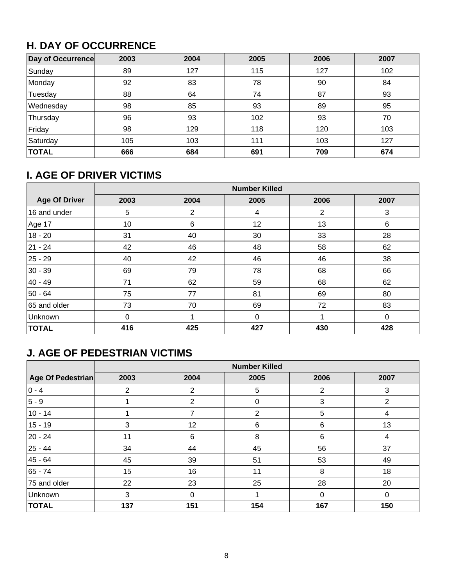### **H. DAY OF OCCURRENCE**

| Day of Occurrence | 2003 | 2004 | 2005 | 2006 | 2007 |
|-------------------|------|------|------|------|------|
| Sunday            | 89   | 127  | 115  | 127  | 102  |
| Monday            | 92   | 83   | 78   | 90   | 84   |
| Tuesday           | 88   | 64   | 74   | 87   | 93   |
| Wednesday         | 98   | 85   | 93   | 89   | 95   |
| Thursday          | 96   | 93   | 102  | 93   | 70   |
| Friday            | 98   | 129  | 118  | 120  | 103  |
| Saturday          | 105  | 103  | 111  | 103  | 127  |
| <b>TOTAL</b>      | 666  | 684  | 691  | 709  | 674  |

### **I. AGE OF DRIVER VICTIMS**

|                      | <b>Number Killed</b> |      |              |      |          |  |  |  |  |
|----------------------|----------------------|------|--------------|------|----------|--|--|--|--|
| <b>Age Of Driver</b> | 2003                 | 2004 | 2005         | 2006 | 2007     |  |  |  |  |
| 16 and under         | 5                    | 2    | 4            | 2    | 3        |  |  |  |  |
| Age 17               | 10                   | 6    | 12           | 13   | 6        |  |  |  |  |
| $18 - 20$            | 31                   | 40   | 30           | 33   | 28       |  |  |  |  |
| 21 - 24              | 42                   | 46   | 48           | 58   | 62       |  |  |  |  |
| 25 - 29              | 40                   | 42   | 46           | 46   | 38       |  |  |  |  |
| $30 - 39$            | 69                   | 79   | 78           | 68   | 66       |  |  |  |  |
| 40 - 49              | 71                   | 62   | 59           | 68   | 62       |  |  |  |  |
| $50 - 64$            | 75                   | 77   | 81           | 69   | 80       |  |  |  |  |
| 65 and older         | 73                   | 70   | 69           | 72   | 83       |  |  |  |  |
| Unknown              | $\Omega$             | 4    | $\mathbf{0}$ | 1    | $\Omega$ |  |  |  |  |
| <b>TOTAL</b>         | 416                  | 425  | 427          | 430  | 428      |  |  |  |  |

### **J. AGE OF PEDESTRIAN VICTIMS**

|                   | <b>Number Killed</b> |          |              |      |                |  |  |  |  |  |
|-------------------|----------------------|----------|--------------|------|----------------|--|--|--|--|--|
| Age Of Pedestrian | 2003                 | 2004     | 2005         | 2006 | 2007           |  |  |  |  |  |
| $ 0 - 4 $         | 2                    | 2        | 5            | 2    | 3              |  |  |  |  |  |
| $ 5 - 9 $         |                      | 2        | $\mathbf{0}$ | 3    | $\overline{2}$ |  |  |  |  |  |
| $10 - 14$         |                      | 7        | 2            | 5    | 4              |  |  |  |  |  |
| $15 - 19$         | 3                    | 12       | 6            | 6    | 13             |  |  |  |  |  |
| 20 - 24           | 11                   | 6        | 8            | 6    | 4              |  |  |  |  |  |
| 25 - 44           | 34                   | 44       | 45           | 56   | 37             |  |  |  |  |  |
| 45 - 64           | 45                   | 39       | 51           | 53   | 49             |  |  |  |  |  |
| 65 - 74           | 15                   | 16       | 11           | 8    | 18             |  |  |  |  |  |
| 75 and older      | 22                   | 23       | 25           | 28   | 20             |  |  |  |  |  |
| Unknown           | 3                    | $\Omega$ |              | 0    | $\Omega$       |  |  |  |  |  |
| <b>TOTAL</b>      | 137                  | 151      | 154          | 167  | 150            |  |  |  |  |  |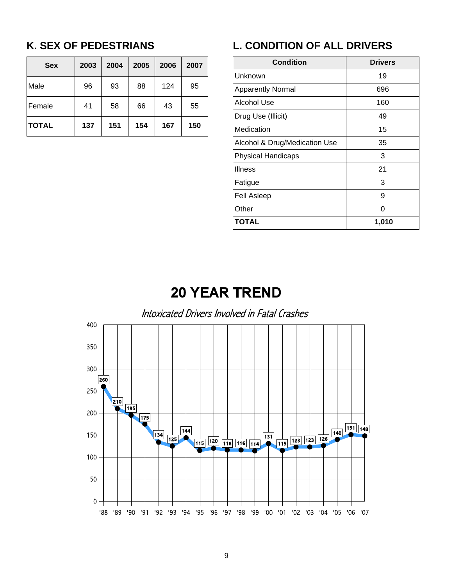### **K. SEX OF PEDESTRIANS**

| <b>Sex</b>   | 2003 | 2004 | 2005 | 2006 | 2007 |
|--------------|------|------|------|------|------|
| Male         | 96   | 93   | 88   | 124  | 95   |
| Female       | 41   | 58   | 66   | 43   | 55   |
| <b>TOTAL</b> | 137  | 151  | 154  | 167  | 150  |

### **L. CONDITION OF ALL DRIVERS**

| <b>Condition</b>              | <b>Drivers</b> |  |  |
|-------------------------------|----------------|--|--|
| Unknown                       | 19             |  |  |
| <b>Apparently Normal</b>      | 696            |  |  |
| Alcohol Use                   | 160            |  |  |
| Drug Use (Illicit)            | 49             |  |  |
| Medication                    | 15             |  |  |
| Alcohol & Drug/Medication Use | 35             |  |  |
| <b>Physical Handicaps</b>     | 3              |  |  |
| <b>Illness</b>                | 21             |  |  |
| Fatigue                       | 3              |  |  |
| <b>Fell Asleep</b>            | 9              |  |  |
| Other                         | O              |  |  |
| <b>TOTAL</b>                  | 1,010          |  |  |

# **20 YEAR TREND**

### Intoxicated Drivers Involved in Fatal Crashes

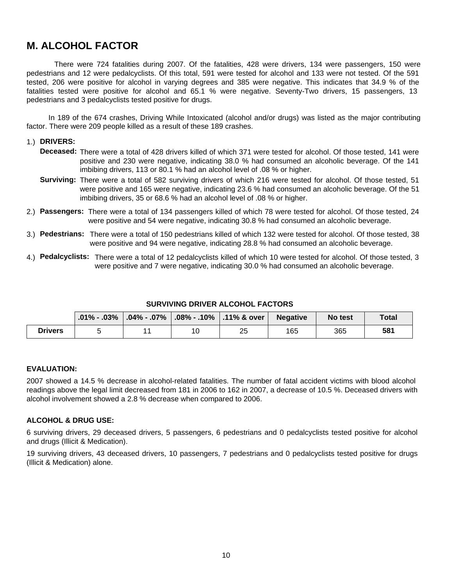### **M. ALCOHOL FACTOR**

 There were 724 fatalities during 2007. Of the fatalities, 428 were drivers, 134 were passengers, 150 were pedestrians and 12 were pedalcyclists. Of this total, 591 were tested for alcohol and 133 were not tested. Of the 591 tested, 206 were positive for alcohol in varying degrees and 385 were negative. This indicates that 34.9 % of the fatalities tested were positive for alcohol and 65.1 % were negative. Seventy-Two drivers, 15 passengers, 13 pedestrians and 3 pedalcyclists tested positive for drugs.

 In 189 of the 674 crashes, Driving While Intoxicated (alcohol and/or drugs) was listed as the major contributing factor. There were 209 people killed as a result of these 189 crashes.

#### 1.) **DRIVERS:**

- **Deceased:** There were a total of 428 drivers killed of which 371 were tested for alcohol. Of those tested, 141 were positive and 230 were negative, indicating 38.0 % had consumed an alcoholic beverage. Of the 141 imbibing drivers, 113 or 80.1 % had an alcohol level of .08 % or higher.
- **Surviving:** There were a total of 582 surviving drivers of which 216 were tested for alcohol. Of those tested, 51 were positive and 165 were negative, indicating 23.6 % had consumed an alcoholic beverage. Of the 51 imbibing drivers, 35 or 68.6 % had an alcohol level of .08 % or higher.
- 2.) **Passengers:** There were a total of 134 passengers killed of which 78 were tested for alcohol. Of those tested, 24 were positive and 54 were negative, indicating 30.8 % had consumed an alcoholic beverage.
- 3.) **Pedestrians:** There were a total of 150 pedestrians killed of which 132 were tested for alcohol. Of those tested, 38 were positive and 94 were negative, indicating 28.8 % had consumed an alcoholic beverage.
- 4.) **Pedalcyclists:** There were a total of 12 pedalcyclists killed of which 10 were tested for alcohol. Of those tested, 3 were positive and 7 were negative, indicating 30.0 % had consumed an alcoholic beverage.

#### **SURVIVING DRIVER ALCOHOL FACTORS**

|                |  |    | $\mid$ .01% - .03% $\mid$ .04% - .07% $\mid$ .08% - .10% $\mid$ .11% & over $\mid$ | <b>Negative</b> | No test | <b>Total</b> |
|----------------|--|----|------------------------------------------------------------------------------------|-----------------|---------|--------------|
| <b>Drivers</b> |  | 10 | 25                                                                                 | 165             | 365     | 581          |

#### **EVALUATION:**

2007 showed a 14.5 % decrease in alcohol-related fatalities. The number of fatal accident victims with blood alcohol readings above the legal limit decreased from 181 in 2006 to 162 in 2007, a decrease of 10.5 %. Deceased drivers with alcohol involvement showed a 2.8 % decrease when compared to 2006.

#### **ALCOHOL & DRUG USE:**

6 surviving drivers, 29 deceased drivers, 5 passengers, 6 pedestrians and 0 pedalcyclists tested positive for alcohol and drugs (Illicit & Medication).

19 surviving drivers, 43 deceased drivers, 10 passengers, 7 pedestrians and 0 pedalcyclists tested positive for drugs (Illicit & Medication) alone.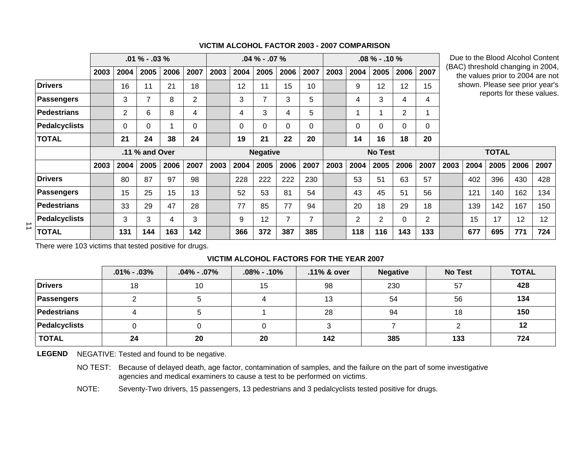|   |                      |      |                | $.01\% - .03\%$ |      |                |      | $.04\% - .07\%$ |                 |      | $.08\% - .10\%$ |                |                |                | Due to the Blood Alcohol Content<br>(BAC) threshold changing in 2004, |      |              |                                |      |      |                                  |
|---|----------------------|------|----------------|-----------------|------|----------------|------|-----------------|-----------------|------|-----------------|----------------|----------------|----------------|-----------------------------------------------------------------------|------|--------------|--------------------------------|------|------|----------------------------------|
|   |                      | 2003 | 2004           | 2005            | 2006 | 2007           | 2003 | 2004            | 2005            | 2006 | 2007            | 2003           | 2004           | 2005           | 2006                                                                  | 2007 |              |                                |      |      | the values prior to 2004 are not |
|   | <b>Drivers</b>       |      | 16             | 11              | 21   | 18             |      | 12              | 11              | 15   | 10              |                | 9              | 12             | 12                                                                    | 15   |              | shown. Please see prior year's |      |      |                                  |
|   | <b>Passengers</b>    |      | 3              |                 | 8    | $\overline{2}$ |      | 3               | 7               | 3    | 5               |                | 4              | 3              | 4                                                                     | 4    |              | reports for these values.      |      |      |                                  |
|   | <b>Pedestrians</b>   |      | $\overline{2}$ | 6               | 8    | 4              |      | 4               | 3               | 4    | 5               |                |                |                | $\overline{2}$                                                        |      |              |                                |      |      |                                  |
|   | <b>Pedalcyclists</b> |      | 0              | 0               |      | 0              |      | 0               | $\Omega$        | 0    | 0               |                | $\Omega$       | 0              | 0                                                                     | 0    |              |                                |      |      |                                  |
|   | <b>TOTAL</b>         |      | 21             | 24              | 38   | 24             |      | 19              | 21              | 22   | 20              |                | 14             | 16             | 18                                                                    | 20   |              |                                |      |      |                                  |
|   |                      |      |                | .11 % and Over  |      |                |      |                 | <b>Negative</b> |      |                 | <b>No Test</b> |                |                |                                                                       |      | <b>TOTAL</b> |                                |      |      |                                  |
|   |                      | 2003 | 2004           | 2005            | 2006 | 2007           | 2003 | 2004            | 2005            | 2006 | 2007            | 2003           | 2004           | 2005           | 2006                                                                  | 2007 | 2003         | 2004                           | 2005 | 2006 | 2007                             |
|   | <b>Drivers</b>       |      | 80             | 87              | 97   | 98             |      | 228             | 222             | 222  | 230             |                | 53             | 51             | 63                                                                    | 57   |              | 402                            | 396  | 430  | 428                              |
|   | <b>Passengers</b>    |      | 15             | 25              | 15   | 13             |      | 52              | 53              | 81   | 54              |                | 43             | 45             | 51                                                                    | 56   |              | 121                            | 140  | 162  | 134                              |
|   | <b>Pedestrians</b>   |      | 33             | 29              | 47   | 28             |      | 77              | 85              | 77   | 94              |                | 20             | 18             | 29                                                                    | 18   |              | 139                            | 142  | 167  | 150                              |
| ⇉ | <b>Pedalcyclists</b> |      | 3              | 3               | 4    | 3              |      | 9               | 12              | 7    | $\overline{7}$  |                | $\overline{2}$ | $\overline{2}$ | $\Omega$                                                              | 2    |              | 15                             | 17   | 12   | 12                               |
|   | <b>TOTAL</b>         |      | 131            | 144             | 163  | 142            |      | 366             | 372             | 387  | 385             |                | 118            | 116            | 143                                                                   | 133  |              | 677                            | 695  | 771  | 724                              |

#### **VICTIM ALCOHOL FACTOR 2003 - 2007 COMPARISON**

There were 103 victims that tested positive for drugs.

#### **VICTIM ALCOHOL FACTORS FOR THE YEAR 2007**

|                | $.01\% - .03\%$ | $.04\%$ - .07% | $.08\% - .10\%$ | .11% & over | <b>Negative</b> | <b>No Test</b> | <b>TOTAL</b> |
|----------------|-----------------|----------------|-----------------|-------------|-----------------|----------------|--------------|
| <b>Drivers</b> | 18              | 10             | 15              | 98          | 230             | 57             | 428          |
| Passengers     |                 |                |                 | 13          | 54              | 56             | 134          |
| Pedestrians    |                 |                |                 | 28          | 94              | 18             | 150          |
| Pedalcyclists  |                 |                |                 |             |                 |                | 12           |
| <b>TOTAL</b>   | 24              | 20             | 20              | 142         | 385             | 133            | 724          |

LEGEND NEGATIVE: Tested and found to be negative.

NO TEST: Because of delayed death, age factor, contamination of samples, and the failure on the part of some investigative agencies and medical examiners to cause a test to be performed on victims.

NOTE: Seventy-Two drivers, 15 passengers, 13 pedestrians and 3 pedalcyclists tested positive for drugs.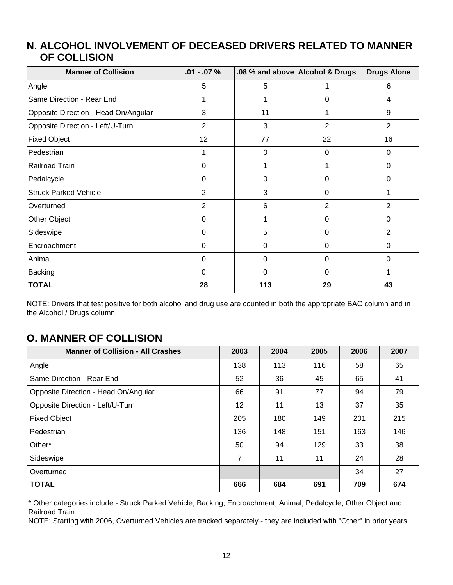### **ALCOHOL INVOLVEMENT OF DECEASED DRIVERS RELATED TO MANNER N. OF COLLISION**

| <b>Manner of Collision</b>           | $.01 - .07 \%$ |     | .08 % and above Alcohol & Drugs | <b>Drugs Alone</b> |
|--------------------------------------|----------------|-----|---------------------------------|--------------------|
| Angle                                | 5              | 5   | 1                               | 6                  |
| Same Direction - Rear End            | 1              |     | 0                               | 4                  |
| Opposite Direction - Head On/Angular | 3              | 11  |                                 | 9                  |
| Opposite Direction - Left/U-Turn     | $\overline{2}$ | 3   | $\overline{2}$                  | $\overline{2}$     |
| <b>Fixed Object</b>                  | 12             | 77  | 22                              | 16                 |
| Pedestrian                           | 1              | 0   | 0                               | 0                  |
| Railroad Train                       | $\mathbf 0$    |     |                                 | $\Omega$           |
| Pedalcycle                           | $\Omega$       | 0   | 0                               | $\Omega$           |
| <b>Struck Parked Vehicle</b>         | 2              | 3   | 0                               |                    |
| Overturned                           | $\overline{2}$ | 6   | $\overline{2}$                  | $\overline{2}$     |
| Other Object                         | $\Omega$       |     | 0                               | $\mathbf 0$        |
| Sideswipe                            | $\Omega$       | 5   | 0                               | 2                  |
| Encroachment                         | 0              | 0   | 0                               | 0                  |
| Animal                               | 0              | 0   | 0                               | 0                  |
| <b>Backing</b>                       | 0              | 0   | $\Omega$                        |                    |
| <b>TOTAL</b>                         | 28             | 113 | 29                              | 43                 |

NOTE: Drivers that test positive for both alcohol and drug use are counted in both the appropriate BAC column and in the Alcohol / Drugs column.

### **O. MANNER OF COLLISION**

| <b>Manner of Collision - All Crashes</b> | 2003 | 2004 | 2005 | 2006 | 2007 |
|------------------------------------------|------|------|------|------|------|
| Angle                                    | 138  | 113  | 116  | 58   | 65   |
| Same Direction - Rear End                | 52   | 36   | 45   | 65   | 41   |
| Opposite Direction - Head On/Angular     | 66   | 91   | 77   | 94   | 79   |
| Opposite Direction - Left/U-Turn         | 12   | 11   | 13   | 37   | 35   |
| <b>Fixed Object</b>                      | 205  | 180  | 149  | 201  | 215  |
| Pedestrian                               | 136  | 148  | 151  | 163  | 146  |
| Other*                                   | 50   | 94   | 129  | 33   | 38   |
| Sideswipe                                | 7    | 11   | 11   | 24   | 28   |
| Overturned                               |      |      |      | 34   | 27   |
| <b>TOTAL</b>                             | 666  | 684  | 691  | 709  | 674  |

\* Other categories include - Struck Parked Vehicle, Backing, Encroachment, Animal, Pedalcycle, Other Object and Railroad Train.

NOTE: Starting with 2006, Overturned Vehicles are tracked separately - they are included with "Other" in prior years.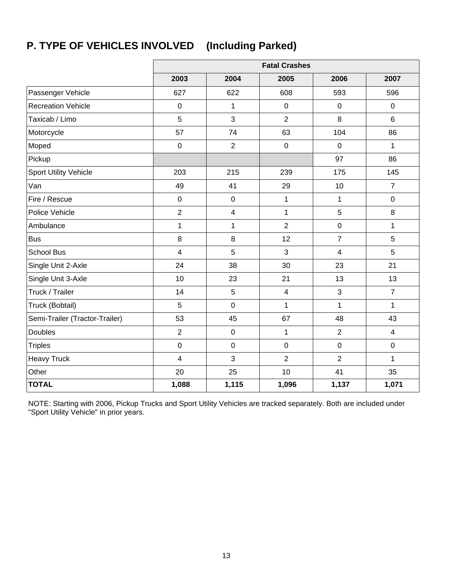# **P. TYPE OF VEHICLES INVOLVED (Including Parked)**

|                                |                         |                         | <b>Fatal Crashes</b>    |                |                |
|--------------------------------|-------------------------|-------------------------|-------------------------|----------------|----------------|
|                                | 2003                    | 2004                    | 2005                    | 2006           | 2007           |
| Passenger Vehicle              | 627                     | 622                     | 608                     | 593            | 596            |
| <b>Recreation Vehicle</b>      | $\pmb{0}$               | 1                       | $\mathbf 0$             | $\mathbf 0$    | $\mathbf 0$    |
| Taxicab / Limo                 | 5                       | 3                       | $\overline{2}$          | 8              | 6              |
| Motorcycle                     | 57                      | 74                      | 63                      | 104            | 86             |
| Moped                          | $\pmb{0}$               | $\overline{2}$          | $\pmb{0}$               | $\mathbf 0$    | 1              |
| Pickup                         |                         |                         |                         | 97             | 86             |
| <b>Sport Utility Vehicle</b>   | 203                     | 215                     | 239                     | 175            | 145            |
| Van                            | 49                      | 41                      | 29                      | 10             | $\overline{7}$ |
| Fire / Rescue                  | $\mathbf 0$             | $\mathbf 0$             | 1                       | 1              | $\mathbf 0$    |
| Police Vehicle                 | $\overline{2}$          | $\overline{\mathbf{4}}$ | $\mathbf{1}$            | $\overline{5}$ | 8              |
| Ambulance                      | $\mathbf{1}$            | 1                       | $\overline{2}$          | $\mathsf 0$    | $\mathbf{1}$   |
| <b>Bus</b>                     | 8                       | $\, 8$                  | 12                      | $\overline{7}$ | 5              |
| <b>School Bus</b>              | $\overline{\mathbf{4}}$ | $\overline{5}$          | 3                       | $\overline{4}$ | 5              |
| Single Unit 2-Axle             | 24                      | 38                      | 30                      | 23             | 21             |
| Single Unit 3-Axle             | 10                      | 23                      | 21                      | 13             | 13             |
| Truck / Trailer                | 14                      | $\overline{5}$          | $\overline{\mathbf{4}}$ | 3              | $\overline{7}$ |
| Truck (Bobtail)                | $\overline{5}$          | $\mathbf 0$             | $\mathbf{1}$            | 1              | $\mathbf{1}$   |
| Semi-Trailer (Tractor-Trailer) | 53                      | 45                      | 67                      | 48             | 43             |
| <b>Doubles</b>                 | $\overline{2}$          | $\pmb{0}$               | 1                       | $\overline{2}$ | $\overline{4}$ |
| <b>Triples</b>                 | $\boldsymbol{0}$        | $\boldsymbol{0}$        | $\boldsymbol{0}$        | $\pmb{0}$      | $\mathbf 0$    |
| <b>Heavy Truck</b>             | $\overline{\mathbf{4}}$ | $\mathbf{3}$            | $\overline{2}$          | $\overline{2}$ | $\mathbf{1}$   |
| Other                          | 20                      | 25                      | 10                      | 41             | 35             |
| <b>TOTAL</b>                   | 1,088                   | 1,115                   | 1,096                   | 1,137          | 1,071          |

NOTE: Starting with 2006, Pickup Trucks and Sport Utility Vehicles are tracked separately. Both are included under "Sport Utility Vehicle" in prior years.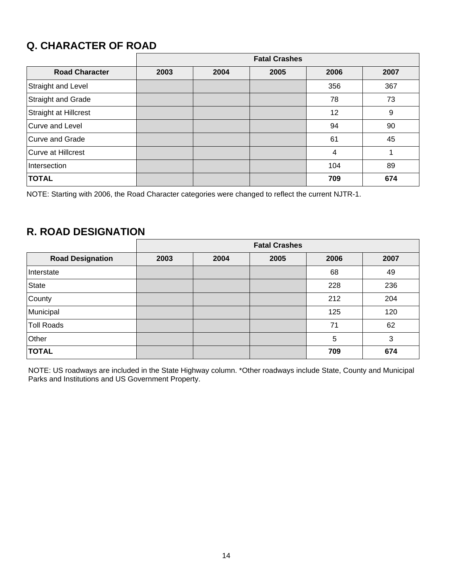### **Q. CHARACTER OF ROAD**

|                           | <b>Fatal Crashes</b> |      |      |      |      |  |  |  |  |
|---------------------------|----------------------|------|------|------|------|--|--|--|--|
| <b>Road Character</b>     | 2003                 | 2004 | 2005 | 2006 | 2007 |  |  |  |  |
| Straight and Level        |                      |      |      | 356  | 367  |  |  |  |  |
| <b>Straight and Grade</b> |                      |      |      | 78   | 73   |  |  |  |  |
| Straight at Hillcrest     |                      |      |      | 12   | 9    |  |  |  |  |
| Curve and Level           |                      |      |      | 94   | 90   |  |  |  |  |
| <b>Curve and Grade</b>    |                      |      |      | 61   | 45   |  |  |  |  |
| <b>Curve at Hillcrest</b> |                      |      |      | 4    |      |  |  |  |  |
| Intersection              |                      |      |      | 104  | 89   |  |  |  |  |
| <b>TOTAL</b>              |                      |      |      | 709  | 674  |  |  |  |  |

NOTE: Starting with 2006, the Road Character categories were changed to reflect the current NJTR-1.

### **R. ROAD DESIGNATION**

|                         | <b>Fatal Crashes</b> |      |      |      |      |  |  |  |  |
|-------------------------|----------------------|------|------|------|------|--|--|--|--|
| <b>Road Designation</b> | 2003                 | 2004 | 2005 | 2006 | 2007 |  |  |  |  |
| Interstate              |                      |      |      | 68   | 49   |  |  |  |  |
| State                   |                      |      |      | 228  | 236  |  |  |  |  |
| County                  |                      |      |      | 212  | 204  |  |  |  |  |
| Municipal               |                      |      |      | 125  | 120  |  |  |  |  |
| <b>Toll Roads</b>       |                      |      |      | 71   | 62   |  |  |  |  |
| Other                   |                      |      |      | 5    | 3    |  |  |  |  |
| <b>TOTAL</b>            |                      |      |      | 709  | 674  |  |  |  |  |

NOTE: US roadways are included in the State Highway column. \*Other roadways include State, County and Municipal Parks and Institutions and US Government Property.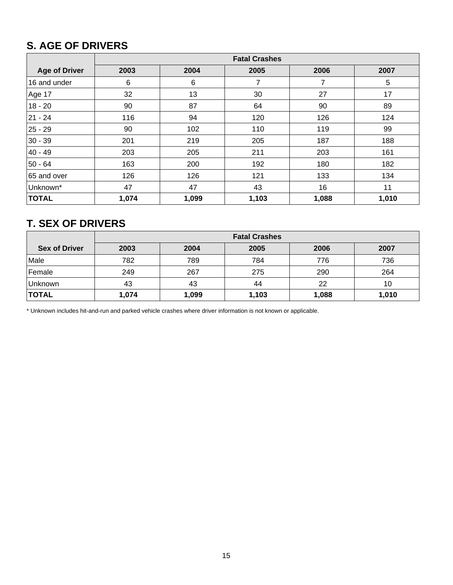### **S. AGE OF DRIVERS**

|                      | <b>Fatal Crashes</b> |       |       |       |       |  |  |  |  |  |
|----------------------|----------------------|-------|-------|-------|-------|--|--|--|--|--|
| <b>Age of Driver</b> | 2003                 | 2004  | 2005  | 2006  | 2007  |  |  |  |  |  |
| 16 and under         | 6                    | 6     | 7     | 7     | 5     |  |  |  |  |  |
| Age 17               | 32                   | 13    | 30    | 27    | 17    |  |  |  |  |  |
| $18 - 20$            | 90                   | 87    | 64    | 90    | 89    |  |  |  |  |  |
| 21 - 24              | 116                  | 94    | 120   | 126   | 124   |  |  |  |  |  |
| $25 - 29$            | 90                   | 102   | 110   | 119   | 99    |  |  |  |  |  |
| $30 - 39$            | 201                  | 219   | 205   | 187   | 188   |  |  |  |  |  |
| 40 - 49              | 203                  | 205   | 211   | 203   | 161   |  |  |  |  |  |
| $50 - 64$            | 163                  | 200   | 192   | 180   | 182   |  |  |  |  |  |
| 65 and over          | 126                  | 126   | 121   | 133   | 134   |  |  |  |  |  |
| Unknown*             | 47                   | 47    | 43    | 16    | 11    |  |  |  |  |  |
| <b>TOTAL</b>         | 1,074                | 1,099 | 1,103 | 1,088 | 1,010 |  |  |  |  |  |

### **T. SEX OF DRIVERS**

|                      | <b>Fatal Crashes</b> |                              |       |       |       |  |  |  |  |  |
|----------------------|----------------------|------------------------------|-------|-------|-------|--|--|--|--|--|
| <b>Sex of Driver</b> | 2003                 | 2006<br>2004<br>2005<br>2007 |       |       |       |  |  |  |  |  |
| Male                 | 782                  | 789                          | 784   | 776   | 736   |  |  |  |  |  |
| Female               | 249                  | 267                          | 275   | 290   | 264   |  |  |  |  |  |
| Unknown              | 43                   | 43                           | 44    | 22    | 10    |  |  |  |  |  |
| <b>TOTAL</b>         | 1,074                | 1,099                        | 1,103 | 1,088 | 1,010 |  |  |  |  |  |

\* Unknown includes hit-and-run and parked vehicle crashes where driver information is not known or applicable.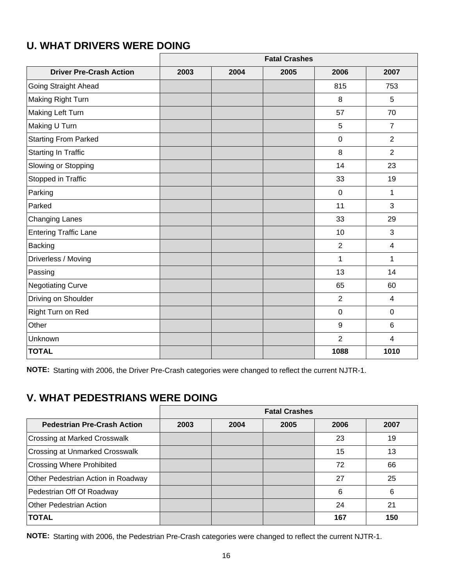|                                |      |      | <b>Fatal Crashes</b> |                |                |  |
|--------------------------------|------|------|----------------------|----------------|----------------|--|
| <b>Driver Pre-Crash Action</b> | 2003 | 2004 | 2005                 | 2006           | 2007           |  |
| Going Straight Ahead           |      |      |                      | 815            | 753            |  |
| Making Right Turn              |      |      |                      | 8              | 5              |  |
| Making Left Turn               |      |      |                      | 57             | 70             |  |
| Making U Turn                  |      |      |                      | 5              | $\overline{7}$ |  |
| <b>Starting From Parked</b>    |      |      |                      | $\overline{0}$ | $\overline{2}$ |  |
| <b>Starting In Traffic</b>     |      |      |                      | 8              | $\overline{2}$ |  |
| Slowing or Stopping            |      |      |                      | 14             | 23             |  |
| Stopped in Traffic             |      |      |                      | 33             | 19             |  |
| Parking                        |      |      |                      | $\overline{0}$ | $\mathbf{1}$   |  |
| Parked                         |      |      |                      | 11             | 3              |  |
| <b>Changing Lanes</b>          |      |      |                      | 33             | 29             |  |
| <b>Entering Traffic Lane</b>   |      |      |                      | 10             | 3              |  |
| <b>Backing</b>                 |      |      |                      | $\overline{2}$ | $\overline{4}$ |  |
| Driverless / Moving            |      |      |                      | 1              | 1              |  |
| Passing                        |      |      |                      | 13             | 14             |  |
| <b>Negotiating Curve</b>       |      |      |                      | 65             | 60             |  |
| Driving on Shoulder            |      |      |                      | $\overline{2}$ | $\overline{4}$ |  |
| Right Turn on Red              |      |      |                      | $\mathbf 0$    | $\mathbf 0$    |  |
| Other                          |      |      |                      | 9              | $6\phantom{1}$ |  |
| Unknown                        |      |      |                      | $\overline{2}$ | $\overline{4}$ |  |
| <b>TOTAL</b>                   |      |      |                      | 1088           | 1010           |  |

### **U. WHAT DRIVERS WERE DOING**

**NOTE:** Starting with 2006, the Driver Pre-Crash categories were changed to reflect the current NJTR-1.

### **V. WHAT PEDESTRIANS WERE DOING**

|                                       | <b>Fatal Crashes</b> |      |      |      |      |
|---------------------------------------|----------------------|------|------|------|------|
| <b>Pedestrian Pre-Crash Action</b>    | 2003                 | 2004 | 2005 | 2006 | 2007 |
| <b>Crossing at Marked Crosswalk</b>   |                      |      |      | 23   | 19   |
| <b>Crossing at Unmarked Crosswalk</b> |                      |      |      | 15   | 13   |
| <b>Crossing Where Prohibited</b>      |                      |      |      | 72   | 66   |
| Other Pedestrian Action in Roadway    |                      |      |      | 27   | 25   |
| Pedestrian Off Of Roadway             |                      |      |      | 6    | 6    |
| <b>Other Pedestrian Action</b>        |                      |      |      | 24   | 21   |
| <b>TOTAL</b>                          |                      |      |      | 167  | 150  |

**NOTE:** Starting with 2006, the Pedestrian Pre-Crash categories were changed to reflect the current NJTR-1.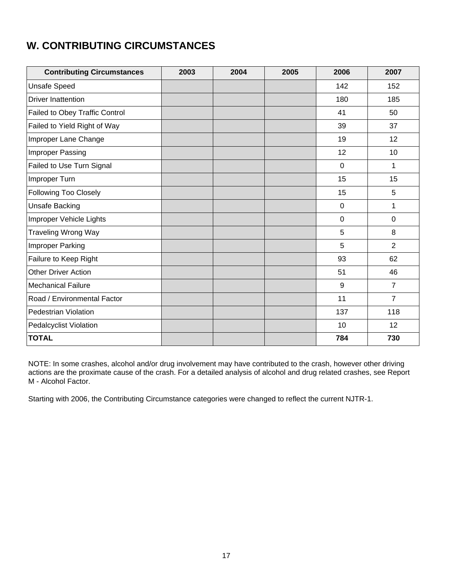### **W. CONTRIBUTING CIRCUMSTANCES**

| <b>Contributing Circumstances</b> | 2003 | 2004 | 2005 | 2006        | 2007           |
|-----------------------------------|------|------|------|-------------|----------------|
| <b>Unsafe Speed</b>               |      |      |      | 142         | 152            |
| <b>Driver Inattention</b>         |      |      |      | 180         | 185            |
| Failed to Obey Traffic Control    |      |      |      | 41          | 50             |
| Failed to Yield Right of Way      |      |      |      | 39          | 37             |
| Improper Lane Change              |      |      |      | 19          | 12             |
| Improper Passing                  |      |      |      | 12          | 10             |
| Failed to Use Turn Signal         |      |      |      | $\mathbf 0$ | 1              |
| Improper Turn                     |      |      |      | 15          | 15             |
| Following Too Closely             |      |      |      | 15          | 5              |
| <b>Unsafe Backing</b>             |      |      |      | $\mathbf 0$ | 1              |
| Improper Vehicle Lights           |      |      |      | $\mathbf 0$ | $\mathbf 0$    |
| <b>Traveling Wrong Way</b>        |      |      |      | 5           | 8              |
| Improper Parking                  |      |      |      | 5           | $\overline{2}$ |
| Failure to Keep Right             |      |      |      | 93          | 62             |
| <b>Other Driver Action</b>        |      |      |      | 51          | 46             |
| <b>Mechanical Failure</b>         |      |      |      | 9           | $\overline{7}$ |
| Road / Environmental Factor       |      |      |      | 11          | $\overline{7}$ |
| Pedestrian Violation              |      |      |      | 137         | 118            |
| <b>Pedalcyclist Violation</b>     |      |      |      | 10          | 12             |
| <b>TOTAL</b>                      |      |      |      | 784         | 730            |

NOTE: In some crashes, alcohol and/or drug involvement may have contributed to the crash, however other driving actions are the proximate cause of the crash. For a detailed analysis of alcohol and drug related crashes, see Report M - Alcohol Factor.

Starting with 2006, the Contributing Circumstance categories were changed to reflect the current NJTR-1.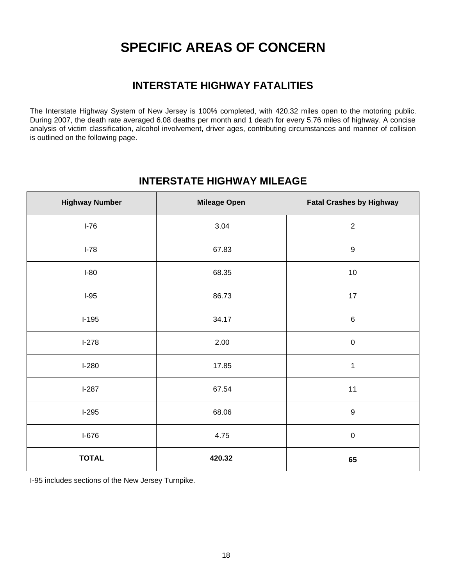# **SPECIFIC AREAS OF CONCERN**

### **INTERSTATE HIGHWAY FATALITIES**

The Interstate Highway System of New Jersey is 100% completed, with 420.32 miles open to the motoring public. During 2007, the death rate averaged 6.08 deaths per month and 1 death for every 5.76 miles of highway. A concise analysis of victim classification, alcohol involvement, driver ages, contributing circumstances and manner of collision is outlined on the following page.

### **INTERSTATE HIGHWAY MILEAGE**

| <b>Highway Number</b> | <b>Mileage Open</b> | <b>Fatal Crashes by Highway</b> |
|-----------------------|---------------------|---------------------------------|
| $I-76$                | 3.04                | $\overline{2}$                  |
| $I-78$                | 67.83               | $\boldsymbol{9}$                |
| $I-80$                | 68.35               | $10$                            |
| $I-95$                | 86.73               | $17$                            |
| $I-195$               | 34.17               | $\,6\,$                         |
| $I-278$               | 2.00                | $\pmb{0}$                       |
| $I-280$               | 17.85               | $\mathbf 1$                     |
| $I-287$               | 67.54               | 11                              |
| $I-295$               | 68.06               | $\mathsf g$                     |
| $I-676$               | 4.75                | $\pmb{0}$                       |
| <b>TOTAL</b>          | 420.32              | 65                              |

I-95 includes sections of the New Jersey Turnpike.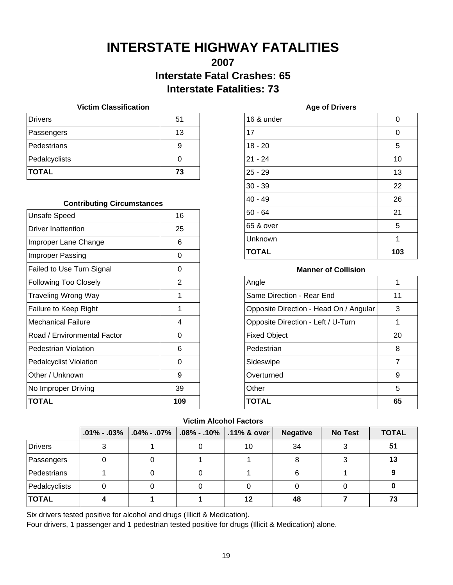# **INTERSTATE HIGHWAY FATALITIES**

### **2007 Interstate Fatal Crashes: 65 Interstate Fatalities: 73**

#### **Victim Classification**

| <b>Drivers</b> | 51 |
|----------------|----|
| Passengers     | 13 |
| Pedestrians    |    |
| Pedalcyclists  |    |
| <b>TOTAL</b>   | 73 |

#### **Contributing Circumstances**

| <b>Unsafe Speed</b>           | 16  |
|-------------------------------|-----|
| Driver Inattention            | 25  |
| Improper Lane Change          | 6   |
| Improper Passing              | O   |
| Failed to Use Turn Signal     | 0   |
| <b>Following Too Closely</b>  | 2   |
| Traveling Wrong Way           | 1   |
| Failure to Keep Right         | 1   |
| Mechanical Failure            | 4   |
| Road / Environmental Factor   | O   |
| Pedestrian Violation          | 6   |
| <b>Pedalcyclist Violation</b> | O   |
| Other / Unknown               | 9   |
| No Improper Driving           | 39  |
| TOTAL                         | 109 |

| 16 & under   | 0   |
|--------------|-----|
| 17           | 0   |
| $18 - 20$    | 5   |
| $21 - 24$    | 10  |
| $25 - 29$    | 13  |
| $30 - 39$    | 22  |
| $40 - 49$    | 26  |
| $50 - 64$    | 21  |
| 65 & over    | 5   |
| Unknown      | 1   |
| <b>TOTAL</b> | 103 |

**Age of Drivers**

#### **Manner of Collision**

| Angle                                  | 1  |
|----------------------------------------|----|
| Same Direction - Rear End              | 11 |
| Opposite Direction - Head On / Angular | 3  |
| Opposite Direction - Left / U-Turn     | 1  |
| <b>Fixed Object</b>                    | 20 |
| Pedestrian                             | 8  |
| Sideswipe                              | 7  |
| Overturned                             | 9  |
| Other                                  | 5  |
| <b>TOTAL</b>                           | 65 |

#### **Victim Alcohol Factors**

|                | $.01\% - .03\%$ | $\vert$ .04% - .07% | $\vert$ .08% - .10% | $\vert$ .11% & over | <b>Negative</b> | <b>No Test</b> | <b>TOTAL</b> |
|----------------|-----------------|---------------------|---------------------|---------------------|-----------------|----------------|--------------|
| <b>Drivers</b> |                 |                     |                     | 10                  | 34              |                | 51           |
| Passengers     |                 |                     |                     |                     |                 |                | 13           |
| Pedestrians    |                 |                     |                     |                     | 6               |                |              |
| Pedalcyclists  |                 |                     |                     |                     |                 |                |              |
| <b>TOTAL</b>   |                 |                     |                     | 12                  | 48              |                | 73           |

Six drivers tested positive for alcohol and drugs (Illicit & Medication).

Four drivers, 1 passenger and 1 pedestrian tested positive for drugs (Illicit & Medication) alone.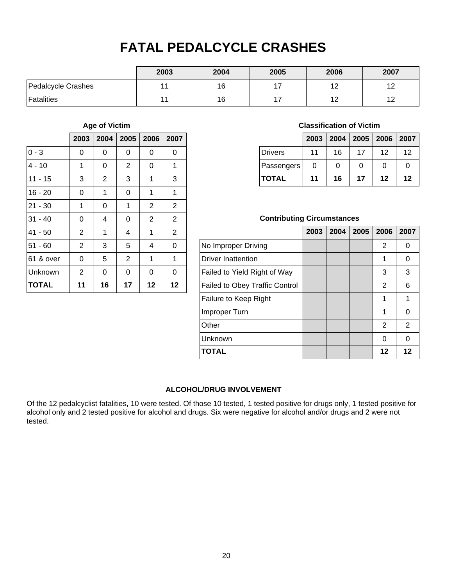# **FATAL PEDALCYCLE CRASHES**

|                    | 2003 | 2004 | 2005 | 2006      | 2007 |
|--------------------|------|------|------|-----------|------|
| Pedalcycle Crashes | 11   | 16   | -    | 10        | 12   |
| <b>Fatalities</b>  | 11   | 16   | -    | 10<br>' 4 | . .  |

#### **Age of Victim**

|              | 2003           | 2004           | 2005           | 2006           | 2007           |
|--------------|----------------|----------------|----------------|----------------|----------------|
| $0 - 3$      | 0              | 0              | 0              | 0              | 0              |
| $4 - 10$     | 1              | 0              | $\overline{2}$ | 0              | 1              |
| $11 - 15$    | 3              | $\overline{2}$ | 3              | 1              | 3              |
| $16 - 20$    | 0              | 1              | 0              | 1              | 1              |
| $21 - 30$    | 1              | 0              | 1              | $\overline{2}$ | $\overline{2}$ |
| $31 - 40$    | 0              | 4              | 0              | $\overline{2}$ | $\overline{2}$ |
| $41 - 50$    | $\overline{2}$ | 1              | 4              | 1              | $\overline{2}$ |
| $51 - 60$    | $\overline{2}$ | 3              | 5              | 4              | 0              |
| 61 & over    | 0              | 5              | $\overline{2}$ | 1              | 1              |
| Unknown      | 2              | 0              | 0              | 0              | 0              |
| <b>TOTAL</b> | 11             | 16             | 17             | 12             | 12             |

#### **Classification of Victim**

|                |    | 2003   2004   2005   2006   2007 |    |    |    |
|----------------|----|----------------------------------|----|----|----|
| <b>Drivers</b> | 11 | 16                               | 17 | 12 | 12 |
| Passengers     | 0  | 0                                | 0  | 0  | O  |
| <b>TOTAL</b>   | 11 | 16                               | 17 | 12 | 12 |

#### **Contributing Circumstances**

|                                       | 2003 | 2004 | 2005 | 2006 | 2007 |
|---------------------------------------|------|------|------|------|------|
| No Improper Driving                   |      |      |      | 2    | 0    |
| <b>Driver Inattention</b>             |      |      |      | 1    | 0    |
| Failed to Yield Right of Way          |      |      |      | 3    | 3    |
| <b>Failed to Obey Traffic Control</b> |      |      |      | 2    | 6    |
| Failure to Keep Right                 |      |      |      | 1    | 1    |
| Improper Turn                         |      |      |      | 1    | 0    |
| Other                                 |      |      |      | 2    | 2    |
| Unknown                               |      |      |      | 0    | ∩    |
| <b>TOTAL</b>                          |      |      |      | 12   | 12   |

#### **ALCOHOL/DRUG INVOLVEMENT**

Of the 12 pedalcyclist fatalities, 10 were tested. Of those 10 tested, 1 tested positive for drugs only, 1 tested positive for alcohol only and 2 tested positive for alcohol and drugs. Six were negative for alcohol and/or drugs and 2 were not tested.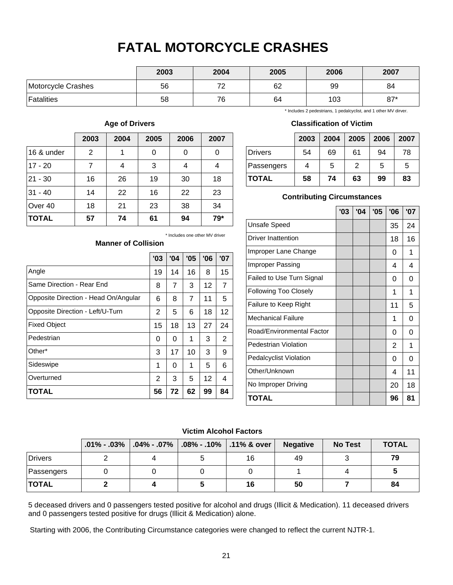# **FATAL MOTORCYCLE CRASHES**

|                    | 2003 | 2004 | 2005 | 2006 | 2007  |
|--------------------|------|------|------|------|-------|
| Motorcycle Crashes | 56   | 70   | 62   | 99   | 84    |
| Fatalities         | 58   | 76   | 64   | 103  | $87*$ |

#### **Age of Drivers**

|              | 2003           | 2004 | 2005 | 2006 | 2007 |
|--------------|----------------|------|------|------|------|
| 16 & under   | $\overline{2}$ | 1    | 0    | 0    | 0    |
| $17 - 20$    | 7              | 4    | 3    | 4    | 4    |
| $21 - 30$    | 16             | 26   | 19   | 30   | 18   |
| $31 - 40$    | 14             | 22   | 16   | 22   | 23   |
| Over 40      | 18             | 21   | 23   | 38   | 34   |
| <b>TOTAL</b> | 57             | 74   | 61   | 94   | 79*  |

**Manner of Collision**

#### \* Includes 2 pedestrians, 1 pedalcyclist, and 1 other MV dirver.

#### **Classification of Victim**

|              | 2003 | 2004 | $\vert$ 2005 | 2006 | 2007 |
|--------------|------|------|--------------|------|------|
| Drivers      | 54   | 69   | 61           | 94   | 78   |
| Passengers   | 4    | 5    | 2            | 5    | 5    |
| <b>TOTAL</b> | 58   | 74   | 63           | 99   | 83   |

#### **Contributing Circumstances**

|                               | '03 | '04 | '05 | '06 | '07 |
|-------------------------------|-----|-----|-----|-----|-----|
| <b>Unsafe Speed</b>           |     |     |     | 35  | 24  |
| <b>Driver Inattention</b>     |     |     |     | 18  | 16  |
| Improper Lane Change          |     |     |     | 0   | 1   |
| Improper Passing              |     |     |     | 4   | 4   |
| Failed to Use Turn Signal     |     |     |     | 0   | 0   |
| Following Too Closely         |     |     |     | 1   | 1   |
| Failure to Keep Right         |     |     |     | 11  | 5   |
| <b>Mechanical Failure</b>     |     |     |     | 1   | 0   |
| Road/Environmental Factor     |     |     |     | 0   | 0   |
| Pedestrian Violation          |     |     |     | 2   | 1   |
| <b>Pedalcyclist Violation</b> |     |     |     | 0   | 0   |
| Other/Unknown                 |     |     |     | 4   | 11  |
| No Improper Driving           |     |     |     | 20  | 18  |
| TOTAL                         |     |     |     | 96  | 81  |

\* Includes one other MV driver

|                                      | '03 | '04 | '05            | '06 | '07 |
|--------------------------------------|-----|-----|----------------|-----|-----|
| Angle                                | 19  | 14  | 16             | 8   | 15  |
| Same Direction - Rear End            | 8   | 7   | 3              | 12  | 7   |
| Opposite Direction - Head On/Angular | 6   | 8   | $\overline{7}$ | 11  | 5   |
| Opposite Direction - Left/U-Turn     | 2   | 5   | 6              | 18  | 12  |
| <b>Fixed Object</b>                  | 15  | 18  | 13             | 27  | 24  |
| Pedestrian                           | 0   | 0   | 1              | 3   | 2   |
| Other*                               | 3   | 17  | 10             | 3   | 9   |
| Sideswipe                            | 1   | 0   | 1              | 5   | 6   |
| Overturned                           | 2   | 3   | 5              | 12  | 4   |
| <b>TOTAL</b>                         | 56  | 72  | 62             | 99  | 84  |

#### **Victim Alcohol Factors**

|                       | $.01\% - .03\%$ |  | $\mid$ .04% - .07% $\mid$ .08% - .10% $\mid$ .11% & over $\mid$ | <b>Negative</b> | <b>No Test</b> | <b>TOTAL</b> |
|-----------------------|-----------------|--|-----------------------------------------------------------------|-----------------|----------------|--------------|
| <i><b>Drivers</b></i> |                 |  | 16                                                              | 49              |                | 79           |
| Passengers            |                 |  |                                                                 |                 |                |              |
| <b>TOTAL</b>          |                 |  | 16                                                              | 50              |                | 84           |

5 deceased drivers and 0 passengers tested positive for alcohol and drugs (Illicit & Medication). 11 deceased drivers and 0 passengers tested positive for drugs (Illicit & Medication) alone.

Starting with 2006, the Contributing Circumstance categories were changed to reflect the current NJTR-1.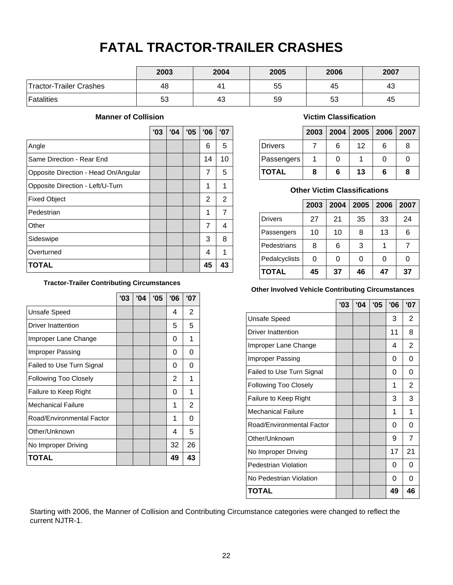# **FATAL TRACTOR-TRAILER CRASHES**

|                         | 2003 | 2004 | 2005 | 2006 | 2007 |
|-------------------------|------|------|------|------|------|
| Tractor-Trailer Crashes | 48   | 41   | 55   | 45   | 43   |
| <b>Fatalities</b>       | 53   | 43   | 59   | 53   | 45   |

#### **Manner of Collision**

|                                      | '03 | '04 | '05 | '06 | '07 |
|--------------------------------------|-----|-----|-----|-----|-----|
| Angle                                |     |     |     | 6   | 5   |
| Same Direction - Rear End            |     |     |     | 14  | 10  |
| Opposite Direction - Head On/Angular |     |     |     | 7   | 5   |
| Opposite Direction - Left/U-Turn     |     |     |     | 1   |     |
| <b>Fixed Object</b>                  |     |     |     | 2   | 2   |
| Pedestrian                           |     |     |     | 1   | 7   |
| Other                                |     |     |     | 7   | 4   |
| Sideswipe                            |     |     |     | 3   | 8   |
| Overturned                           |     |     |     | 4   |     |
| <b>TOTAL</b>                         |     |     |     | 45  | 43  |

**Tractor-Trailer Contributing Circumstances**

|                              | '03 | '04 | '05 | '06 | '07 |
|------------------------------|-----|-----|-----|-----|-----|
| Unsafe Speed                 |     |     |     | 4   | 2   |
| Driver Inattention           |     |     |     | 5   | 5   |
| Improper Lane Change         |     |     |     | 0   | 1   |
| Improper Passing             |     |     |     | 0   | 0   |
| Failed to Use Turn Signal    |     |     |     | 0   | 0   |
| <b>Following Too Closely</b> |     |     |     | 2   | 1   |
| Failure to Keep Right        |     |     |     | 0   | 1   |
| <b>Mechanical Failure</b>    |     |     |     | 1   | 2   |
| Road/Environmental Factor    |     |     |     | 1   | 0   |
| Other/Unknown                |     |     |     | 4   | 5   |
| No Improper Driving          |     |     |     | 32  | 26  |
| TOTAL                        |     |     |     | 49  | 43  |

#### **Victim Classification**

|                |   |   | 2003   2004   2005   2006   2007 |   |   |
|----------------|---|---|----------------------------------|---|---|
| <b>Drivers</b> |   | 6 | 12                               | 6 | 8 |
| Passengers     |   | 0 |                                  | O |   |
| <b>TOTAL</b>   | 8 | 6 | 13                               | 6 | 8 |

#### **Other Victim Classifications**

|                | 2003 | 2004 | 2005 | 2006 | 2007 |
|----------------|------|------|------|------|------|
| <b>Drivers</b> | 27   | 21   | 35   | 33   | 24   |
| Passengers     | 10   | 10   | 8    | 13   | 6    |
| Pedestrians    | 8    | 6    | 3    |      |      |
| Pedalcyclists  | 0    | 0    | 0    | 0    |      |
| <b>TOTAL</b>   | 45   | 37   | 46   | 47   | 37   |

#### **Other Involved Vehicle Contributing Circumstances**

|                           | '03 | '04 | '05 | 06 | '07            |
|---------------------------|-----|-----|-----|----|----------------|
| Unsafe Speed              |     |     |     | 3  | 2              |
| Driver Inattention        |     |     |     | 11 | 8              |
| Improper Lane Change      |     |     |     | 4  | $\overline{2}$ |
| Improper Passing          |     |     |     | 0  | O              |
| Failed to Use Turn Signal |     |     |     | 0  | 0              |
| Following Too Closely     |     |     |     | 1  | 2              |
| Failure to Keep Right     |     |     |     | 3  | 3              |
| <b>Mechanical Failure</b> |     |     |     | 1  | 1              |
| Road/Environmental Factor |     |     |     | 0  | 0              |
| Other/Unknown             |     |     |     | 9  | $\overline{7}$ |
| No Improper Driving       |     |     |     | 17 | 21             |
| Pedestrian Violation      |     |     |     | 0  | O              |
| No Pedestrian Violation   |     |     |     | 0  | 0              |
| TOTAL                     |     |     |     | 49 | 46             |

Starting with 2006, the Manner of Collision and Contributing Circumstance categories were changed to reflect the current NJTR-1.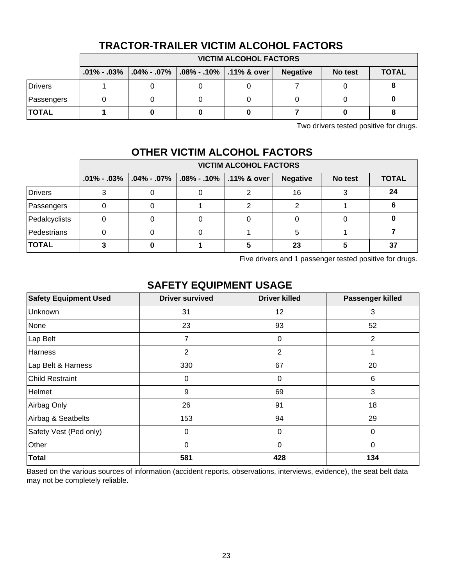|                |  | <b>VICTIM ALCOHOL FACTORS</b>                                        |  |  |                 |         |              |  |  |
|----------------|--|----------------------------------------------------------------------|--|--|-----------------|---------|--------------|--|--|
|                |  | $.01\%$ - $.03\%$ $.04\%$ - $.07\%$ $.08\%$ - $.10\%$ $.11\%$ & over |  |  | <b>Negative</b> | No test | <b>TOTAL</b> |  |  |
| <b>Drivers</b> |  |                                                                      |  |  |                 |         |              |  |  |
| Passengers     |  |                                                                      |  |  |                 |         |              |  |  |
| <b>TOTAL</b>   |  |                                                                      |  |  |                 |         |              |  |  |

### **TRACTOR-TRAILER VICTIM ALCOHOL FACTORS**

Two drivers tested positive for drugs.

### **OTHER VICTIM ALCOHOL FACTORS**

|               | <b>VICTIM ALCOHOL FACTORS</b> |                                  |                                         |  |                 |         |              |  |
|---------------|-------------------------------|----------------------------------|-----------------------------------------|--|-----------------|---------|--------------|--|
|               |                               | $.01\%$ - $.03\%$ $.04\%$ - .07% | $\vert$ .08% - .10% $\vert$ .11% & over |  | <b>Negative</b> | No test | <b>TOTAL</b> |  |
| Drivers       |                               |                                  |                                         |  | 16              |         | 24           |  |
| Passengers    |                               |                                  |                                         |  |                 |         |              |  |
| Pedalcyclists |                               |                                  |                                         |  |                 |         |              |  |
| Pedestrians   |                               |                                  |                                         |  |                 |         |              |  |
| <b>TOTAL</b>  |                               |                                  |                                         |  | 23              |         | 37           |  |

Five drivers and 1 passenger tested positive for drugs.

### **SAFETY EQUIPMENT USAGE**

| <b>Safety Equipment Used</b> | <b>Driver survived</b> | <b>Driver killed</b> | Passenger killed |
|------------------------------|------------------------|----------------------|------------------|
| Unknown                      | 31                     | 12                   | 3                |
| None                         | 23                     | 93                   | 52               |
| Lap Belt                     | $\overline{7}$         | 0                    | $\overline{2}$   |
| Harness                      | $\overline{2}$         | $\overline{2}$       | 1                |
| Lap Belt & Harness           | 330                    | 67                   | 20               |
| <b>Child Restraint</b>       | $\mathbf 0$            | 0                    | 6                |
| Helmet                       | 9                      | 69                   | 3                |
| Airbag Only                  | 26                     | 91                   | 18               |
| Airbag & Seatbelts           | 153                    | 94                   | 29               |
| Safety Vest (Ped only)       | 0                      | 0                    | $\overline{0}$   |
| Other                        | 0                      | $\mathbf 0$          | $\Omega$         |
| <b>Total</b>                 | 581                    | 428                  | 134              |

Based on the various sources of information (accident reports, observations, interviews, evidence), the seat belt data may not be completely reliable.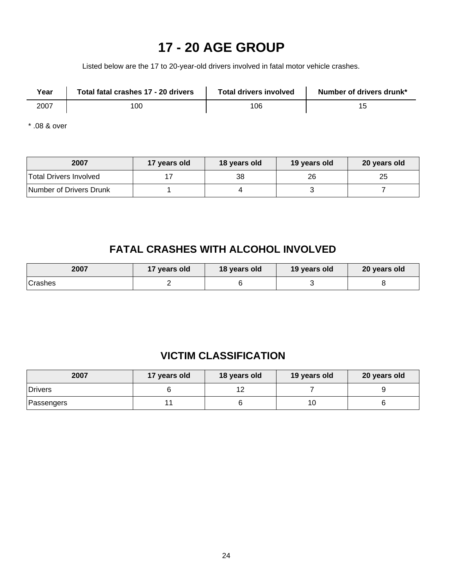# **17 - 20 AGE GROUP**

Listed below are the 17 to 20-year-old drivers involved in fatal motor vehicle crashes.

| Year | Total fatal crashes 17 - 20 drivers | <b>Total drivers involved</b> | Number of drivers drunk* |
|------|-------------------------------------|-------------------------------|--------------------------|
| 2007 | 100                                 | 106                           |                          |

\* .08 & over

| 2007                    | 17 years old | 18 years old | 19 years old | 20 years old |
|-------------------------|--------------|--------------|--------------|--------------|
| Total Drivers Involved  |              | 38           | 26           | 25           |
| Number of Drivers Drunk |              |              |              |              |

### **FATAL CRASHES WITH ALCOHOL INVOLVED**

| 2007    | 17 years old | 18 years old | 19 years old | 20 years old |
|---------|--------------|--------------|--------------|--------------|
| Crashes |              |              |              |              |

### **VICTIM CLASSIFICATION**

| 2007       | 17 years old | 18 years old | 19 years old | 20 years old |  |
|------------|--------------|--------------|--------------|--------------|--|
| Drivers    |              |              |              |              |  |
| Passengers |              |              | 1 C          |              |  |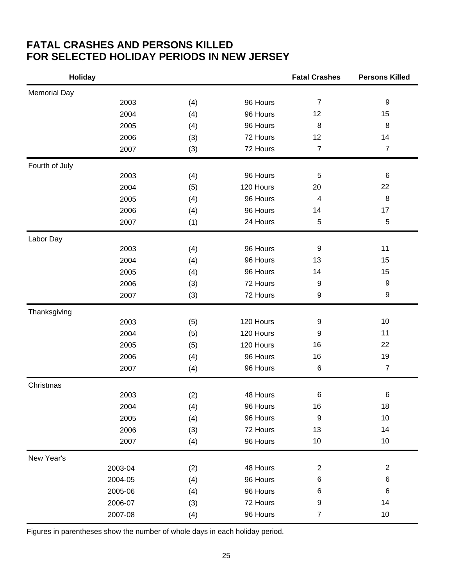### **FATAL CRASHES AND PERSONS KILLED FOR SELECTED HOLIDAY PERIODS IN NEW JERSEY**

| <b>Holiday</b>      |         |     |           | <b>Fatal Crashes</b>    | <b>Persons Killed</b> |
|---------------------|---------|-----|-----------|-------------------------|-----------------------|
| <b>Memorial Day</b> |         |     |           |                         |                       |
|                     | 2003    | (4) | 96 Hours  | $\overline{7}$          | $\boldsymbol{9}$      |
|                     | 2004    | (4) | 96 Hours  | 12                      | 15                    |
|                     | 2005    | (4) | 96 Hours  | 8                       | 8                     |
|                     | 2006    | (3) | 72 Hours  | 12                      | 14                    |
|                     | 2007    | (3) | 72 Hours  | $\overline{7}$          | $\overline{7}$        |
| Fourth of July      |         |     |           |                         |                       |
|                     | 2003    | (4) | 96 Hours  | 5                       | 6                     |
|                     | 2004    | (5) | 120 Hours | 20                      | 22                    |
|                     | 2005    | (4) | 96 Hours  | 4                       | $\bf 8$               |
|                     | 2006    | (4) | 96 Hours  | 14                      | 17                    |
|                     | 2007    | (1) | 24 Hours  | 5                       | $\mathbf 5$           |
| Labor Day           |         |     |           |                         |                       |
|                     | 2003    | (4) | 96 Hours  | 9                       | 11                    |
|                     | 2004    | (4) | 96 Hours  | 13                      | 15                    |
|                     | 2005    | (4) | 96 Hours  | 14                      | 15                    |
|                     | 2006    | (3) | 72 Hours  | 9                       | $\boldsymbol{9}$      |
|                     | 2007    | (3) | 72 Hours  | 9                       | 9                     |
| Thanksgiving        |         |     |           |                         |                       |
|                     | 2003    | (5) | 120 Hours | 9                       | 10                    |
|                     | 2004    | (5) | 120 Hours | 9                       | 11                    |
|                     | 2005    | (5) | 120 Hours | 16                      | 22                    |
|                     | 2006    | (4) | 96 Hours  | 16                      | 19                    |
|                     | 2007    | (4) | 96 Hours  | $\,6$                   | $\overline{7}$        |
| Christmas           |         |     |           |                         |                       |
|                     | 2003    | (2) | 48 Hours  | 6                       | 6                     |
|                     | 2004    | (4) | 96 Hours  | 16                      | 18                    |
|                     | 2005    | (4) | 96 Hours  | 9                       | 10                    |
|                     | 2006    | (3) | 72 Hours  | 13                      | 14                    |
|                     | 2007    | (4) | 96 Hours  | 10                      | 10                    |
| New Year's          |         |     |           |                         |                       |
|                     | 2003-04 | (2) | 48 Hours  | $\overline{\mathbf{c}}$ | $\overline{c}$        |
|                     | 2004-05 | (4) | 96 Hours  | 6                       | 6                     |
|                     | 2005-06 | (4) | 96 Hours  | 6                       | 6                     |
|                     | 2006-07 | (3) | 72 Hours  | 9                       | 14                    |
|                     | 2007-08 | (4) | 96 Hours  | $\overline{7}$          | 10                    |

Figures in parentheses show the number of whole days in each holiday period.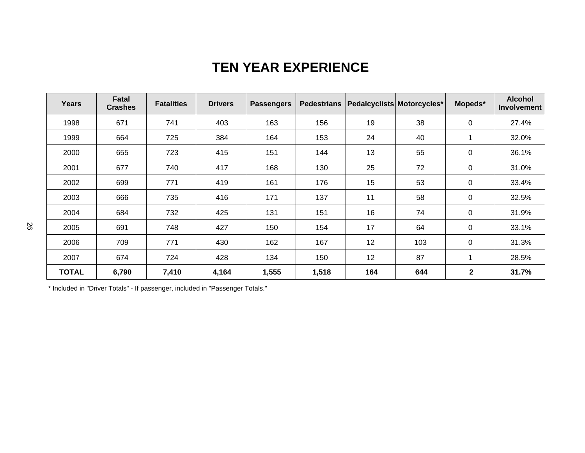# **TEN YEAR EXPERIENCE**

| <b>Years</b> | Fatal<br><b>Crashes</b> | <b>Fatalities</b> | <b>Drivers</b> | <b>Passengers</b> | <b>Pedestrians</b> | Pedalcyclists Motorcycles* |     | Mopeds*      | <b>Alcohol</b><br><b>Involvement</b> |
|--------------|-------------------------|-------------------|----------------|-------------------|--------------------|----------------------------|-----|--------------|--------------------------------------|
| 1998         | 671                     | 741               | 403            | 163               | 156                | 19                         | 38  | $\mathbf 0$  | 27.4%                                |
| 1999         | 664                     | 725               | 384            | 164               | 153                | 24                         | 40  | 1            | 32.0%                                |
| 2000         | 655                     | 723               | 415            | 151               | 144                | 13                         | 55  | 0            | 36.1%                                |
| 2001         | 677                     | 740               | 417            | 168               | 130                | 25                         | 72  | $\mathbf 0$  | 31.0%                                |
| 2002         | 699                     | 771               | 419            | 161               | 176                | 15                         | 53  | $\mathbf 0$  | 33.4%                                |
| 2003         | 666                     | 735               | 416            | 171               | 137                | 11                         | 58  | $\mathbf 0$  | 32.5%                                |
| 2004         | 684                     | 732               | 425            | 131               | 151                | 16                         | 74  | 0            | 31.9%                                |
| 2005         | 691                     | 748               | 427            | 150               | 154                | 17                         | 64  | $\mathbf 0$  | 33.1%                                |
| 2006         | 709                     | 771               | 430            | 162               | 167                | 12                         | 103 | $\mathbf 0$  | 31.3%                                |
| 2007         | 674                     | 724               | 428            | 134               | 150                | 12                         | 87  | 1            | 28.5%                                |
| <b>TOTAL</b> | 6,790                   | 7,410             | 4,164          | 1,555             | 1,518              | 164                        | 644 | $\mathbf{2}$ | 31.7%                                |

\* Included in "Driver Totals" - If passenger, included in "Passenger Totals."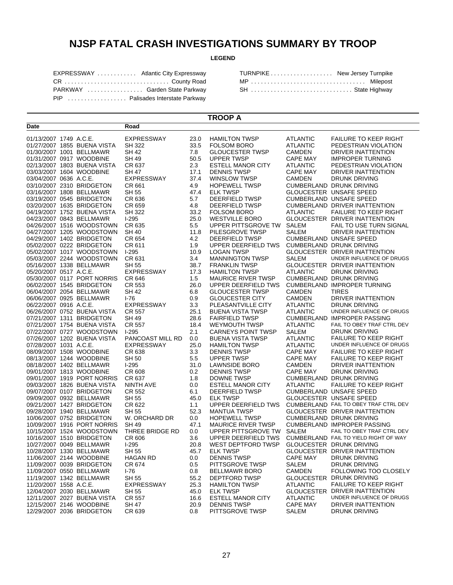### **NJSP FATAL CRASH INVESTIGATIONS SUMMARY BY TROOP**

#### **LEGEND**

| EXPRESSWAY  Atlantic City Expressway |  |
|--------------------------------------|--|
| CR  County Road                      |  |
| PARKWAY  Garden State Parkway        |  |
| PIP  Palisades Interstate Parkway    |  |

**Road**

**Date**

| TURNPIKE New Jersey Turnpike |  |
|------------------------------|--|
| MP  Milepost                 |  |
| SH  State Highway            |  |

#### **TROOP A**

|                        |                                    | .                 |      |                           |                 |                                       |
|------------------------|------------------------------------|-------------------|------|---------------------------|-----------------|---------------------------------------|
| 01/13/2007 1749 A.C.E. |                                    | EXPRESSWAY        | 23.0 | <b>HAMILTON TWSP</b>      | <b>ATLANTIC</b> | <b>FAILURE TO KEEP RIGHT</b>          |
|                        | 01/27/2007 1855 BUENA VISTA        | SH 322            | 33.5 | <b>FOLSOM BORO</b>        | <b>ATLANTIC</b> | PEDESTRIAN VIOLATION                  |
|                        | 01/30/2007 1001 BELLMAWR           | SH 42             | 7.8  | <b>GLOUCESTER TWSP</b>    | CAMDEN          | DRIVER INATTENTION                    |
|                        | 01/31/2007 0917 WOODBINE           | SH 49             | 50.5 | UPPER TWSP                | <b>CAPE MAY</b> | <b>IMPROPER TURNING</b>               |
|                        | 02/13/2007 1803 BUENA VISTA        | CR 637            | 2.3  | <b>ESTELL MANOR CITY</b>  | <b>ATLANTIC</b> | PEDESTRIAN VIOLATION                  |
|                        | 03/03/2007 1604 WOODBINE           | SH 47             | 17.1 | <b>DENNIS TWSP</b>        | <b>CAPE MAY</b> | DRIVER INATTENTION                    |
| 03/04/2007 0636 A.C.E. |                                    | <b>EXPRESSWAY</b> | 37.4 | WINSLOW TWSP              | <b>CAMDEN</b>   | <b>DRUNK DRIVING</b>                  |
|                        | 03/10/2007 2310 BRIDGETON          | CR 661            | 4.9  | <b>HOPEWELL TWSP</b>      |                 | CUMBERLAND DRUNK DRIVING              |
|                        | 03/16/2007 1808 BELLMAWR           | SH 55             | 47.4 | <b>ELK TWSP</b>           |                 | GLOUCESTER UNSAFE SPEED               |
|                        | 03/19/2007 0545 BRIDGETON          | CR 636            | 5.7  | DEERFIELD TWSP            |                 | <b>CUMBERLAND UNSAFE SPEED</b>        |
|                        | 03/20/2007 1635 BRIDGETON          | CR 659            | 4.8  | DEERFIELD TWSP            |                 | CUMBERLAND DRIVER INATTENTION         |
|                        | 04/19/2007 1752 BUENA VISTA        | <b>SH 322</b>     | 33.2 | <b>FOLSOM BORO</b>        | <b>ATLANTIC</b> | <b>FAILURE TO KEEP RIGHT</b>          |
|                        | 04/23/2007 0843 BELLMAWR           | $1-295$           | 25.0 | <b>WESTVILLE BORO</b>     |                 | GLOUCESTER DRIVER INATTENTION         |
|                        | 04/26/2007 1516 WOODSTOWN          | CR 635            | 5.5  | UPPER PITTSGROVE TW       | SALEM           | FAIL TO USE TURN SIGNAL               |
|                        | 04/27/2007 1205 WOODSTOWN          | SH 40             | 11.8 | PILESGROVE TWSP           | <b>SALEM</b>    | DRIVER INATTENTION                    |
|                        | 04/29/2007 1402 BRIDGETON          | CR 654            | 4.2  | DEERFIELD TWSP            |                 | <b>CUMBERLAND UNSAFE SPEED</b>        |
|                        | 05/02/2007 0222 BRIDGETON          | CR 611            | 1.9  | UPPER DEERFIELD TWS       |                 | <b>CUMBERLAND DRUNK DRIVING</b>       |
|                        | 05/02/2007 1017 WOODSTOWN          | $1-295$           | 10.9 | <b>LOGAN TWSP</b>         |                 | GLOUCESTER DRIVER INATTENTION         |
|                        | 05/03/2007 2244 WOODSTOWN          | CR 631            | 3.4  | <b>MANNINGTON TWSP</b>    | <b>SALEM</b>    | UNDER INFLUENCE OF DRUGS              |
|                        | 05/16/2007 1338 BELLMAWR           | SH 55             | 38.7 | <b>FRANKLIN TWSP</b>      |                 | GLOUCESTER DRIVER INATTENTION         |
| 05/20/2007 0517 A.C.E. |                                    | <b>EXPRESSWAY</b> | 17.3 | <b>HAMILTON TWSP</b>      | <b>ATLANTIC</b> | <b>DRUNK DRIVING</b>                  |
|                        | 05/30/2007 0117 PORT NORRIS CR 646 |                   | 1.5  | <b>MAURICE RIVER TWSP</b> |                 | CUMBERLAND DRUNK DRIVING              |
|                        | 06/02/2007 1545 BRIDGETON          | CR 553            | 26.0 | UPPER DEERFIELD TWS       |                 | <b>CUMBERLAND IMPROPER TURNING</b>    |
|                        | 06/04/2007 2054 BELLMAWR           | SH 42             | 6.8  | <b>GLOUCESTER TWSP</b>    | <b>CAMDEN</b>   | <b>TIRES</b>                          |
|                        | 06/06/2007 0925 BELLMAWR           | $I-76$            | 0.9  | <b>GLOUCESTER CITY</b>    | <b>CAMDEN</b>   | DRIVER INATTENTION                    |
| 06/22/2007 0916 A.C.E. |                                    | EXPRESSWAY        | 3.3  | PLEASANTVILLE CITY        | <b>ATLANTIC</b> | <b>DRUNK DRIVING</b>                  |
|                        | 06/26/2007 0752 BUENA VISTA        | CR 557            | 25.1 | <b>BUENA VISTA TWSP</b>   | <b>ATLANTIC</b> | UNDER INFLUENCE OF DRUGS              |
|                        | 07/21/2007 1311 BRIDGETON          | SH 49             | 28.6 | <b>FAIRFIELD TWSP</b>     |                 | CUMBERLAND IMPROPER PASSING           |
|                        | 07/21/2007 1754 BUENA VISTA        | CR 557            | 18.4 | WEYMOUTH TWSP             | <b>ATLANTIC</b> | FAIL TO OBEY TRAF CTRL DEV            |
|                        | 07/22/2007 0727 WOODSTOWN          | $1-295$           | 2.1  | <b>CARNEYS POINT TWSP</b> | <b>SALEM</b>    | <b>DRUNK DRIVING</b>                  |
|                        | 07/26/2007 1202 BUENA VISTA        | PANCOAST MILL RD  | 0.0  | <b>BUENA VISTA TWSP</b>   | <b>ATLANTIC</b> | <b>FAILURE TO KEEP RIGHT</b>          |
| 07/28/2007 1031 A.C.E. |                                    | <b>EXPRESSWAY</b> | 25.0 | <b>HAMILTON TWSP</b>      | <b>ATLANTIC</b> | UNDER INFLUENCE OF DRUGS              |
|                        | 08/09/2007 1508 WOODBINE           | CR 638            | 3.3  | <b>DENNIS TWSP</b>        | CAPE MAY        | <b>FAILURE TO KEEP RIGHT</b>          |
|                        | 08/13/2007 1244 WOODBINE           | SH 50             | 5.5  | UPPER TWSP                | CAPE MAY        | <b>FAILURE TO KEEP RIGHT</b>          |
|                        | 08/18/2007 1402 BELLMAWR           | $I-295$           | 31.0 | LAWNSIDE BORO             | CAMDEN          | DRIVER INATTENTION                    |
|                        | 09/01/2007 1813 WOODBINE           | CR 608            | 0.2  | <b>DENNIS TWSP</b>        | <b>CAPE MAY</b> | <b>DRUNK DRIVING</b>                  |
|                        | 09/01/2007 1919 PORT NORRIS        | CR 637            | 1.8  | DOWNE TWSP                |                 | <b>CUMBERLAND DRUNK DRIVING</b>       |
|                        | 09/03/2007 1826 BUENA VISTA        | NINTH AVE         | 0.0  | <b>ESTELL MANOR CITY</b>  | <b>ATLANTIC</b> | <b>FAILURE TO KEEP RIGHT</b>          |
|                        | 09/07/2007 0107 BRIDGETON          | CR 552            | 6.1  | DEERFIELD TWSP            |                 | <b>CUMBERLAND UNSAFE SPEED</b>        |
|                        | 09/09/2007 0932 BELLMAWR           | SH 55             | 45.0 | <b>ELK TWSP</b>           |                 | GLOUCESTER UNSAFE SPEED               |
|                        | 09/21/2007 1427 BRIDGETON          | CR 622            | 1.1  | UPPER DEERFIELD TWS       |                 | CUMBERLAND FAIL TO OBEY TRAF CTRL DEV |
|                        | 09/28/2007 1940 BELLMAWR           | SH 55             | 52.3 | <b>MANTUA TWSP</b>        |                 | GLOUCESTER DRIVER INATTENTION         |
|                        | 10/06/2007 0752 BRIDGETON          | W. ORCHARD DR     | 0.0  | <b>HOPEWELL TWSP</b>      |                 | <b>CUMBERLAND DRUNK DRIVING</b>       |
|                        | 10/09/2007 1916 PORT NORRIS        | <b>SH 49</b>      | 47.1 | <b>MAURICE RIVER TWSP</b> |                 | <b>CUMBERLAND IMPROPER PASSING</b>    |
|                        | 10/15/2007 1524 WOODSTOWN          | THREE BRIDGE RD   | 0.0  | UPPER PITTSGROVE TW SALEM |                 | FAIL TO OBEY TRAF CTRL DEV            |
|                        | 10/16/2007 1510 BRIDGETON          | CR 606            | 3.6  | UPPER DEERFIELD TWS       |                 | CUMBERLAND FAIL TO YIELD RIGHT OF WAY |
|                        | 10/27/2007 0049 BELLMAWR           | $1-295$           | 20.8 | WEST DEPTFORD TWSP        |                 | GLOUCESTER DRUNK DRIVING              |
|                        | 10/28/2007 1330 BELLMAWR           | SH 55             | 45.7 | <b>ELK TWSP</b>           |                 | GLOUCESTER DRIVER INATTENTION         |
|                        | 11/06/2007 2144 WOODBINE           | <b>HAGAN RD</b>   | 0.0  | <b>DENNIS TWSP</b>        |                 | CAPE MAY DRUNK DRIVING                |
|                        | 11/09/2007 0039 BRIDGETON          | CR 674            | 0.5  | PITTSGROVE TWSP           | SALEM           | DRUNK DRIVING                         |
|                        | 11/09/2007 0550 BELLMAWR           | $1-76$            | 0.8  | <b>BELLMAWR BORO</b>      | CAMDEN          | FOLLOWING TOO CLOSELY                 |
|                        | 11/19/2007 1342 BELLMAWR           | SH 55             | 55.2 | <b>DEPTFORD TWSP</b>      |                 | GLOUCESTER DRUNK DRIVING              |
| 11/20/2007 1558 A.C.E. |                                    | EXPRESSWAY        | 25.3 | <b>HAMILTON TWSP</b>      | ATLANTIC        | <b>FAILURE TO KEEP RIGHT</b>          |
|                        | 12/04/2007 2030 BELLMAWR           | SH 55             | 45.0 | <b>ELK TWSP</b>           |                 | GLOUCESTER DRIVER INATTENTION         |
|                        | 12/11/2007 2027 BUENA VISTA        | CR 557            | 16.6 | <b>ESTELL MANOR CITY</b>  | <b>ATLANTIC</b> | UNDER INFLUENCE OF DRUGS              |
|                        | 12/15/2007 2146 WOODBINE           | SH 47             | 20.9 | <b>DENNIS TWSP</b>        | <b>CAPE MAY</b> | DRIVER INATTENTION                    |
|                        | 12/29/2007 2036 BRIDGETON          | CR 639            | 0.8  | PITTSGROVE TWSP           | SALEM           | DRUNK DRIVING                         |
|                        |                                    |                   |      |                           |                 |                                       |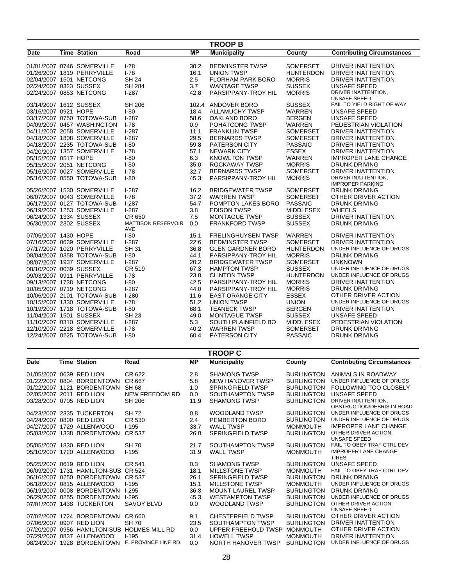|                         |                            |                           |           | <b>TROOP B</b>            |                  |                                                |
|-------------------------|----------------------------|---------------------------|-----------|---------------------------|------------------|------------------------------------------------|
| Date                    | <b>Time Station</b>        | Road                      | <b>MP</b> | <b>Municipality</b>       | County           | <b>Contributing Circumstances</b>              |
|                         |                            |                           |           |                           |                  |                                                |
|                         | 01/01/2007 0746 SOMERVILLE | $I-78$                    | 30.2      | <b>BEDMINSTER TWSP</b>    | <b>SOMERSET</b>  | <b>DRIVER INATTENTION</b>                      |
|                         | 01/26/2007 1819 PERRYVILLE | $I-78$                    | 16.1      | <b>UNION TWSP</b>         | <b>HUNTERDON</b> | <b>DRIVER INATTENTION</b>                      |
| 02/04/2007 1501 NETCONG |                            | <b>SH 24</b>              | 2.5       | <b>FLORHAM PARK BORO</b>  | <b>MORRIS</b>    | <b>DRIVER INATTENTION</b>                      |
| 02/24/2007 0323 SUSSEX  |                            | <b>SH 284</b>             | 3.7       | <b>WANTAGE TWSP</b>       | <b>SUSSEX</b>    | <b>UNSAFE SPEED</b>                            |
| 02/24/2007 0853 NETCONG |                            | $1-287$                   | 42.8      | PARSIPPANY-TROY HIL       | <b>MORRIS</b>    | DRIVER INATTENTION.                            |
| 03/14/2007 1612 SUSSEX  |                            | SH 206                    |           |                           | <b>SUSSEX</b>    | UNSAFE SPEED<br>FAIL TO YIELD RIGHT OF WAY     |
|                         |                            |                           | 102.4     | ANDOVER BORO              | <b>WARREN</b>    | <b>UNSAFE SPEED</b>                            |
| 03/16/2007 0921 HOPE    |                            | $I-80$                    | 18.4      | <b>ALLAMUCHY TWSP</b>     |                  |                                                |
|                         | 03/17/2007 0750 TOTOWA-SUB | $1-287$                   | 58.6      | <b>OAKLAND BORO</b>       | <b>BERGEN</b>    | <b>UNSAFE SPEED</b>                            |
|                         | 04/09/2007 0457 WASHINGTON | $I - 78$                  | 0.9       | POHATCONG TWSP            | <b>WARREN</b>    | PEDESTRIAN VIOLATION                           |
|                         | 04/11/2007 2058 SOMERVILLE | $1-287$                   | 11.1      | <b>FRANKLIN TWSP</b>      | <b>SOMERSET</b>  | <b>DRIVER INATTENTION</b>                      |
|                         | 04/18/2007 1808 SOMERVILLE | $1-287$                   | 29.5      | <b>BERNARDS TWSP</b>      | <b>SOMERSET</b>  | <b>DRIVER INATTENTION</b>                      |
|                         | 04/18/2007 2235 TOTOWA-SUB | $I - 80$                  | 59.8      | <b>PATERSON CITY</b>      | <b>PASSAIC</b>   | <b>DRIVER INATTENTION</b>                      |
|                         | 04/20/2007 1357 SOMERVILLE | $1-78$                    | 57.1      | <b>NEWARK CITY</b>        | <b>ESSEX</b>     | <b>DRIVER INATTENTION</b>                      |
| 05/15/2007 0517 HOPE    |                            | $1-80$                    | 6.3       | <b>KNOWLTON TWSP</b>      | <b>WARREN</b>    | <b>IMPROPER LANE CHANGE</b>                    |
| 05/15/2007 2051 NETCONG |                            | $I-80$                    | 35.0      | ROCKAWAY TWSP             | <b>MORRIS</b>    | <b>DRUNK DRIVING</b>                           |
|                         | 05/16/2007 0027 SOMERVILLE | $1-78$                    | 32.7      | <b>BERNARDS TWSP</b>      | <b>SOMERSET</b>  | <b>DRIVER INATTENTION</b>                      |
|                         | 05/16/2007 0550 TOTOWA-SUB | $I-80$                    | 45.3      | PARSIPPANY-TROY HIL       | <b>MORRIS</b>    | DRIVER INATTENTION,<br><b>IMPROPER PARKING</b> |
|                         | 05/26/2007 1530 SOMERVILLE | $1-287$                   | 16.2      | <b>BRIDGEWATER TWSP</b>   | <b>SOMERSET</b>  | <b>DRUNK DRIVING</b>                           |
|                         | 06/07/2007 0043 SOMERVILLE | $I - 78$                  | 37.2      | <b>WARREN TWSP</b>        | <b>SOMERSET</b>  | OTHER DRIVER ACTION                            |
|                         | 06/17/2007 0127 TOTOWA-SUB | $1-287$                   | 54.7      | POMPTON LAKES BORO        | <b>PASSAIC</b>   | <b>DRUNK DRIVING</b>                           |
|                         | 06/19/2007 1253 SOMERVILLE | $1-287$                   | 3.8       | <b>EDISON TWSP</b>        | <b>MIDDLESEX</b> | <b>WHEELS</b>                                  |
| 06/24/2007 1334 SUSSEX  |                            | CR 650                    | 7.5       | <b>MONTAGUE TWSP</b>      | <b>SUSSEX</b>    | <b>DRIVER INATTENTION</b>                      |
| 06/30/2007 2302 SUSSEX  |                            | <b>MATTISON RESERVOIR</b> | 0.0       | <b>FRANKFORD TWSP</b>     | <b>SUSSEX</b>    | <b>DRUNK DRIVING</b>                           |
|                         |                            | AVE                       |           |                           |                  |                                                |
| 07/05/2007 1430 HOPE    |                            | $I-80$                    | 15.1      | <b>FRELINGHUYSEN TWSP</b> | WARREN           | <b>DRIVER INATTENTION</b>                      |
|                         | 07/16/2007 0639 SOMERVILLE | $1-287$                   | 22.6      | <b>BEDMINSTER TWSP</b>    | <b>SOMERSET</b>  | <b>DRIVER INATTENTION</b>                      |
|                         | 07/17/2007 1020 PERRYVILLE | <b>SH 31</b>              | 36.8      | <b>GLEN GARDNER BORO</b>  | <b>HUNTERDON</b> | UNDER INFLUENCE OF DRUGS                       |
|                         | 08/04/2007 0358 TOTOWA-SUB | $I - 80$                  | 44.1      | PARSIPPANY-TROY HIL       | <b>MORRIS</b>    | <b>DRUNK DRIVING</b>                           |
|                         | 08/07/2007 1937 SOMERVILLE | $1-287$                   | 20.2      | <b>BRIDGEWATER TWSP</b>   | <b>SOMERSET</b>  | <b>UNKNOWN</b>                                 |
| 08/10/2007 0039 SUSSEX  |                            | CR 519                    | 67.3      | <b>HAMPTON TWSP</b>       | <b>SUSSEX</b>    | UNDER INFLUENCE OF DRUGS                       |
|                         | 09/03/2007 0911 PERRYVILLE | $I - 78$                  | 23.0      | <b>CLINTON TWSP</b>       | <b>HUNTERDON</b> | UNDER INFLUENCE OF DRUGS                       |
| 09/13/2007 1738 NETCONG |                            | $I-80$                    | 42.5      | PARSIPPANY-TROY HIL       | <b>MORRIS</b>    | <b>DRIVER INATTENTION</b>                      |
|                         | 10/05/2007 0719 NETCONG    | $1-287$                   | 44.0      | PARSIPPANY-TROY HIL       | <b>MORRIS</b>    | <b>DRUNK DRIVING</b>                           |
|                         | 10/06/2007 2101 TOTOWA-SUB | $1-280$                   | 11.6      | <b>EAST ORANGE CITY</b>   | <b>ESSEX</b>     | OTHER DRIVER ACTION                            |
|                         | 10/15/2007 1330 SOMERVILLE | $I - 78$                  | 51.2      | <b>UNION TWSP</b>         | <b>UNION</b>     | UNDER INFLUENCE OF DRUGS                       |
|                         | 10/19/2007 1718 TOTOWA-SUB | $I-80$                    | 68.1      | <b>TEANECK TWSP</b>       | <b>BERGEN</b>    | <b>DRIVER INATTENTION</b>                      |
| 11/04/2007 1501 SUSSEX  |                            | <b>SH 23</b>              | 49.0      | <b>MONTAGUE TWSP</b>      | <b>SUSSEX</b>    | <b>UNSAFE SPEED</b>                            |
|                         | 11/10/2007 0310 SOMERVILLE | $1-287$                   | 5.3       | SOUTH PLAINFIELD BO       | <b>MIDDLESEX</b> | PEDESTRIAN VIOLATION                           |
|                         | 12/10/2007 2218 SOMERVILLE | $I - 78$                  | 40.2      | <b>WARREN TWSP</b>        | <b>SOMERSET</b>  | <b>DRUNK DRIVING</b>                           |
|                         | 12/24/2007 0225 TOTOWA-SUB | $I-80$                    | 60.4      | PATERSON CITY             | <b>PASSAIC</b>   | <b>DRUNK DRIVING</b>                           |
|                         |                            |                           |           |                           |                  |                                                |

|                          | <b>TROOP C</b> |                            |                       |      |                            |                   |                                   |  |  |  |
|--------------------------|----------------|----------------------------|-----------------------|------|----------------------------|-------------------|-----------------------------------|--|--|--|
| Date                     |                | <b>Time Station</b>        | Road                  | МP   | <b>Municipality</b>        | County            | <b>Contributing Circumstances</b> |  |  |  |
| 01/05/2007 0639 RED LION |                |                            | CR 622                | 2.8  | <b>SHAMONG TWSP</b>        | <b>BURLINGTON</b> | ANIMALS IN ROADWAY                |  |  |  |
| 01/22/2007               | 0804           | <b>BORDENTOWN</b>          | CR 667                | 5.8  | <b>NEW HANOVER TWSP</b>    | <b>BURLINGTON</b> | UNDER INFLUENCE OF DRUGS          |  |  |  |
| 01/22/2007               | 1121           | <b>BORDENTOWN</b>          | <b>SH 68</b>          | 1.0  | <b>SPRINGFIELD TWSP</b>    | <b>BURLINGTON</b> | <b>FOLLOWING TOO CLOSELY</b>      |  |  |  |
| 02/05/2007 2011          |                | <b>RED LION</b>            | NEW FREEDOM RD        | 0.0  | SOUTHAMPTON TWSP           | <b>BURLINGTON</b> | <b>UNSAFE SPEED</b>               |  |  |  |
| 03/28/2007 0705 RED LION |                |                            | SH 206                | 11.9 | <b>SHAMONG TWSP</b>        | <b>BURLINGTON</b> | DRIVER INATTENTION,               |  |  |  |
|                          |                |                            |                       |      |                            |                   | OBSTRUCTION/DEBRIS IN ROAD        |  |  |  |
|                          |                | 04/23/2007 2335 TUCKERTON  | <b>SH72</b>           | 0.8  | <b>WOODLAND TWSP</b>       | <b>BURLINGTON</b> | UNDER INFLUENCE OF DRUGS          |  |  |  |
| 04/24/2007               | 0800           | <b>RED LION</b>            | CR 530                | 2.4  | PEMBERTON BORO             | <b>BURLINGTON</b> | UNDER INFLUENCE OF DRUGS          |  |  |  |
| 04/27/2007               | 1729           | ALLENWOOD                  | $I-195$               | 33.7 | <b>WALL TWSP</b>           | <b>MONMOUTH</b>   | <b>IMPROPER LANE CHANGE</b>       |  |  |  |
|                          |                | 05/03/2007 1338 BORDENTOWN | CR 537                | 26.0 | <b>SPRINGFIELD TWSP</b>    | <b>BURLINGTON</b> | OTHER DRIVER ACTION.              |  |  |  |
|                          |                |                            |                       |      |                            |                   | <b>UNSAFE SPEED</b>               |  |  |  |
| 05/05/2007               |                | 1830 RED LION              | <b>SH 70</b>          | 21.7 | SOUTHAMPTON TWSP           | <b>BURLINGTON</b> | FAIL TO OBEY TRAF CTRL DEV        |  |  |  |
| 05/10/2007               | 1720           | ALLENWOOD                  | $1 - 195$             | 31.9 | <b>WALL TWSP</b>           | <b>MONMOUTH</b>   | IMPROPER LANE CHANGE,             |  |  |  |
|                          |                |                            |                       |      |                            |                   | <b>TIRES</b>                      |  |  |  |
| 05/25/2007               |                | 0619 RED LION              | CR 541                | 0.3  | <b>SHAMONG TWSP</b>        | <b>BURLINGTON</b> | <b>UNSAFE SPEED</b>               |  |  |  |
| 06/09/2007               | 1731           | <b>HAMILTON-SUB</b>        | CR 524                | 18.1 | <b>MILLSTONE TWSP</b>      | <b>MONMOUTH</b>   | FAIL TO OBEY TRAF CTRL DEV        |  |  |  |
| 06/16/2007               | 0250           | <b>BORDENTOWN</b>          | CR 537                | 26.1 | <b>SPRINGFIELD TWSP</b>    | <b>BURLINGTON</b> | DRUNK DRIVING                     |  |  |  |
| 06/18/2007               |                | 0815 ALLENWOOD             | $1 - 195$             | 15.1 | <b>MILLSTONE TWSP</b>      | <b>MONMOUTH</b>   | UNDER INFLUENCE OF DRUGS          |  |  |  |
| 06/19/2007               |                | 0008 BORDENTOWN            | $1-295$               | 36.8 | <b>MOUNT LAUREL TWSP</b>   | <b>BURLINGTON</b> | <b>DRUNK DRIVING</b>              |  |  |  |
| 06/29/2007               |                | 0255 BORDENTOWN            | $1-295$               | 45.3 | <b>WESTAMPTON TWSP</b>     | <b>BURLINGTON</b> | UNDER INFLUENCE OF DRUGS          |  |  |  |
|                          |                | 07/01/2007 1438 TUCKERTON  | <b>SAVOY BLVD</b>     | 0.0  | <b>WOODLAND TWSP</b>       | <b>BURLINGTON</b> | OTHER DRIVER ACTION.              |  |  |  |
|                          |                |                            |                       |      |                            |                   | <b>UNSAFE SPEED</b>               |  |  |  |
| 07/02/2007               | 1724           | <b>BORDENTOWN</b>          | CR 660                | 9.1  | <b>CHESTERFIELD TWSP</b>   | <b>BURLINGTON</b> | OTHER DRIVER ACTION               |  |  |  |
| 07/06/2007               | 0907           | <b>RED LION</b>            | <b>SH 70</b>          | 23.5 | SOUTHAMPTON TWSP           | <b>BURLINGTON</b> | DRIVER INATTENTION                |  |  |  |
| 07/20/2007               | 0956           | <b>HAMILTON-SUB</b>        | <b>HOLMES MILL RD</b> | 0.0  | <b>UPPER FREEHOLD TWSP</b> | <b>MONMOUTH</b>   | OTHER DRIVER ACTION               |  |  |  |
| 07/29/2007               |                | 0837 ALLENWOOD             | $I-195$               | 31.4 | <b>HOWELL TWSP</b>         | <b>MONMOUTH</b>   | <b>DRIVER INATTENTION</b>         |  |  |  |
| 08/24/2007               | 1928           | <b>BORDENTOWN</b>          | E. PROVINCE LINE RD   | 0.0  | NORTH HANOVER TWSP         | <b>BURLINGTON</b> | UNDER INFLUENCE OF DRUGS          |  |  |  |
|                          |                |                            |                       |      |                            |                   |                                   |  |  |  |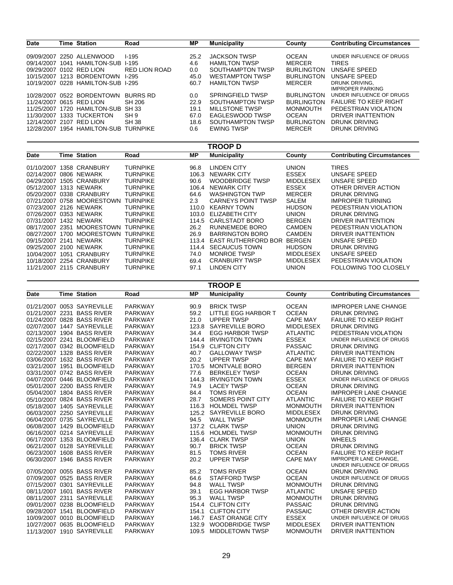| <b>Date</b>              |      | Time Station              | Road                 | МP   | <b>Municipality</b>    | County            | <b>Contributing Circumstances</b> |
|--------------------------|------|---------------------------|----------------------|------|------------------------|-------------------|-----------------------------------|
|                          |      |                           |                      |      |                        |                   |                                   |
|                          |      | 09/09/2007 2250 ALLENWOOD | $1-195$              | 25.2 | <b>JACKSON TWSP</b>    | <b>OCEAN</b>      | UNDER INFLUENCE OF DRUGS          |
| 09/14/2007               | 1041 | HAMILTON-SUB 1-195        |                      | 4.6  | <b>HAMILTON TWSP</b>   | <b>MERCER</b>     | <b>TIRES</b>                      |
| 09/29/2007 0102 RED LION |      |                           | <b>RED LION ROAD</b> | 0.0  | SOUTHAMPTON TWSP       | <b>BURLINGTON</b> | UNSAFE SPEED                      |
| 10/15/2007               |      | 1213 BORDENTOWN           | $1-295$              | 45.0 | <b>WESTAMPTON TWSP</b> | <b>BURLINGTON</b> | UNSAFE SPEED                      |
| 10/19/2007               |      | 0228 HAMILTON-SUB         | <b>I-295</b>         | 60.7 | <b>HAMILTON TWSP</b>   | <b>MERCER</b>     | DRUNK DRIVING.                    |
|                          |      |                           |                      |      |                        |                   | <b>IMPROPER PARKING</b>           |
| 10/28/2007               |      | 0522 BORDENTOWN           | BURRS RD             | 0.0  | SPRINGFIELD TWSP       | <b>BURLINGTON</b> | UNDER INFLUENCE OF DRUGS          |
| 11/24/2007 0615 RED LION |      |                           | SH 206               | 22.9 | SOUTHAMPTON TWSP       | <b>BURLINGTON</b> | <b>FAILURE TO KEEP RIGHT</b>      |
| 11/25/2007               |      | 1720 HAMII TON-SUB        | SH 33                | 19.1 | MILL STONE TWSP        | <b>MONMOUTH</b>   | PEDESTRIAN VIOLATION              |
| 11/30/2007               |      | 1333 TUCKERTON            | SH <sub>9</sub>      | 67.0 | EAGLESWOOD TWSP        | <b>OCEAN</b>      | DRIVER INATTENTION                |
| 12/14/2007 2107 RED LION |      |                           | SH 38                | 18.6 | SOUTHAMPTON TWSP       | <b>BURLINGTON</b> | DRUNK DRIVING                     |
| 12/28/2007               |      | 1954 HAMILTON-SUB         | <b>TURNPIKE</b>      | 0.6  | <b>EWING TWSP</b>      | <b>MERCER</b>     | DRUNK DRIVING                     |
|                          |      |                           |                      |      |                        |                   |                                   |

#### **TROOP D** 01/10/2007 1358 CRANBURY 02/14/2007 0806 NEWARK 04/29/2007 1505 CRANBURY 05/12/2007 1313 NEWARK 05/20/2007 0338 CRANBURY 07/21/2007 0758 MOORESTOWN 07/23/2007 2126 NEWARK 07/26/2007 0353 NEWARK 07/31/2007 1432 NEWARK 08/17/2007 2351 MOORESTOWN 08/27/2007 1700 MOORESTOWN 09/15/2007 2141 NEWARK 09/25/2007 2100 NEWARK 10/04/2007 1051 CRANBURY 10/18/2007 2254 CRANBURY 11/21/2007 2115 CRANBURY TURNPIKE TURNPIKE TURNPIKE TURNPIKE TURNPIKE TURNPIKE TURNPIKE TURNPIKE TURNPIKE TURNPIKE TURNPIKE TURNPIKE TURNPIKE TURNPIKE TURNPIKE TURNPIKE 96.8 106.3 90.6 106.4 64.6 2.3 110.0 103.0 114.5 26.2 26.9 113.4 114.4 74.0 69.4 97.1 LINDEN CITY NEWARK CITY WOODBRIDGE TWSP NEWARK CITY WASHINGTON TWP CARNEYS POINT TWSP KEARNY TOWN ELIZABETH CITY CARLSTADT BORO RUNNEMEDE BORO BARRINGTON BORO EAST RUTHERFORD BOR BERGEN SECAUCUS TOWN MONROE TWSP CRANBURY TWSP LINDEN CITY UNION ESSEX MIDDLESEX ESSEX MERCER SALEM HUDSON UNION BERGEN CAMDEN CAMDEN HUDSON MIDDLESEX MIDDLESEX UNION TIRES UNSAFE SPEED UNSAFE SPEED OTHER DRIVER ACTION DRUNK DRIVING IMPROPER TURNING PEDESTRIAN VIOLATION DRUNK DRIVING DRIVER INATTENTION PEDESTRIAN VIOLATION DRIVER INATTENTION UNSAFE SPEED DRUNK DRIVING UNSAFE SPEED PEDESTRIAN VIOLATION FOLLOWING TOO CLOSELY **Date Time Station Contributing Circumstances Road MP Municipality County**

|      |                                                          |                |                | <b>TROOP E</b>           |                  |                                                        |
|------|----------------------------------------------------------|----------------|----------------|--------------------------|------------------|--------------------------------------------------------|
| Date | <b>Time Station</b>                                      | Road           | <b>MP</b>      | <b>Municipality</b>      | County           | <b>Contributing Circumstances</b>                      |
|      | 01/21/2007 0053 SAYREVILLE                               | <b>PARKWAY</b> | 90.9           | <b>BRICK TWSP</b>        | <b>OCEAN</b>     | <b>IMPROPER LANE CHANGE</b>                            |
|      | 01/21/2007 2231 BASS RIVER                               | <b>PARKWAY</b> | 59.2           | LITTLE EGG HARBOR T      | <b>OCEAN</b>     | <b>DRUNK DRIVING</b>                                   |
|      | 01/24/2007 0828 BASS RIVER                               | <b>PARKWAY</b> | 21.0           | <b>UPPER TWSP</b>        | <b>CAPE MAY</b>  | <b>FAILURE TO KEEP RIGHT</b>                           |
|      | 02/07/2007 1447 SAYREVILLE                               | <b>PARKWAY</b> | 123.8          | SAYREVILLE BORO          | <b>MIDDLESEX</b> | <b>DRUNK DRIVING</b>                                   |
|      | 02/13/2007 1904 BASS RIVER                               | <b>PARKWAY</b> | 34.4           | <b>EGG HARBOR TWSP</b>   | <b>ATLANTIC</b>  | PEDESTRIAN VIOLATION                                   |
|      | 02/15/2007 2241 BLOOMFIELD                               | <b>PARKWAY</b> | 144.4          | <b>IRVINGTON TOWN</b>    | <b>ESSEX</b>     | UNDER INFLUENCE OF DRUGS                               |
|      | 02/17/2007 0342 BLOOMFIELD                               | <b>PARKWAY</b> | 154.9          | <b>CLIFTON CITY</b>      | <b>PASSAIC</b>   | <b>DRUNK DRIVING</b>                                   |
|      | 02/22/2007 1328 BASS RIVER                               | <b>PARKWAY</b> | 40.7           | <b>GALLOWAY TWSP</b>     | <b>ATLANTIC</b>  | DRIVER INATTENTION                                     |
|      | 03/06/2007 1632 BASS RIVER                               | <b>PARKWAY</b> | 20.2           | <b>UPPER TWSP</b>        | <b>CAPE MAY</b>  | <b>FAILURE TO KEEP RIGHT</b>                           |
|      | 03/21/2007 1951 BLOOMFIELD                               | <b>PARKWAY</b> | 170.5          | <b>MONTVALE BORO</b>     | <b>BERGEN</b>    | <b>DRIVER INATTENTION</b>                              |
|      | 03/31/2007 0742 BASS RIVER                               | <b>PARKWAY</b> | 77.6           | <b>BERKELEY TWSP</b>     | <b>OCEAN</b>     | <b>DRUNK DRIVING</b>                                   |
|      | 04/07/2007 0446 BLOOMFIELD                               | <b>PARKWAY</b> | 144.3          | <b>IRVINGTON TOWN</b>    | <b>ESSEX</b>     | UNDER INFLUENCE OF DRUGS                               |
|      | 05/01/2007 2200 BASS RIVER                               | <b>PARKWAY</b> | 74.9           | <b>LACEY TWSP</b>        | <b>OCEAN</b>     | <b>DRUNK DRIVING</b>                                   |
|      | 05/04/2007 1804 BASS RIVER                               | <b>PARKWAY</b> | 84.4           | <b>TOMS RIVER</b>        | <b>OCEAN</b>     | <b>IMPROPER LANE CHANGE</b>                            |
|      | 05/10/2007 0824 BASS RIVER                               | <b>PARKWAY</b> | 28.7           | <b>SOMERS POINT CITY</b> | <b>ATLANTIC</b>  | <b>FAILURE TO KEEP RIGHT</b>                           |
|      | 05/18/2007 1405 SAYREVILLE                               | <b>PARKWAY</b> | 116.3          | <b>HOLMDEL TWSP</b>      | <b>MONMOUTH</b>  | <b>DRIVER INATTENTION</b>                              |
|      | 06/03/2007 2250 SAYREVILLE                               | <b>PARKWAY</b> | 125.2          | SAYREVILLE BORO          | <b>MIDDLESEX</b> | <b>DRUNK DRIVING</b>                                   |
|      | 06/04/2007 0735 SAYREVILLE                               | <b>PARKWAY</b> | 94.5           | <b>WALL TWSP</b>         | <b>MONMOUTH</b>  | <b>IMPROPER LANE CHANGE</b>                            |
|      | 06/08/2007 1429 BLOOMFIELD                               | <b>PARKWAY</b> | 137.2          | <b>CLARK TWSP</b>        | <b>UNION</b>     | <b>DRUNK DRIVING</b>                                   |
|      | 06/16/2007 0214 SAYREVILLE                               | <b>PARKWAY</b> | 115.6          | <b>HOLMDEL TWSP</b>      | <b>MONMOUTH</b>  | <b>DRUNK DRIVING</b>                                   |
|      | 06/17/2007 1353 BLOOMFIELD                               | <b>PARKWAY</b> | 136.4          | <b>CLARK TWSP</b>        | <b>UNION</b>     | <b>WHEELS</b>                                          |
|      | 06/21/2007 0128 SAYREVILLE                               | <b>PARKWAY</b> | 90.7           | <b>BRICK TWSP</b>        | <b>OCEAN</b>     | <b>DRUNK DRIVING</b>                                   |
|      | 06/23/2007 1608 BASS RIVER                               | <b>PARKWAY</b> | 81.5           | <b>TOMS RIVER</b>        | <b>OCEAN</b>     | <b>FAILURE TO KEEP RIGHT</b>                           |
|      | 06/30/2007 1946 BASS RIVER                               | <b>PARKWAY</b> | 20.2           | <b>UPPER TWSP</b>        | <b>CAPE MAY</b>  | <b>IMPROPER LANE CHANGE.</b>                           |
|      |                                                          |                |                |                          |                  | UNDER INFLUENCE OF DRUGS                               |
|      | 07/05/2007 0055 BASS RIVER                               | <b>PARKWAY</b> | 85.2           | <b>TOMS RIVER</b>        | <b>OCEAN</b>     | <b>DRUNK DRIVING</b>                                   |
|      | 07/09/2007 0525 BASS RIVER                               | <b>PARKWAY</b> | 64.6           | <b>STAFFORD TWSP</b>     | <b>OCEAN</b>     | UNDER INFLUENCE OF DRUGS                               |
|      | 07/15/2007 0301 SAYREVILLE                               | <b>PARKWAY</b> | 94.8           | <b>WALL TWSP</b>         | <b>MONMOUTH</b>  | <b>DRUNK DRIVING</b>                                   |
|      | 08/11/2007 1601 BASS RIVER                               | <b>PARKWAY</b> | 39.1           | <b>EGG HARBOR TWSP</b>   | <b>ATLANTIC</b>  | <b>UNSAFE SPEED</b>                                    |
|      | 08/11/2007 2311 SAYREVILLE                               | <b>PARKWAY</b> | 95.3           | <b>WALL TWSP</b>         | <b>MONMOUTH</b>  | <b>DRUNK DRIVING</b>                                   |
|      | 09/01/2007 0238 BLOOMFIELD<br>09/28/2007 1541 BLOOMFIELD | <b>PARKWAY</b> | 154.4          | <b>CLIFTON CITY</b>      | <b>PASSAIC</b>   | <b>DRUNK DRIVING</b><br>OTHER DRIVER ACTION            |
|      |                                                          | <b>PARKWAY</b> | 154.1          | <b>CLIFTON CITY</b>      | <b>PASSAIC</b>   | UNDER INFLUENCE OF DRUGS                               |
|      | 10/09/2007 0010 BLOOMFIELD                               | <b>PARKWAY</b> | 146.7          | <b>EAST ORANGE CITY</b>  | <b>ESSEX</b>     |                                                        |
|      | 10/27/2007 0635 BLOOMFIELD<br>11/13/2007 1910 SAYREVILLE | <b>PARKWAY</b> | 132.9<br>109.5 | <b>WOODBRIDGE TWSP</b>   | <b>MIDDLESEX</b> | <b>DRIVER INATTENTION</b><br><b>DRIVER INATTENTION</b> |
|      |                                                          | <b>PARKWAY</b> |                | <b>MIDDLETOWN TWSP</b>   | <b>MONMOUTH</b>  |                                                        |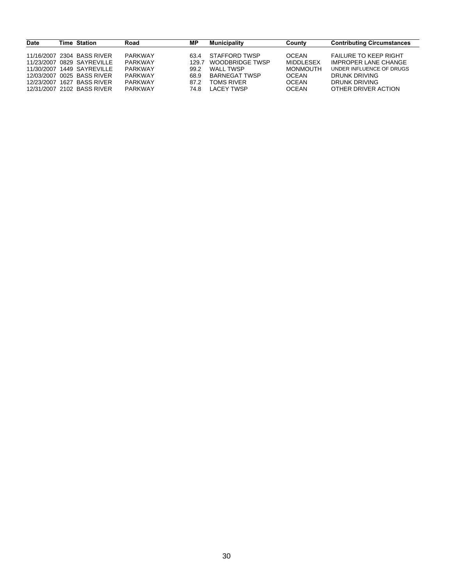| <b>Date</b> | <b>Time Station</b>        | Road           | ΜP    | <b>Municipality</b> | County           | <b>Contributing Circumstances</b> |
|-------------|----------------------------|----------------|-------|---------------------|------------------|-----------------------------------|
|             | 11/16/2007 2304 BASS RIVER | <b>PARKWAY</b> | 63.4  | STAFFORD TWSP       | <b>OCEAN</b>     | <b>FAILURE TO KEEP RIGHT</b>      |
|             | 11/23/2007 0829 SAYREVILLE | PARKWAY        | 129.7 | WOODBRIDGE TWSP     | <b>MIDDLESEX</b> | <b>IMPROPER LANE CHANGE</b>       |
|             | 11/30/2007 1449 SAYREVILLE | PARKWAY        | 99.2  | WALL TWSP           | <b>MONMOUTH</b>  | UNDER INFLUENCE OF DRUGS          |
|             | 12/03/2007 0025 BASS RIVER | <b>PARKWAY</b> | 68.9  | BARNEGAT TWSP       | <b>OCEAN</b>     | DRUNK DRIVING                     |
|             | 12/23/2007 1627 BASS RIVER | PARKWAY        | 87.2  | <b>TOMS RIVER</b>   | <b>OCEAN</b>     | DRUNK DRIVING                     |
|             | 12/31/2007 2102 BASS RIVER | <b>PARKWAY</b> | 74.8  | LACEY TWSP          | <b>OCEAN</b>     | OTHER DRIVER ACTION               |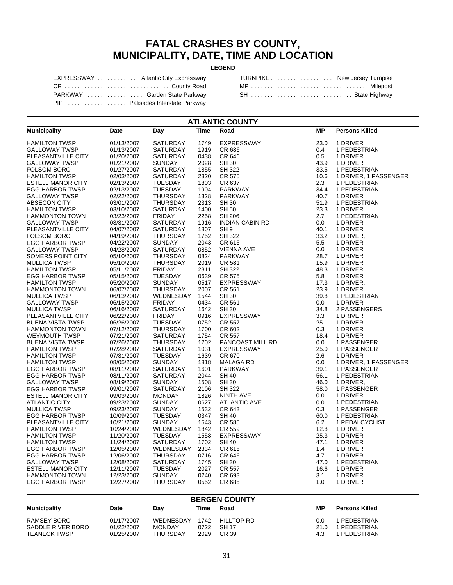### **FATAL CRASHES BY COUNTY, MUNICIPALITY, DATE, TIME AND LOCATION**

#### **LEGEND**

| EXPRESSWAY  Atlantic City Expressway |  |
|--------------------------------------|--|
| CR County Road                       |  |
| PARKWAY  Garden State Parkway        |  |
| PIP  Palisades Interstate Parkway    |  |

| TURNPIKE New Jersey Turnpike |  |
|------------------------------|--|
| MP  Milepost                 |  |
| SH  State Highway            |  |

| <b>ATLANTIC COUNTY</b>   |                          |                                   |             |                        |           |                       |  |
|--------------------------|--------------------------|-----------------------------------|-------------|------------------------|-----------|-----------------------|--|
| <b>Municipality</b>      | Date                     | Day                               | <b>Time</b> | Road                   | <b>MP</b> | <b>Persons Killed</b> |  |
| <b>HAMILTON TWSP</b>     | 01/13/2007               | <b>SATURDAY</b>                   | 1749        | <b>EXPRESSWAY</b>      | 23.0      | 1 DRIVER              |  |
| <b>GALLOWAY TWSP</b>     | 01/13/2007               | <b>SATURDAY</b>                   | 1919        | CR 686                 | 0.4       | 1 PEDESTRIAN          |  |
| PLEASANTVILLE CITY       | 01/20/2007               | <b>SATURDAY</b>                   | 0438        | CR 646                 | 0.5       | 1 DRIVER              |  |
| GALLOWAY TWSP            | 01/21/2007               | SUNDAY                            | 2028        | <b>SH 30</b>           | 43.9      | 1 DRIVER              |  |
| <b>FOLSOM BORO</b>       | 01/27/2007               | <b>SATURDAY</b>                   | 1855        | SH 322                 | 33.5      | 1 PEDESTRIAN          |  |
| <b>HAMILTON TWSP</b>     | 02/03/2007               | <b>SATURDAY</b>                   | 2320        | CR 575                 | 10.6      | 1 DRIVER, 1 PASSENGER |  |
| <b>ESTELL MANOR CITY</b> | 02/13/2007               | <b>TUESDAY</b>                    | 1803        | CR 637                 | 2.3       | 1 PEDESTRIAN          |  |
| <b>EGG HARBOR TWSP</b>   | 02/13/2007               | <b>TUESDAY</b>                    | 1904        | <b>PARKWAY</b>         | 34.4      | 1 PEDESTRIAN          |  |
| <b>GALLOWAY TWSP</b>     | 02/22/2007               | <b>THURSDAY</b>                   | 1328        | <b>PARKWAY</b>         | 40.7      | 1 DRIVER              |  |
| ABSECON CITY             | 03/01/2007               | <b>THURSDAY</b>                   | 2313        | <b>SH 30</b>           | 51.9      | 1 PEDESTRIAN          |  |
| <b>HAMILTON TWSP</b>     | 03/10/2007               | <b>SATURDAY</b>                   | 1400        | <b>SH 50</b>           | 23.3      | 1 DRIVER              |  |
| <b>HAMMONTON TOWN</b>    | 03/23/2007               | <b>FRIDAY</b>                     | 2258        | <b>SH 206</b>          | 2.7       | 1 PEDESTRIAN          |  |
| <b>GALLOWAY TWSP</b>     |                          | <b>SATURDAY</b>                   | 1916        | <b>INDIAN CABIN RD</b> | 0.0       |                       |  |
| PLEASANTVILLE CITY       | 03/31/2007<br>04/07/2007 | <b>SATURDAY</b>                   | 1807        |                        | 40.1      | 1 DRIVER<br>1 DRIVER  |  |
|                          |                          |                                   |             | SH <sub>9</sub>        |           |                       |  |
| <b>FOLSOM BORO</b>       | 04/19/2007               | <b>THURSDAY</b>                   | 1752        | <b>SH 322</b>          | 33.2      | 1 DRIVER,             |  |
| <b>EGG HARBOR TWSP</b>   | 04/22/2007               | <b>SUNDAY</b>                     | 2043        | CR 615                 | 5.5       | 1 DRIVER              |  |
| <b>GALLOWAY TWSP</b>     | 04/28/2007               | <b>SATURDAY</b>                   | 0852        | VIENNA AVE             | 0.0       | 1 DRIVER              |  |
| SOMERS POINT CITY        | 05/10/2007               | <b>THURSDAY</b>                   | 0824        | <b>PARKWAY</b>         | 28.7      | 1 DRIVER              |  |
| <b>MULLICA TWSP</b>      | 05/10/2007               | <b>THURSDAY</b>                   | 2019        | CR 581                 | 15.9      | 1 DRIVER              |  |
| <b>HAMILTON TWSP</b>     | 05/11/2007               | <b>FRIDAY</b>                     | 2311        | SH 322                 | 48.3      | 1 DRIVER              |  |
| <b>EGG HARBOR TWSP</b>   | 05/15/2007               | <b>TUESDAY</b>                    | 0639        | CR 575                 | 5.8       | 1 DRIVER              |  |
| <b>HAMILTON TWSP</b>     | 05/20/2007               | <b>SUNDAY</b>                     | 0517        | <b>EXPRESSWAY</b>      | 17.3      | 1 DRIVER,             |  |
| <b>HAMMONTON TOWN</b>    | 06/07/2007               | <b>THURSDAY</b>                   | 2007        | CR 561                 | 23.9      | 1 DRIVER              |  |
| <b>MULLICA TWSP</b>      | 06/13/2007               | WEDNESDAY                         | 1544        | <b>SH 30</b>           | 39.8      | 1 PEDESTRIAN          |  |
| <b>GALLOWAY TWSP</b>     | 06/15/2007               | <b>FRIDAY</b>                     | 0434        | CR 561                 | 0.0       | 1 DRIVER              |  |
| <b>MULLICA TWSP</b>      | 06/16/2007               | <b>SATURDAY</b>                   | 1642        | <b>SH 30</b>           | 34.8      | 2 PASSENGERS          |  |
| PLEASANTVILLE CITY       | 06/22/2007               | <b>FRIDAY</b>                     | 0916        | <b>EXPRESSWAY</b>      | 3.3       | 1 DRIVER              |  |
| <b>BUENA VISTA TWSP</b>  | 06/26/2007               | <b>TUESDAY</b>                    | 0752        | CR 557                 | 25.1      | 1 DRIVER              |  |
| <b>HAMMONTON TOWN</b>    | 07/12/2007               | <b>THURSDAY</b>                   | 1700        | CR 602                 | 0.3       | 1 DRIVER              |  |
| <b>WEYMOUTH TWSP</b>     | 07/21/2007               | <b>SATURDAY</b>                   | 1754        | <b>CR 557</b>          | 18.4      | 1 DRIVER              |  |
| <b>BUENA VISTA TWSP</b>  | 07/26/2007               | <b>THURSDAY</b>                   | 1202        | PANCOAST MILL RD       | 0.0       | 1 PASSENGER           |  |
| <b>HAMILTON TWSP</b>     | 07/28/2007               | <b>SATURDAY</b>                   | 1031        | <b>EXPRESSWAY</b>      | 25.0      | 1 PASSENGER           |  |
| <b>HAMILTON TWSP</b>     | 07/31/2007               | <b>TUESDAY</b>                    | 1639        | CR 670                 | 2.6       | 1 DRIVER              |  |
| <b>HAMILTON TWSP</b>     | 08/05/2007               | <b>SUNDAY</b>                     | 1818        | <b>MALAGA RD</b>       | 0.0       | 1 DRIVER, 1 PASSENGER |  |
| <b>EGG HARBOR TWSP</b>   | 08/11/2007               | <b>SATURDAY</b>                   | 1601        | PARKWAY                | 39.1      | 1 PASSENGER           |  |
| <b>EGG HARBOR TWSP</b>   | 08/11/2007               | <b>SATURDAY</b>                   | 2044        | <b>SH 40</b>           | 56.1      | 1 PEDESTRIAN          |  |
| <b>GALLOWAY TWSP</b>     | 08/19/2007               | <b>SUNDAY</b>                     | 1508        | <b>SH 30</b>           | 46.0      | 1 DRIVER,             |  |
| <b>EGG HARBOR TWSP</b>   | 09/01/2007               | <b>SATURDAY</b>                   | 2106        | <b>SH 322</b>          | 58.0      | 1 PASSENGER           |  |
| ESTELL MANOR CITY        | 09/03/2007               | <b>MONDAY</b>                     | 1826        | NINTH AVE              | 0.0       | 1 DRIVER              |  |
| <b>ATLANTIC CITY</b>     | 09/23/2007               | <b>SUNDAY</b>                     | 0627        | <b>ATLANTIC AVE</b>    | 0.0       | 1 PEDESTRIAN          |  |
| <b>MULLICA TWSP</b>      | 09/23/2007               | <b>SUNDAY</b>                     | 1532        | CR 643                 | 0.3       | 1 PASSENGER           |  |
| <b>EGG HARBOR TWSP</b>   | 10/09/2007               | <b>TUESDAY</b>                    | 0347        | <b>SH 40</b>           | 60.0      | 1 PEDESTRIAN          |  |
| PLEASANTVILLE CITY       | 10/21/2007               | <b>SUNDAY</b>                     | 1543        | CR 585                 | 6.2       | 1 PEDALCYCLIST        |  |
| <b>HAMILTON TWSP</b>     | 10/24/2007               | WEDNESDAY                         | 1842        | CR 559                 | 12.8      | 1 DRIVER              |  |
| <b>HAMILTON TWSP</b>     | 11/20/2007               | <b>TUESDAY</b>                    | 1558        | <b>EXPRESSWAY</b>      | 25.3      | 1 DRIVER              |  |
| <b>HAMILTON TWSP</b>     | 11/24/2007               | <b>SATURDAY</b>                   | 1702        | <b>SH 40</b>           | 47.1      | 1 DRIVER              |  |
| <b>EGG HARBOR TWSP</b>   | 12/05/2007               | <b>WEDNESDAY</b>                  | 2334        | CR 615                 | 1.4       | 1 DRIVER              |  |
| <b>EGG HARBOR TWSP</b>   | 12/06/2007               | <b>THURSDAY</b>                   | 0716        | CR 646                 | 4.7       | 1 DRIVER              |  |
|                          |                          |                                   | 1745        |                        | 47.0      |                       |  |
| <b>GALLOWAY TWSP</b>     | 12/08/2007               | <b>SATURDAY</b><br><b>TUESDAY</b> | 2027        | <b>SH 30</b>           |           | 1 PEDESTRIAN          |  |
| <b>ESTELL MANOR CITY</b> | 12/11/2007               |                                   |             | CR 557                 | 16.6      | 1 DRIVER              |  |
| <b>HAMMONTON TOWN</b>    | 12/23/2007               | <b>SUNDAY</b>                     | 0240        | CR 693                 | 3.1       | 1 DRIVER              |  |
| <b>EGG HARBOR TWSP</b>   | 12/27/2007               | <b>THURSDAY</b>                   | 0552        | CR 685                 | 1.0       | 1 DRIVER              |  |

| <b>BERGEN COUNTY</b>                                    |                                        |                                               |                      |                                     |                    |                                        |  |  |  |
|---------------------------------------------------------|----------------------------------------|-----------------------------------------------|----------------------|-------------------------------------|--------------------|----------------------------------------|--|--|--|
| <b>Municipality</b>                                     | Date                                   | Dav                                           | Time                 | Road                                | МP                 | <b>Persons Killed</b>                  |  |  |  |
| RAMSEY BORO<br>SADDLE RIVER BORO<br><b>TEANECK TWSP</b> | 01/17/2007<br>01/22/2007<br>01/25/2007 | WEDNESDAY<br><b>MONDAY</b><br><b>THURSDAY</b> | 1742<br>0722<br>2029 | HILLTOP RD<br><b>SH 17</b><br>CR 39 | 0.0<br>21.0<br>4.3 | PEDESTRIAN<br>PEDESTRIAN<br>PEDESTRIAN |  |  |  |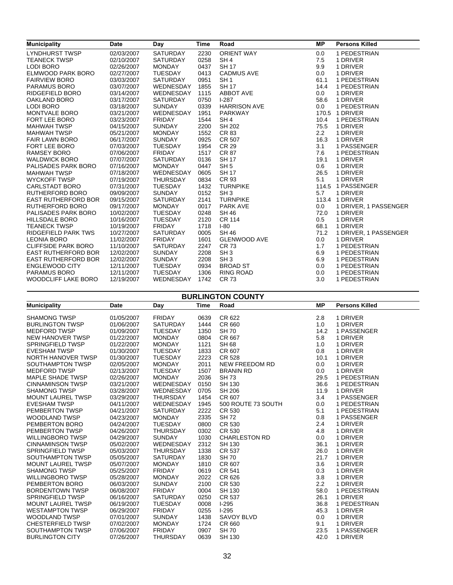| <b>Municipality</b>        | <b>Date</b> | Day             | <b>Time</b> | Road                | <b>MP</b> | <b>Persons Killed</b> |
|----------------------------|-------------|-----------------|-------------|---------------------|-----------|-----------------------|
| LYNDHURST TWSP             | 02/03/2007  | <b>SATURDAY</b> | 2230        | <b>ORIENT WAY</b>   | 0.0       | 1 PEDESTRIAN          |
| <b>TEANECK TWSP</b>        | 02/10/2007  | <b>SATURDAY</b> | 0258        | SH <sub>4</sub>     | 7.5       | 1 DRIVER              |
| <b>LODI BORO</b>           | 02/26/2007  | <b>MONDAY</b>   | 0437        | <b>SH 17</b>        | 9.9       | 1 DRIVER              |
| ELMWOOD PARK BORO          | 02/27/2007  | <b>TUESDAY</b>  | 0413        | <b>CADMUS AVE</b>   | 0.0       | 1 DRIVER              |
| <b>FAIRVIEW BORO</b>       | 03/03/2007  | SATURDAY        | 0951        | SH <sub>1</sub>     | 61.1      | 1 PEDESTRIAN          |
| PARAMUS BORO               | 03/07/2007  | WEDNESDAY       | 1855        | <b>SH 17</b>        | 14.4      | 1 PEDESTRIAN          |
| RIDGEFIELD BORO            | 03/14/2007  | WEDNESDAY       | 1115        | <b>ABBOT AVE</b>    | 0.0       | 1 DRIVER              |
| OAKLAND BORO               | 03/17/2007  | SATURDAY        | 0750        | $1-287$             | 58.6      | 1 DRIVER              |
| <b>LODI BORO</b>           | 03/18/2007  | <b>SUNDAY</b>   | 0339        | <b>HARRISON AVE</b> | 0.0       | 1 PEDESTRIAN          |
| MONTVALE BORO              | 03/21/2007  | WEDNESDAY       | 1951        | <b>PARKWAY</b>      |           | 170.5 1 DRIVER        |
| FORT LEE BORO              | 03/23/2007  | <b>FRIDAY</b>   | 1544        | SH <sub>4</sub>     | 10.4      | 1 PEDESTRIAN          |
| <b>MAHWAH TWSP</b>         | 04/15/2007  | <b>SUNDAY</b>   | 2200        | <b>SH 202</b>       | 75.5      | 1 DRIVER              |
| <b>MAHWAH TWSP</b>         | 05/21/2007  | <b>MONDAY</b>   | 1552        | CR 83               | 2.2       | 1 DRIVER              |
| <b>FAIR LAWN BORO</b>      | 06/17/2007  | <b>SUNDAY</b>   | 0925        | CR 507              | 16.3      | 1 DRIVER              |
| <b>FORT LEE BORO</b>       | 07/03/2007  | <b>TUESDAY</b>  | 1954        | <b>CR 29</b>        | 3.1       | 1 PASSENGER           |
| <b>RAMSEY BORO</b>         | 07/06/2007  | <b>FRIDAY</b>   | 1517        | <b>CR 87</b>        | 7.6       | 1 PEDESTRIAN          |
| <b>WALDWICK BORO</b>       | 07/07/2007  | <b>SATURDAY</b> | 0136        | <b>SH 17</b>        | 19.1      | 1 DRIVER              |
| PALISADES PARK BORO        | 07/16/2007  | <b>MONDAY</b>   | 0447        | SH <sub>5</sub>     | 0.6       | 1 DRIVER              |
| <b>MAHWAH TWSP</b>         | 07/18/2007  | WEDNESDAY       | 0605        | <b>SH 17</b>        | 26.5      | 1 DRIVER              |
| <b>WYCKOFF TWSP</b>        | 07/19/2007  | <b>THURSDAY</b> | 0834        | CR 93               | 5.1       | 1 DRIVER              |
| CARLSTADT BORO             | 07/31/2007  | <b>TUESDAY</b>  | 1432        | <b>TURNPIKE</b>     |           | 114.5 1 PASSENGER     |
| <b>RUTHERFORD BORO</b>     | 09/09/2007  | <b>SUNDAY</b>   | 0152        | SH <sub>3</sub>     | 5.7       | 1 DRIVER              |
| <b>EAST RUTHERFORD BOR</b> | 09/15/2007  | <b>SATURDAY</b> | 2141        | <b>TURNPIKE</b>     |           | 113.4 1 DRIVER        |
| RUTHERFORD BORO            | 09/17/2007  | <b>MONDAY</b>   | 0017        | PARK AVE            | 0.0       | 1 DRIVER, 1 PASSENGER |
| PALISADES PARK BORO        | 10/02/2007  | <b>TUESDAY</b>  | 0248        | <b>SH 46</b>        | 72.0      | 1 DRIVER              |
| <b>HILLSDALE BORO</b>      | 10/16/2007  | <b>TUESDAY</b>  | 2120        | <b>CR 114</b>       | 0.5       | 1 DRIVER              |
| <b>TEANECK TWSP</b>        | 10/19/2007  | <b>FRIDAY</b>   | 1718        | $I-80$              | 68.1      | 1 DRIVER              |
| <b>RIDGEFIELD PARK TWS</b> | 10/27/2007  | <b>SATURDAY</b> | 0005        | <b>SH 46</b>        | 71.2      | 1 DRIVER, 1 PASSENGER |
| <b>LEONIA BORO</b>         | 11/02/2007  | <b>FRIDAY</b>   | 1601        | <b>GLENWOOD AVE</b> | 0.0       | 1 DRIVER              |
| <b>CLIFFSIDE PARK BORO</b> | 11/10/2007  | SATURDAY        | 2247        | <b>CR 73</b>        | 1.7       | 1 PEDESTRIAN          |
| <b>EAST RUTHERFORD BOR</b> | 12/02/2007  | <b>SUNDAY</b>   | 2208        | SH <sub>3</sub>     | 6.9       | 1 PEDESTRIAN          |
| <b>EAST RUTHERFORD BOR</b> | 12/02/2007  | <b>SUNDAY</b>   | 2208        | SH <sub>3</sub>     | 6.9       | 1 PEDESTRIAN          |
| <b>ENGLEWOOD CITY</b>      | 12/11/2007  | <b>TUESDAY</b>  | 0934        | <b>BROAD ST</b>     | 0.0       | 1 PEDESTRIAN          |
| PARAMUS BORO               | 12/11/2007  | <b>TUESDAY</b>  | 1306        | <b>RING ROAD</b>    | 0.0       | 1 PEDESTRIAN          |
| WOODCLIFF LAKE BORO        | 12/19/2007  | WEDNESDAY       | 1742        | <b>CR 73</b>        | 3.0       | 1 PEDESTRIAN          |

| <b>BURLINGTON COUNTY</b> |            |                 |      |                       |           |                       |  |  |
|--------------------------|------------|-----------------|------|-----------------------|-----------|-----------------------|--|--|
| <b>Municipality</b>      | Date       | Day             | Time | Road                  | <b>MP</b> | <b>Persons Killed</b> |  |  |
| <b>SHAMONG TWSP</b>      | 01/05/2007 | <b>FRIDAY</b>   | 0639 | CR 622                | 2.8       | 1 DRIVER              |  |  |
| <b>BURLINGTON TWSP</b>   | 01/06/2007 | <b>SATURDAY</b> | 1444 | CR 660                | 1.0       | 1 DRIVER              |  |  |
| <b>MEDFORD TWSP</b>      | 01/09/2007 | <b>TUESDAY</b>  | 1350 | <b>SH 70</b>          | 14.2      | 1 PASSENGER           |  |  |
| <b>NEW HANOVER TWSP</b>  | 01/22/2007 | <b>MONDAY</b>   | 0804 | CR 667                | 5.8       | 1 DRIVER              |  |  |
| <b>SPRINGFIELD TWSP</b>  | 01/22/2007 | <b>MONDAY</b>   | 1121 | <b>SH 68</b>          | 1.0       | 1 DRIVER              |  |  |
| <b>EVESHAM TWSP</b>      | 01/30/2007 | <b>TUESDAY</b>  | 1833 | CR 607                | 0.8       | 1 DRIVER              |  |  |
| NORTH HANOVER TWSP       | 01/30/2007 | <b>TUESDAY</b>  | 2223 | <b>CR 528</b>         | 10.1      | 1 DRIVER              |  |  |
| SOUTHAMPTON TWSP         | 02/05/2007 | <b>MONDAY</b>   | 2011 | <b>NEW FREEDOM RD</b> | 0.0       | 1 DRIVER              |  |  |
| <b>MEDFORD TWSP</b>      | 02/13/2007 | <b>TUESDAY</b>  | 1507 | <b>BRANIN RD</b>      | 0.0       | 1 DRIVER              |  |  |
| <b>MAPLE SHADE TWSP</b>  | 02/26/2007 | <b>MONDAY</b>   | 2036 | <b>SH73</b>           | 29.5      | 1 PEDESTRIAN          |  |  |
| <b>CINNAMINSON TWSP</b>  | 03/21/2007 | WEDNESDAY       | 0150 | <b>SH 130</b>         | 36.6      | 1 PEDESTRIAN          |  |  |
| <b>SHAMONG TWSP</b>      | 03/28/2007 | WEDNESDAY       | 0705 | SH 206                | 11.9      | 1 DRIVER              |  |  |
| <b>MOUNT LAUREL TWSP</b> | 03/29/2007 | <b>THURSDAY</b> | 1454 | CR 607                | 3.4       | 1 PASSENGER           |  |  |
| <b>EVESHAM TWSP</b>      | 04/11/2007 | WEDNESDAY       | 1945 | 500 ROUTE 73 SOUTH    | 0.0       | 1 PEDESTRIAN          |  |  |
| PEMBERTON TWSP           | 04/21/2007 | <b>SATURDAY</b> | 2222 | CR 530                | 5.1       | 1 PEDESTRIAN          |  |  |
| <b>WOODLAND TWSP</b>     | 04/23/2007 | <b>MONDAY</b>   | 2335 | <b>SH72</b>           | 0.8       | 1 PASSENGER           |  |  |
| PEMBERTON BORO           | 04/24/2007 | <b>TUESDAY</b>  | 0800 | CR 530                | 2.4       | 1 DRIVER              |  |  |
| PEMBERTON TWSP           | 04/26/2007 | THURSDAY        | 0302 | <b>CR 530</b>         | 4.8       | 1 DRIVER              |  |  |
| <b>WILLINGBORO TWSP</b>  | 04/29/2007 | <b>SUNDAY</b>   | 1030 | <b>CHARLESTON RD</b>  | 0.0       | 1 DRIVER              |  |  |
| <b>CINNAMINSON TWSP</b>  | 05/02/2007 | WEDNESDAY       | 2312 | <b>SH 130</b>         | 36.1      | 1 DRIVER              |  |  |
| <b>SPRINGFIELD TWSP</b>  | 05/03/2007 | <b>THURSDAY</b> | 1338 | <b>CR 537</b>         | 26.0      | 1 DRIVER              |  |  |
| SOUTHAMPTON TWSP         | 05/05/2007 | <b>SATURDAY</b> | 1830 | <b>SH70</b>           | 21.7      | 1 DRIVER              |  |  |
| <b>MOUNT LAUREL TWSP</b> | 05/07/2007 | <b>MONDAY</b>   | 1810 | CR 607                | 3.6       | 1 DRIVER              |  |  |
| <b>SHAMONG TWSP</b>      | 05/25/2007 | <b>FRIDAY</b>   | 0619 | <b>CR 541</b>         | 0.3       | 1 DRIVER              |  |  |
| <b>WILLINGBORO TWSP</b>  | 05/28/2007 | <b>MONDAY</b>   | 2022 | CR 626                | 3.8       | 1 DRIVER              |  |  |
| PEMBERTON BORO           | 06/03/2007 | <b>SUNDAY</b>   | 2100 | <b>CR 530</b>         | 2.2       | 1 DRIVER              |  |  |
| <b>BORDENTOWN TWSP</b>   | 06/08/2007 | <b>FRIDAY</b>   | 0004 | <b>SH 130</b>         | 58.0      | 1 PEDESTRIAN          |  |  |
| <b>SPRINGFIELD TWSP</b>  | 06/16/2007 | <b>SATURDAY</b> | 0250 | <b>CR 537</b>         | 26.1      | 1 DRIVER              |  |  |
| <b>MOUNT LAUREL TWSP</b> | 06/19/2007 | <b>TUESDAY</b>  | 0008 | $I-295$               | 36.8      | 1 PEDESTRIAN          |  |  |
| <b>WESTAMPTON TWSP</b>   | 06/29/2007 | <b>FRIDAY</b>   | 0255 | $1-295$               | 45.3      | 1 DRIVER              |  |  |
| <b>WOODLAND TWSP</b>     | 07/01/2007 | <b>SUNDAY</b>   | 1438 | <b>SAVOY BLVD</b>     | 0.0       | 1 DRIVER              |  |  |
| <b>CHESTERFIELD TWSP</b> | 07/02/2007 | <b>MONDAY</b>   | 1724 | CR 660                | 9.1       | 1 DRIVER              |  |  |
| SOUTHAMPTON TWSP         | 07/06/2007 | <b>FRIDAY</b>   | 0907 | <b>SH 70</b>          | 23.5      | 1 PASSENGER           |  |  |
| <b>BURLINGTON CITY</b>   | 07/26/2007 | <b>THURSDAY</b> | 0639 | SH 130                | 42.0      | 1 DRIVER              |  |  |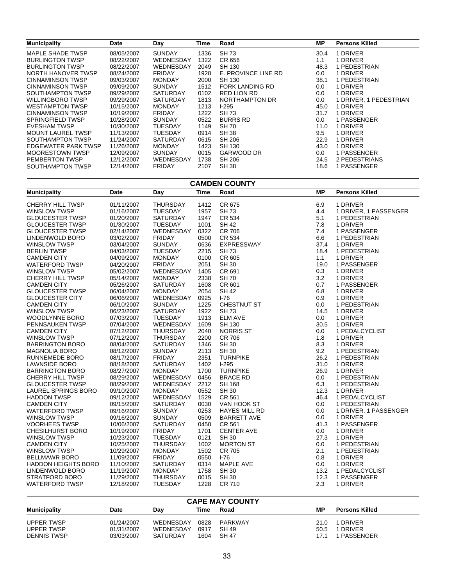| <b>Municipality</b>      | Date       | Day             | Time | Road                | MР   | <b>Persons Killed</b>  |
|--------------------------|------------|-----------------|------|---------------------|------|------------------------|
| MAPLE SHADE TWSP         | 08/05/2007 | <b>SUNDAY</b>   | 1336 | <b>SH73</b>         | 30.4 | 1 DRIVER               |
| <b>BURLINGTON TWSP</b>   | 08/22/2007 | WEDNESDAY       | 1322 | CR 656              | 1.1  | 1 DRIVER               |
| <b>BURLINGTON TWSP</b>   | 08/22/2007 | WEDNESDAY       | 2049 | SH 130              | 48.3 | 1 PEDESTRIAN           |
| NORTH HANOVER TWSP       | 08/24/2007 | <b>FRIDAY</b>   | 1928 | E. PROVINCE LINE RD | 0.0  | 1 DRIVER               |
| <b>CINNAMINSON TWSP</b>  | 09/03/2007 | <b>MONDAY</b>   | 2000 | SH 130              | 38.1 | 1 PEDESTRIAN           |
| CINNAMINSON TWSP         | 09/09/2007 | <b>SUNDAY</b>   | 1512 | FORK LANDING RD     | 0.0  | 1 DRIVER               |
| SOUTHAMPTON TWSP         | 09/29/2007 | <b>SATURDAY</b> | 0102 | <b>RED LION RD</b>  | 0.0  | 1 DRIVER               |
| <b>WILLINGBORO TWSP</b>  | 09/29/2007 | <b>SATURDAY</b> | 1813 | NORTHAMPTON DR      | 0.0  | 1 DRIVER, 1 PEDESTRIAN |
| <b>WESTAMPTON TWSP</b>   | 10/15/2007 | <b>MONDAY</b>   | 1213 | $1-295$             | 45.0 | 1 DRIVER               |
| <b>CINNAMINSON TWSP</b>  | 10/19/2007 | <b>FRIDAY</b>   | 1222 | SH 73               | 31.7 | 1 DRIVER               |
| <b>SPRINGFIELD TWSP</b>  | 10/28/2007 | <b>SUNDAY</b>   | 0522 | <b>BURRS RD</b>     | 0.0  | 1 PASSENGER            |
| <b>EVESHAM TWSP</b>      | 10/30/2007 | TUESDAY         | 1149 | <b>SH 70</b>        | 11.0 | 1 DRIVER               |
| <b>MOUNT LAUREL TWSP</b> | 11/13/2007 | TUESDAY         | 0914 | <b>SH 38</b>        | 9.5  | 1 DRIVER               |
| SOUTHAMPTON TWSP         | 11/24/2007 | <b>SATURDAY</b> | 0615 | SH 206              | 22.9 | 1 DRIVER               |
| EDGEWATER PARK TWSP      | 11/26/2007 | <b>MONDAY</b>   | 1423 | SH 130              | 43.0 | 1 DRIVER               |
| <b>MOORESTOWN TWSP</b>   | 12/09/2007 | <b>SUNDAY</b>   | 0015 | GARWOOD DR          | 0.0  | 1 PASSENGER            |
| <b>PEMBERTON TWSP</b>    | 12/12/2007 | WEDNESDAY       | 1738 | <b>SH 206</b>       | 24.5 | 2 PEDESTRIANS          |
| SOUTHAMPTON TWSP         | 12/14/2007 | <b>FRIDAY</b>   | 2107 | <b>SH 38</b>        | 18.6 | 1 PASSENGER            |

| <b>Time</b><br>Road<br><b>MP</b><br><b>Persons Killed</b><br><b>Municipality</b><br>Date<br>Day                      |  |
|----------------------------------------------------------------------------------------------------------------------|--|
|                                                                                                                      |  |
| 01/11/2007<br><b>THURSDAY</b><br>1412<br>CR 675<br>6.9<br><b>CHERRY HILL TWSP</b><br>1 DRIVER                        |  |
| <b>SH73</b><br>4.4<br><b>WINSLOW TWSP</b><br>01/16/2007<br><b>TUESDAY</b><br>1957<br>1 DRIVER, 1 PASSENGER           |  |
| <b>GLOUCESTER TWSP</b><br>01/20/2007<br><b>SATURDAY</b><br>1947<br>CR 534<br>5.1<br>1 PEDESTRIAN                     |  |
| <b>SH 42</b><br>7.8<br><b>GLOUCESTER TWSP</b><br>01/30/2007<br><b>TUESDAY</b><br>1001<br>1 DRIVER                    |  |
| <b>GLOUCESTER TWSP</b><br>02/14/2007<br>WEDNESDAY<br>0322<br><b>CR 706</b><br>7.4<br>1 PASSENGER                     |  |
| 03/02/2007<br><b>FRIDAY</b><br>0500<br>CR 534<br>6.6<br>1 PEDESTRIAN<br>LINDENWOLD BORO                              |  |
| <b>SUNDAY</b><br>0636<br>EXPRESSWAY<br>37.4<br><b>WINSLOW TWSP</b><br>03/04/2007<br>1 DRIVER                         |  |
| <b>BERLIN TWSP</b><br>04/03/2007<br><b>TUESDAY</b><br>2215<br><b>SH73</b><br>18.4<br>1 PEDESTRIAN                    |  |
| <b>MONDAY</b><br>0100<br>CR 605<br><b>CAMDEN CITY</b><br>04/09/2007<br>1.1<br>1 DRIVER                               |  |
| <b>FRIDAY</b><br><b>WATERFORD TWSP</b><br>04/20/2007<br><b>SH 30</b><br>19.0<br>1 PASSENGER<br>2051                  |  |
| 05/02/2007<br>WEDNESDAY<br>1405<br>CR 691<br>0.3<br>1 DRIVER<br><b>WINSLOW TWSP</b>                                  |  |
| 05/14/2007<br>2338<br><b>SH70</b><br>3.2<br><b>CHERRY HILL TWSP</b><br><b>MONDAY</b><br>1 DRIVER                     |  |
| <b>CAMDEN CITY</b><br>05/26/2007<br><b>SATURDAY</b><br>1608<br>CR 601<br>0.7<br>1 PASSENGER                          |  |
| <b>GLOUCESTER TWSP</b><br><b>MONDAY</b><br>2054<br><b>SH 42</b><br>6.8<br>06/04/2007<br>1 DRIVER                     |  |
| WEDNESDAY<br>$1 - 76$<br><b>GLOUCESTER CITY</b><br>06/06/2007<br>0925<br>0.9<br>1 DRIVER                             |  |
| 1225<br><b>CHESTNUT ST</b><br><b>CAMDEN CITY</b><br>06/10/2007<br><b>SUNDAY</b><br>0.0<br>1 PEDESTRIAN               |  |
| 06/23/2007<br>SATURDAY<br>1922<br>14.5<br><b>WINSLOW TWSP</b><br><b>SH 73</b><br>1 DRIVER                            |  |
| 07/03/2007<br><b>TUESDAY</b><br>1913<br><b>ELM AVE</b><br>0.0<br>1 DRIVER<br><b>WOODLYNNE BORO</b>                   |  |
| WEDNESDAY<br>1609<br>30.5<br>1 DRIVER<br>PENNSAUKEN TWSP<br>07/04/2007<br><b>SH 130</b>                              |  |
| 07/12/2007<br>THURSDAY<br><b>NORRIS ST</b><br><b>CAMDEN CITY</b><br>2040<br>0.0<br>1 PEDALCYCLIST                    |  |
| <b>CR 706</b><br>1.8<br><b>WINSLOW TWSP</b><br>07/12/2007<br><b>THURSDAY</b><br>2200<br>1 DRIVER                     |  |
| 8.3<br><b>BARRINGTON BORO</b><br>08/04/2007<br><b>SATURDAY</b><br>1346<br><b>SH 30</b><br>1 DRIVER                   |  |
| 9.2<br>08/12/2007<br><b>SUNDAY</b><br>2113<br><b>SH 30</b><br>1 PEDESTRIAN<br><b>MAGNOLIA BORO</b>                   |  |
| 08/17/2007<br><b>FRIDAY</b><br>2351<br><b>TURNPIKE</b><br>26.2<br><b>RUNNEMEDE BORO</b><br>1 PEDESTRIAN              |  |
| <b>SATURDAY</b><br>$1-295$<br>31.0<br><b>LAWNSIDE BORO</b><br>08/18/2007<br>1402<br>1 DRIVER                         |  |
| <b>BARRINGTON BORO</b><br>08/27/2007<br><b>MONDAY</b><br>1700<br><b>TURNPIKE</b><br>26.9<br>1 DRIVER                 |  |
| CHERRY HILL TWSP<br>08/29/2007<br>WEDNESDAY<br>0456<br><b>BRACE RD</b><br>0.0<br>1 PEDESTRIAN                        |  |
| <b>GLOUCESTER TWSP</b><br>08/29/2007<br>WEDNESDAY<br>2212<br><b>SH 168</b><br>6.3<br>1 PEDESTRIAN                    |  |
| LAUREL SPRINGS BORO<br>09/10/2007<br><b>MONDAY</b><br>0552<br><b>SH 30</b><br>12.3<br>1 DRIVER                       |  |
| 09/12/2007<br><b>WEDNESDAY</b><br>1529<br>46.4<br><b>HADDON TWSP</b><br>CR 561<br>1 PEDALCYCLIST                     |  |
| <b>CAMDEN CITY</b><br>09/15/2007<br><b>SATURDAY</b><br>0030<br>0.0<br>1 PEDESTRIAN<br>VAN HOOK ST                    |  |
| 09/16/2007<br><b>SUNDAY</b><br>0253<br><b>HAYES MILL RD</b><br><b>WATERFORD TWSP</b><br>0.0<br>1 DRIVER, 1 PASSENGER |  |
| 09/16/2007<br><b>SUNDAY</b><br>0509<br><b>WINSLOW TWSP</b><br><b>BARRETT AVE</b><br>0.0<br>1 DRIVER                  |  |
| <b>VOORHEES TWSP</b><br>10/06/2007<br><b>SATURDAY</b><br>0450<br>CR 561<br>41.3<br>1 PASSENGER                       |  |
| 10/19/2007<br><b>FRIDAY</b><br>0.0<br><b>CHESILHURST BORO</b><br>1701<br><b>CENTER AVE</b><br>1 DRIVER               |  |
| 10/23/2007<br><b>TUESDAY</b><br>0121<br>27.3<br><b>WINSLOW TWSP</b><br><b>SH 30</b><br>1 DRIVER                      |  |
| 1002<br><b>CAMDEN CITY</b><br>10/25/2007<br><b>THURSDAY</b><br><b>MORTON ST</b><br>0.0<br>1 PEDESTRIAN               |  |
| 10/29/2007<br><b>MONDAY</b><br>1502<br><b>CR 705</b><br>2.1<br>1 PEDESTRIAN<br><b>WINSLOW TWSP</b>                   |  |
| <b>FRIDAY</b><br>0550<br>$1-76$<br><b>BELLMAWR BORO</b><br>11/09/2007<br>0.8<br>1 DRIVER                             |  |
| <b>HADDON HEIGHTS BORO</b><br>11/10/2007<br>SATURDAY<br>0314<br>MAPLE AVE<br>0.0<br>1 DRIVER                         |  |
| 11/19/2007<br>1758<br><b>SH 30</b><br>13.2<br>LINDENWOLD BORO<br><b>MONDAY</b><br>1 PEDALCYCLIST                     |  |
| STRATFORD BORO<br>11/29/2007<br><b>THURSDAY</b><br>0015<br><b>SH 30</b><br>12.3<br>1 PASSENGER                       |  |
| <b>WATERFORD TWSP</b><br>12/18/2007<br><b>TUESDAY</b><br>1228<br><b>CR 710</b><br>2.3<br>1 DRIVER                    |  |

#### **CAPE MAY COUNTY**

| <b>Municipality</b> | Date       | Dav       | Time | Road    | ΜP   | <b>Persons Killed</b> |
|---------------------|------------|-----------|------|---------|------|-----------------------|
| UPPER TWSP          | 01/24/2007 | WEDNESDAY | 0828 | PARKWAY | 21.0 | 1 DRIVER              |
| UPPER TWSP          | 01/31/2007 | WEDNESDAY | 0917 | SH 49   | 50.5 | 1 DRIVER              |
| <b>DENNIS TWSP</b>  | 03/03/2007 | SATURDAY  | 1604 | SH 47   | 17 1 | 1 PASSENGER           |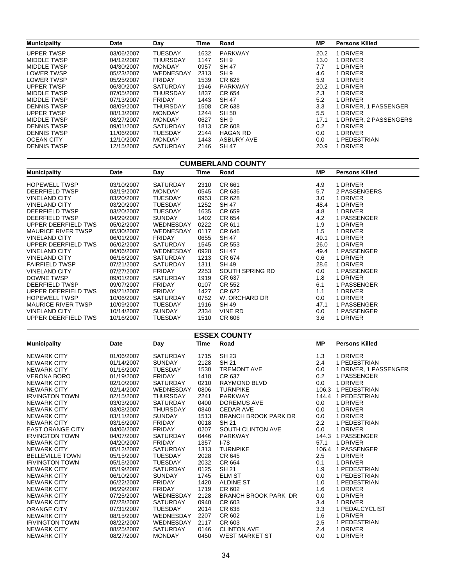| <b>Municipality</b> | <b>Date</b> | Day             | Time | Road              | MР   | <b>Persons Killed</b>  |
|---------------------|-------------|-----------------|------|-------------------|------|------------------------|
| <b>UPPER TWSP</b>   | 03/06/2007  | <b>TUESDAY</b>  | 1632 | PARKWAY           | 20.2 | 1 DRIVER               |
| MIDDLE TWSP         | 04/12/2007  | <b>THURSDAY</b> | 1147 | SH <sub>9</sub>   | 13.0 | 1 DRIVER               |
| MIDDLE TWSP         | 04/30/2007  | <b>MONDAY</b>   | 0957 | <b>SH 47</b>      | 7.7  | 1 DRIVER               |
| <b>LOWER TWSP</b>   | 05/23/2007  | WEDNESDAY       | 2313 | SH <sub>9</sub>   | 4.6  | 1 DRIVER               |
| <b>LOWER TWSP</b>   | 05/25/2007  | <b>FRIDAY</b>   | 1539 | CR 626            | 5.9  | 1 DRIVER               |
| <b>UPPER TWSP</b>   | 06/30/2007  | <b>SATURDAY</b> | 1946 | <b>PARKWAY</b>    | 20.2 | 1 DRIVER               |
| MIDDLE TWSP         | 07/05/2007  | <b>THURSDAY</b> | 1837 | CR 654            | 2.3  | 1 DRIVER               |
| MIDDLE TWSP         | 07/13/2007  | <b>FRIDAY</b>   | 1443 | SH 47             | 5.2  | 1 DRIVER               |
| <b>DENNIS TWSP</b>  | 08/09/2007  | <b>THURSDAY</b> | 1508 | CR 638            | 3.3  | 1 DRIVER, 1 PASSENGER  |
| <b>UPPER TWSP</b>   | 08/13/2007  | <b>MONDAY</b>   | 1244 | <b>SH 50</b>      | 5.5  | 1 DRIVER               |
| MIDDLE TWSP         | 08/27/2007  | <b>MONDAY</b>   | 0627 | SH <sub>9</sub>   | 17.1 | 1 DRIVER, 2 PASSENGERS |
| <b>DENNIS TWSP</b>  | 09/01/2007  | <b>SATURDAY</b> | 1813 | CR 608            | 0.2  | 1 DRIVER               |
| <b>DENNIS TWSP</b>  | 11/06/2007  | <b>TUESDAY</b>  | 2144 | <b>HAGAN RD</b>   | 0.0  | 1 DRIVER               |
| <b>OCEAN CITY</b>   | 12/10/2007  | <b>MONDAY</b>   | 1443 | <b>ASBURY AVE</b> | 0.0  | 1 PEDESTRIAN           |
| <b>DENNIS TWSP</b>  | 12/15/2007  | <b>SATURDAY</b> | 2146 | <b>SH 47</b>      | 20.9 | 1 DRIVER               |

| <b>CUMBERLAND COUNTY</b>  |            |                 |      |                 |           |                       |  |  |
|---------------------------|------------|-----------------|------|-----------------|-----------|-----------------------|--|--|
| <b>Municipality</b>       | Date       | Day             | Time | Road            | <b>MP</b> | <b>Persons Killed</b> |  |  |
| <b>HOPEWELL TWSP</b>      | 03/10/2007 | <b>SATURDAY</b> | 2310 | CR 661          | 4.9       | 1 DRIVER              |  |  |
| DEERFIELD TWSP            | 03/19/2007 | <b>MONDAY</b>   | 0545 | CR 636          | 5.7       | 2 PASSENGERS          |  |  |
| <b>VINELAND CITY</b>      | 03/20/2007 | <b>TUESDAY</b>  | 0953 | CR 628          | 3.0       | 1 DRIVER              |  |  |
| <b>VINELAND CITY</b>      | 03/20/2007 | <b>TUESDAY</b>  | 1252 | SH 47           | 48.4      | 1 DRIVER              |  |  |
| DEERFIELD TWSP            | 03/20/2007 | <b>TUESDAY</b>  | 1635 | CR 659          | 4.8       | 1 DRIVER              |  |  |
| DEERFIELD TWSP            | 04/29/2007 | <b>SUNDAY</b>   | 1402 | CR 654          | 4.2       | 1 PASSENGER           |  |  |
| UPPER DEERFIELD TWS       | 05/02/2007 | WEDNESDAY       | 0222 | CR 611          | 1.9       | 1 DRIVER              |  |  |
| <b>MAURICE RIVER TWSP</b> | 05/30/2007 | WEDNESDAY       | 0117 | CR 646          | 1.5       | 1 DRIVER              |  |  |
| <b>VINELAND CITY</b>      | 06/01/2007 | <b>FRIDAY</b>   | 0655 | <b>SH 47</b>    | 49.1      | 1 DRIVER              |  |  |
| UPPER DEERFIELD TWS       | 06/02/2007 | <b>SATURDAY</b> | 1545 | CR 553          | 26.0      | 1 DRIVER              |  |  |
| <b>VINELAND CITY</b>      | 06/06/2007 | WEDNESDAY       | 0928 | <b>SH 47</b>    | 49.4      | 1 PASSENGER           |  |  |
| <b>VINELAND CITY</b>      | 06/16/2007 | <b>SATURDAY</b> | 1213 | CR 674          | 0.6       | 1 DRIVER              |  |  |
| <b>FAIRFIELD TWSP</b>     | 07/21/2007 | <b>SATURDAY</b> | 1311 | <b>SH 49</b>    | 28.6      | 1 DRIVER              |  |  |
| <b>VINELAND CITY</b>      | 07/27/2007 | <b>FRIDAY</b>   | 2253 | SOUTH SPRING RD | 0.0       | 1 PASSENGER           |  |  |
| DOWNE TWSP                | 09/01/2007 | <b>SATURDAY</b> | 1919 | CR 637          | 1.8       | 1 DRIVER              |  |  |
| DEERFIELD TWSP            | 09/07/2007 | <b>FRIDAY</b>   | 0107 | CR 552          | 6.1       | 1 PASSENGER           |  |  |
| UPPER DEERFIELD TWS       | 09/21/2007 | <b>FRIDAY</b>   | 1427 | CR 622          | 1.1       | 1 DRIVER              |  |  |
| <b>HOPEWELL TWSP</b>      | 10/06/2007 | <b>SATURDAY</b> | 0752 | W. ORCHARD DR   | 0.0       | 1 DRIVER              |  |  |
| <b>MAURICE RIVER TWSP</b> | 10/09/2007 | <b>TUESDAY</b>  | 1916 | <b>SH 49</b>    | 47.1      | 1 PASSENGER           |  |  |
| <b>VINELAND CITY</b>      | 10/14/2007 | <b>SUNDAY</b>   | 2334 | <b>VINE RD</b>  | 0.0       | 1 PASSENGER           |  |  |
| UPPER DEERFIELD TWS       | 10/16/2007 | <b>TUESDAY</b>  | 1510 | CR 606          | 3.6       | 1 DRIVER              |  |  |

| <b>ESSEX COUNTY</b>     |            |                 |      |                             |           |                       |  |  |
|-------------------------|------------|-----------------|------|-----------------------------|-----------|-----------------------|--|--|
| <b>Municipality</b>     | Date       | Day             | Time | Road                        | <b>MP</b> | <b>Persons Killed</b> |  |  |
| <b>NEWARK CITY</b>      | 01/06/2007 | <b>SATURDAY</b> | 1715 | <b>SH 23</b>                | 1.3       | 1 DRIVER              |  |  |
| <b>NEWARK CITY</b>      | 01/14/2007 | <b>SUNDAY</b>   | 2128 | <b>SH 21</b>                | 2.4       | 1 PEDESTRIAN          |  |  |
| <b>NEWARK CITY</b>      | 01/16/2007 | <b>TUESDAY</b>  | 1530 | <b>TREMONT AVE</b>          | 0.0       | 1 DRIVER, 1 PASSENGER |  |  |
| <b>VERONA BORO</b>      | 01/19/2007 | <b>FRIDAY</b>   | 1418 | CR 637                      | 0.2       | 1 PASSENGER           |  |  |
| <b>NEWARK CITY</b>      | 02/10/2007 | <b>SATURDAY</b> | 0210 | RAYMOND BLVD                | 0.0       | 1 DRIVER              |  |  |
| <b>NEWARK CITY</b>      | 02/14/2007 | WEDNESDAY       | 0806 | <b>TURNPIKE</b>             | 106.3     | 1 PEDESTRIAN          |  |  |
| <b>IRVINGTON TOWN</b>   | 02/15/2007 | <b>THURSDAY</b> | 2241 | <b>PARKWAY</b>              | 144.4     | 1 PEDESTRIAN          |  |  |
| <b>NEWARK CITY</b>      | 03/03/2007 | <b>SATURDAY</b> | 0400 | <b>DOREMUS AVE</b>          | 0.0       | 1 DRIVER              |  |  |
| <b>NEWARK CITY</b>      | 03/08/2007 | <b>THURSDAY</b> | 0840 | <b>CEDAR AVE</b>            | 0.0       | 1 DRIVER              |  |  |
| <b>NEWARK CITY</b>      | 03/11/2007 | <b>SUNDAY</b>   | 1513 | <b>BRANCH BROOK PARK DR</b> | 0.0       | 1 DRIVER              |  |  |
| <b>NEWARK CITY</b>      | 03/16/2007 | <b>FRIDAY</b>   | 0018 | <b>SH 21</b>                | 2.2       | 1 PEDESTRIAN          |  |  |
| <b>EAST ORANGE CITY</b> | 04/06/2007 | <b>FRIDAY</b>   | 0207 | SOUTH CLINTON AVE           | 0.0       | 1 DRIVER              |  |  |
| <b>IRVINGTON TOWN</b>   | 04/07/2007 | <b>SATURDAY</b> | 0446 | <b>PARKWAY</b>              | 144.3     | 1 PASSENGER           |  |  |
| <b>NEWARK CITY</b>      | 04/20/2007 | <b>FRIDAY</b>   | 1357 | $1-78$                      | 57.1      | 1 DRIVER              |  |  |
| <b>NEWARK CITY</b>      | 05/12/2007 | <b>SATURDAY</b> | 1313 | <b>TURNPIKE</b>             | 106.4     | 1 PASSENGER           |  |  |
| <b>BELLEVILLE TOWN</b>  | 05/15/2007 | <b>TUESDAY</b>  | 2028 | CR 645                      | 2.5       | 1 DRIVER              |  |  |
| <b>IRVINGTON TOWN</b>   | 05/15/2007 | <b>TUESDAY</b>  | 2032 | CR 664                      | 0.1       | 1 DRIVER              |  |  |
| <b>NEWARK CITY</b>      | 05/19/2007 | <b>SATURDAY</b> | 0125 | <b>SH 21</b>                | 1.9       | 1 PEDESTRIAN          |  |  |
| <b>NEWARK CITY</b>      | 06/10/2007 | <b>SUNDAY</b>   | 1745 | <b>ELM ST</b>               | 0.0       | 1 PEDESTRIAN          |  |  |
| <b>NEWARK CITY</b>      | 06/22/2007 | <b>FRIDAY</b>   | 1420 | <b>ALDINE ST</b>            | 1.0       | 1 PEDESTRIAN          |  |  |
| <b>NEWARK CITY</b>      | 06/29/2007 | <b>FRIDAY</b>   | 1719 | CR 602                      | 1.6       | 1 DRIVER              |  |  |
| <b>NEWARK CITY</b>      | 07/25/2007 | WEDNESDAY       | 2128 | <b>BRANCH BROOK PARK DR</b> | 0.0       | 1 DRIVER              |  |  |
| <b>NEWARK CITY</b>      | 07/28/2007 | <b>SATURDAY</b> | 0940 | CR 603                      | 3.4       | 1 DRIVER              |  |  |
| <b>ORANGE CITY</b>      | 07/31/2007 | <b>TUESDAY</b>  | 2014 | CR 638                      | 3.3       | 1 PEDALCYCLIST        |  |  |
| <b>NEWARK CITY</b>      | 08/15/2007 | WEDNESDAY       | 2207 | CR 602                      | 1.6       | 1 DRIVER              |  |  |
| <b>IRVINGTON TOWN</b>   | 08/22/2007 | WEDNESDAY       | 2117 | CR 603                      | 2.5       | 1 PEDESTRIAN          |  |  |
| <b>NEWARK CITY</b>      | 08/25/2007 | <b>SATURDAY</b> | 0146 | <b>CLINTON AVE</b>          | 2.4       | 1 DRIVER              |  |  |
| <b>NEWARK CITY</b>      | 08/27/2007 | <b>MONDAY</b>   | 0450 | <b>WEST MARKET ST</b>       | 0.0       | 1 DRIVER              |  |  |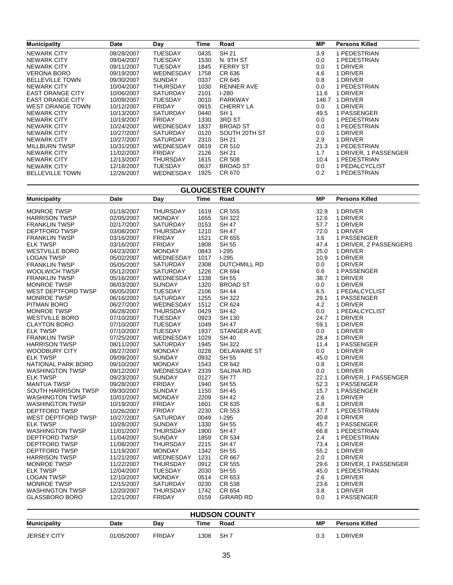| <b>Municipality</b>     | Date       | Day             | Time | Road              | MP.   | <b>Persons Killed</b> |
|-------------------------|------------|-----------------|------|-------------------|-------|-----------------------|
| <b>NEWARK CITY</b>      | 08/28/2007 | <b>TUESDAY</b>  | 0435 | SH 21             | 3.9   | 1 PEDESTRIAN          |
| <b>NEWARK CITY</b>      | 09/04/2007 | <b>TUESDAY</b>  | 1530 | N. 9TH ST         | 0.0   | 1 PEDESTRIAN          |
| <b>NEWARK CITY</b>      | 09/11/2007 | TUESDAY         | 1845 | <b>FERRY ST</b>   | 0.0   | 1 DRIVER              |
| VERONA BORO             | 09/19/2007 | WEDNESDAY       | 1758 | CR 636            | 4.6   | 1 DRIVER              |
| <b>BELLEVILLE TOWN</b>  | 09/30/2007 | <b>SUNDAY</b>   | 0337 | CR 645            | 0.8   | 1 DRIVER              |
| <b>NEWARK CITY</b>      | 10/04/2007 | THURSDAY        | 1030 | <b>RENNER AVE</b> | 0.0   | 1 PEDESTRIAN          |
| <b>EAST ORANGE CITY</b> | 10/06/2007 | <b>SATURDAY</b> | 2101 | $1-280$           | 11.6  | 1 DRIVER              |
| <b>EAST ORANGE CITY</b> | 10/09/2007 | TUESDAY         | 0010 | <b>PARKWAY</b>    | 146.7 | 1 DRIVER              |
| <b>WEST ORANGE TOWN</b> | 10/12/2007 | <b>FRIDAY</b>   | 0915 | <b>CHERRY LA</b>  | 0.0   | 1 DRIVER              |
| <b>NEWARK CITY</b>      | 10/13/2007 | SATURDAY        | 0440 | SH <sub>1</sub>   | 49.5  | 1 PASSENGER           |
| <b>NEWARK CITY</b>      | 10/19/2007 | <b>FRIDAY</b>   | 1330 | 3RD ST            | 0.0   | 1 PEDESTRIAN          |
| <b>NEWARK CITY</b>      | 10/24/2007 | WEDNESDAY       | 1837 | <b>BROAD ST</b>   | 0.0   | 1 PEDESTRIAN          |
| <b>NEWARK CITY</b>      | 10/27/2007 | <b>SATURDAY</b> | 0120 | SOUTH 20TH ST     | 0.0   | 1 DRIVER              |
| <b>NEWARK CITY</b>      | 10/27/2007 | <b>SATURDAY</b> | 2310 | SH 21             | 2.9   | 1 DRIVER              |
| <b>MILLBURN TWSP</b>    | 10/31/2007 | WEDNESDAY       | 0819 | CR 510            | 21.3  | 1 PEDESTRIAN          |
| <b>NEWARK CITY</b>      | 11/02/2007 | <b>FRIDAY</b>   | 2126 | SH 21             | 1.7   | 1 DRIVER, 1 PASSENGER |
| <b>NEWARK CITY</b>      | 12/13/2007 | <b>THURSDAY</b> | 1615 | CR 508            | 10.4  | 1 PEDESTRIAN          |
| <b>NEWARK CITY</b>      | 12/18/2007 | TUESDAY         | 0637 | <b>BROAD ST</b>   | 0.0   | 1 PEDALCYCLIST        |
| <b>BELLEVILLE TOWN</b>  | 12/26/2007 | WEDNESDAY       | 1925 | CR 670            | 0.2   | 1 PEDESTRIAN          |

| <b>GLOUCESTER COUNTY</b>  |            |                 |      |                     |           |                        |  |
|---------------------------|------------|-----------------|------|---------------------|-----------|------------------------|--|
| <b>Municipality</b>       | Date       | Day             | Time | Road                | <b>MP</b> | <b>Persons Killed</b>  |  |
| <b>MONROE TWSP</b>        | 01/18/2007 | <b>THURSDAY</b> | 1619 | CR 555              | 32.9      | 1 DRIVER               |  |
| <b>HARRISON TWSP</b>      | 02/05/2007 | <b>MONDAY</b>   | 1655 | SH 322              | 12.6      | 1 DRIVER               |  |
| <b>FRANKLIN TWSP</b>      | 02/17/2007 | <b>SATURDAY</b> | 0153 | <b>SH 47</b>        | 57.7      | 1 DRIVER               |  |
| <b>DEPTFORD TWSP</b>      | 03/08/2007 | <b>THURSDAY</b> | 1210 | <b>SH 47</b>        | 72.0      | 1 DRIVER               |  |
| <b>FRANKLIN TWSP</b>      | 03/16/2007 | <b>FRIDAY</b>   | 1521 | CR 655              | 3.6       | 1 PASSENGER            |  |
| <b>ELK TWSP</b>           | 03/16/2007 | <b>FRIDAY</b>   | 1808 | <b>SH 55</b>        | 47.4      | 1 DRIVER, 2 PASSENGERS |  |
| <b>WESTVILLE BORO</b>     | 04/23/2007 | <b>MONDAY</b>   | 0843 | $1-295$             | 25.0      | 1 DRIVER               |  |
| <b>LOGAN TWSP</b>         | 05/02/2007 | WEDNESDAY       | 1017 | $1-295$             | 10.9      | 1 DRIVER               |  |
| <b>FRANKLIN TWSP</b>      | 05/05/2007 | <b>SATURDAY</b> | 2308 | <b>DUTCHMILL RD</b> | 0.0       | 1 DRIVER               |  |
| WOOLWICH TWSP             | 05/12/2007 | <b>SATURDAY</b> | 1226 | CR 694              | 0.6       | 1 PASSENGER            |  |
| <b>FRANKLIN TWSP</b>      | 05/16/2007 | WEDNESDAY       | 1338 | <b>SH 55</b>        | 38.7      | 1 DRIVER               |  |
| <b>MONROE TWSP</b>        | 06/03/2007 | <b>SUNDAY</b>   | 1320 | <b>BROAD ST</b>     | 0.0       | 1 DRIVER               |  |
| WEST DEPTFORD TWSP        | 06/05/2007 | <b>TUESDAY</b>  | 2106 | <b>SH 44</b>        | 6.5       | 1 PEDALCYCLIST         |  |
| <b>MONROE TWSP</b>        | 06/16/2007 | <b>SATURDAY</b> | 1255 | <b>SH 322</b>       | 29.1      | 1 PASSENGER            |  |
| PITMAN BORO               | 06/27/2007 | WEDNESDAY       | 1512 | CR 624              | 4.2       | 1 DRIVER               |  |
| <b>MONROE TWSP</b>        | 06/28/2007 | <b>THURSDAY</b> | 0429 | <b>SH 42</b>        | 0.0       | 1 PEDALCYCLIST         |  |
| <b>WESTVILLE BORO</b>     | 07/10/2007 | <b>TUESDAY</b>  | 0923 | SH 130              | 24.7      | 1 DRIVER               |  |
| <b>CLAYTON BORO</b>       | 07/10/2007 | <b>TUESDAY</b>  | 1049 | <b>SH 47</b>        | 59.1      | 1 DRIVER               |  |
|                           | 07/10/2007 | <b>TUESDAY</b>  | 1937 |                     |           | 1 DRIVER               |  |
| <b>ELK TWSP</b>           |            |                 |      | STANGER AVE         | 0.0       |                        |  |
| <b>FRANKLIN TWSP</b>      | 07/25/2007 | WEDNESDAY       | 1029 | <b>SH 40</b>        | 28.4      | 1 DRIVER               |  |
| <b>HARRISON TWSP</b>      | 08/11/2007 | <b>SATURDAY</b> | 1945 | <b>SH 322</b>       | 11.4      | 1 PASSENGER            |  |
| <b>WOODBURY CITY</b>      | 08/27/2007 | <b>MONDAY</b>   | 0228 | <b>DELAWARE ST</b>  | 0.0       | 1 DRIVER               |  |
| <b>ELK TWSP</b>           | 09/09/2007 | <b>SUNDAY</b>   | 0932 | <b>SH 55</b>        | 45.0      | 1 DRIVER               |  |
| NATIONAL PARK BORO        | 09/10/2007 | <b>MONDAY</b>   | 1543 | CR 642              | 0.8       | 1 DRIVER               |  |
| <b>WASHINGTON TWSP</b>    | 09/12/2007 | WEDNESDAY       | 2339 | <b>SALINA RD</b>    | 0.0       | 1 DRIVER               |  |
| <b>ELK TWSP</b>           | 09/23/2007 | <b>SUNDAY</b>   | 0127 | <b>SH77</b>         | 22.1      | 1 DRIVER, 1 PASSENGER  |  |
| <b>MANTUA TWSP</b>        | 09/28/2007 | <b>FRIDAY</b>   | 1940 | <b>SH 55</b>        | 52.3      | 1 PASSENGER            |  |
| SOUTH HARRISON TWSP       | 09/30/2007 | <b>SUNDAY</b>   | 1150 | <b>SH 45</b>        | 15.7      | 1 PASSENGER            |  |
| <b>WASHINGTON TWSP</b>    | 10/01/2007 | <b>MONDAY</b>   | 2209 | <b>SH 42</b>        | 2.6       | 1 DRIVER               |  |
| <b>WASHINGTON TWSP</b>    | 10/19/2007 | <b>FRIDAY</b>   | 1601 | CR 635              | 6.8       | 1 DRIVER               |  |
| <b>DEPTFORD TWSP</b>      | 10/26/2007 | <b>FRIDAY</b>   | 2230 | <b>CR 553</b>       | 47.7      | 1 PEDESTRIAN           |  |
| <b>WEST DEPTFORD TWSP</b> | 10/27/2007 | <b>SATURDAY</b> | 0049 | $1-295$             | 20.8      | 1 DRIVER               |  |
| <b>ELK TWSP</b>           | 10/28/2007 | <b>SUNDAY</b>   | 1330 | <b>SH 55</b>        | 45.7      | 1 PASSENGER            |  |
| <b>WASHINGTON TWSP</b>    | 11/01/2007 | <b>THURSDAY</b> | 1900 | <b>SH 47</b>        | 66.8      | 1 PEDESTRIAN           |  |
| DEPTFORD TWSP             | 11/04/2007 | <b>SUNDAY</b>   | 1859 | <b>CR 534</b>       | 2.4       | 1 PEDESTRIAN           |  |
| DEPTFORD TWSP             | 11/08/2007 | <b>THURSDAY</b> | 2215 | <b>SH 47</b>        | 73.4      | 1 DRIVER               |  |
| DEPTFORD TWSP             | 11/19/2007 | <b>MONDAY</b>   | 1342 | <b>SH 55</b>        | 55.2      | 1 DRIVER               |  |
| <b>HARRISON TWSP</b>      | 11/21/2007 | WEDNESDAY       | 1231 | CR 667              | 2.0       | 1 DRIVER               |  |
| <b>MONROE TWSP</b>        | 11/22/2007 | <b>THURSDAY</b> | 0912 | CR 555              | 29.6      | 1 DRIVER, 1 PASSENGER  |  |
| <b>ELK TWSP</b>           | 12/04/2007 | TUESDAY         | 2030 | <b>SH 55</b>        | 45.0      | 1 PEDESTRIAN           |  |
| <b>LOGAN TWSP</b>         | 12/10/2007 | <b>MONDAY</b>   | 0514 | CR 653              | 2.6       | 1 DRIVER               |  |
| <b>MONROE TWSP</b>        | 12/15/2007 | <b>SATURDAY</b> | 0230 | <b>CR 538</b>       | 23.6      | 1 DRIVER               |  |
| <b>WASHINGTON TWSP</b>    | 12/20/2007 | <b>THURSDAY</b> | 1742 | CR 654              | 3.8       | 1 DRIVER               |  |
| <b>GLASSBORO BORO</b>     | 12/21/2007 | <b>FRIDAY</b>   | 0159 | <b>GIRARD RD</b>    | 0.0       | 1 PASSENGER            |  |
|                           |            |                 |      |                     |           |                        |  |

| <b>HUDSON COUNTY</b> |            |               |      |       |    |                       |  |  |
|----------------------|------------|---------------|------|-------|----|-----------------------|--|--|
| <b>Municipality</b>  | Date       | Dav           | Time | Road  | МP | <b>Persons Killed</b> |  |  |
| <b>JERSEY CITY</b>   | 01/05/2007 | <b>FRIDAY</b> | 1308 | -SH 7 |    | <b>DRIVER</b>         |  |  |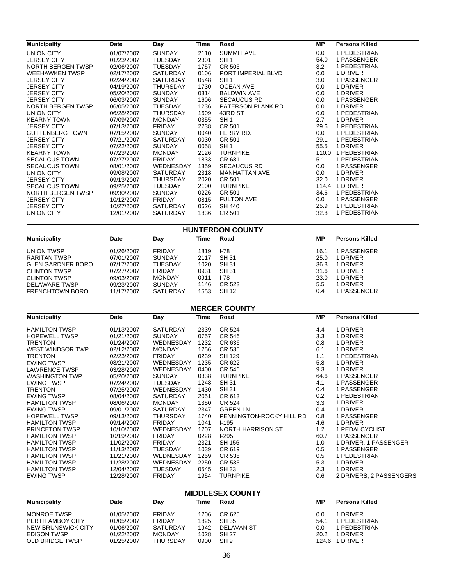| <b>Municipality</b>    | Date       | Day              | Time | Road               | МP      | <b>Persons Killed</b> |
|------------------------|------------|------------------|------|--------------------|---------|-----------------------|
| UNION CITY             | 01/07/2007 | <b>SUNDAY</b>    | 2110 | <b>SUMMIT AVE</b>  | $0.0\,$ | 1 PEDESTRIAN          |
| JERSEY CITY            | 01/23/2007 | <b>TUESDAY</b>   | 2301 | SH <sub>1</sub>    | 54.0    | 1 PASSENGER           |
| NORTH BERGEN TWSP      | 02/06/2007 | <b>TUESDAY</b>   | 1757 | CR 505             | 3.2     | 1 PEDESTRIAN          |
| <b>WEEHAWKEN TWSP</b>  | 02/17/2007 | SATURDAY         | 0106 | PORT IMPERIAL BLVD | $0.0\,$ | 1 DRIVER              |
| <b>JERSEY CITY</b>     | 02/24/2007 | <b>SATURDAY</b>  | 0548 | SH <sub>1</sub>    | 3.0     | 1 PASSENGER           |
| <b>JERSEY CITY</b>     | 04/19/2007 | <b>THURSDAY</b>  | 1730 | OCEAN AVE          | $0.0\,$ | 1 DRIVER              |
| <b>JERSEY CITY</b>     | 05/20/2007 | <b>SUNDAY</b>    | 0314 | <b>BALDWIN AVE</b> | $0.0\,$ | 1 DRIVER              |
| <b>JERSEY CITY</b>     | 06/03/2007 | <b>SUNDAY</b>    | 1606 | <b>SECAUCUS RD</b> | 0.0     | 1 PASSENGER           |
| NORTH BERGEN TWSP      | 06/05/2007 | TUESDAY          | 1236 | PATERSON PLANK RD  | $0.0\,$ | 1 DRIVER              |
| UNION CITY             | 06/28/2007 | <b>THURSDAY</b>  | 1609 | 43RD ST            | $0.0\,$ | 1 PEDESTRIAN          |
| <b>KEARNY TOWN</b>     | 07/09/2007 | <b>MONDAY</b>    | 0355 | SH <sub>1</sub>    | 2.7     | 1 DRIVER              |
| <b>JERSEY CITY</b>     | 07/13/2007 | <b>FRIDAY</b>    | 2238 | CR 501             | 29.6    | 1 PEDESTRIAN          |
| <b>GUTTENBERG TOWN</b> | 07/15/2007 | <b>SUNDAY</b>    | 0040 | FERRY RD.          | 0.0     | 1 PEDESTRIAN          |
| <b>JERSEY CITY</b>     | 07/21/2007 | <b>SATURDAY</b>  | 0030 | CR 501             | 29.1    | 1 PEDESTRIAN          |
| <b>JERSEY CITY</b>     | 07/22/2007 | <b>SUNDAY</b>    | 0058 | SH <sub>1</sub>    | 55.5    | 1 DRIVER              |
| <b>KEARNY TOWN</b>     | 07/23/2007 | <b>MONDAY</b>    | 2126 | <b>TURNPIKE</b>    |         | 110.0 1 PEDESTRIAN    |
| <b>SECAUCUS TOWN</b>   | 07/27/2007 | <b>FRIDAY</b>    | 1833 | CR 681             | 5.1     | 1 PEDESTRIAN          |
| <b>SECAUCUS TOWN</b>   | 08/01/2007 | <b>WEDNESDAY</b> | 1359 | <b>SECAUCUS RD</b> | $0.0\,$ | 1 PASSENGER           |
| UNION CITY             | 09/08/2007 | <b>SATURDAY</b>  | 2318 | MANHATTAN AVE      | 0.0     | 1 DRIVER              |
| <b>JERSEY CITY</b>     | 09/13/2007 | <b>THURSDAY</b>  | 2020 | CR 501             | 32.0    | 1 DRIVER              |
| <b>SECAUCUS TOWN</b>   | 09/25/2007 | <b>TUESDAY</b>   | 2100 | <b>TURNPIKE</b>    | 114.4   | 1 DRIVER              |
| NORTH BERGEN TWSP      | 09/30/2007 | <b>SUNDAY</b>    | 0226 | CR 501             | 34.6    | 1 PEDESTRIAN          |
| <b>JERSEY CITY</b>     | 10/12/2007 | <b>FRIDAY</b>    | 0815 | <b>FULTON AVE</b>  | 0.0     | 1 PASSENGER           |
| <b>JERSEY CITY</b>     | 10/27/2007 | <b>SATURDAY</b>  | 0626 | SH 440             | 25.9    | 1 PEDESTRIAN          |
| UNION CITY             | 12/01/2007 | <b>SATURDAY</b>  | 1836 | CR 501             | 32.8    | 1 PEDESTRIAN          |
|                        |            |                  |      |                    |         |                       |

| <b>HUNTERDON COUNTY</b>  |            |                 |      |        |      |                       |  |  |
|--------------------------|------------|-----------------|------|--------|------|-----------------------|--|--|
| <b>Municipality</b>      | Date       | Day             | Time | Road   | МP   | <b>Persons Killed</b> |  |  |
| <b>UNION TWSP</b>        | 01/26/2007 | <b>FRIDAY</b>   | 1819 | $1-78$ | 16.1 | 1 PASSENGER           |  |  |
| RARITAN TWSP             | 07/01/2007 | <b>SUNDAY</b>   | 2117 | SH 31  | 25.0 | 1 DRIVER              |  |  |
| <b>GLEN GARDNER BORO</b> | 07/17/2007 | <b>TUESDAY</b>  | 1020 | SH 31  | 36.8 | 1 DRIVER              |  |  |
| <b>CLINTON TWSP</b>      | 07/27/2007 | <b>FRIDAY</b>   | 0931 | SH 31  | 31.6 | 1 DRIVER              |  |  |
| <b>CLINTON TWSP</b>      | 09/03/2007 | <b>MONDAY</b>   | 0911 | I-78   | 23.0 | 1 DRIVER              |  |  |
| DELAWARE TWSP            | 09/23/2007 | <b>SUNDAY</b>   | 1146 | CR 523 | 5.5  | 1 DRIVER              |  |  |
| <b>FRENCHTOWN BORO</b>   | 11/17/2007 | <b>SATURDAY</b> | 1553 | SH 12  | 0.4  | 1 PASSENGER           |  |  |

| <b>MERCER COUNTY</b>  |            |                  |      |                          |           |                         |  |  |  |  |
|-----------------------|------------|------------------|------|--------------------------|-----------|-------------------------|--|--|--|--|
| <b>Municipality</b>   | Date       | Day              | Time | Road                     | <b>MP</b> | <b>Persons Killed</b>   |  |  |  |  |
| <b>HAMILTON TWSP</b>  | 01/13/2007 | <b>SATURDAY</b>  | 2339 | CR 524                   | 4.4       | 1 DRIVER                |  |  |  |  |
| <b>HOPEWELL TWSP</b>  | 01/21/2007 | <b>SUNDAY</b>    | 0757 | CR 546                   | 3.3       | 1 DRIVER                |  |  |  |  |
| TRENTON               | 01/24/2007 | <b>WEDNESDAY</b> | 1232 | CR 636                   | 0.8       | 1 DRIVER                |  |  |  |  |
| WEST WINDSOR TWP      | 02/12/2007 | <b>MONDAY</b>    | 1256 | CR 535                   | 6.1       | 1 DRIVER                |  |  |  |  |
| <b>TRENTON</b>        | 02/23/2007 | <b>FRIDAY</b>    | 0239 | <b>SH 129</b>            | 1.1       | 1 PEDESTRIAN            |  |  |  |  |
| <b>EWING TWSP</b>     | 03/21/2007 | WEDNESDAY        | 1235 | CR 622                   | 5.8       | 1 DRIVER                |  |  |  |  |
| <b>LAWRENCE TWSP</b>  | 03/28/2007 | <b>WEDNESDAY</b> | 0400 | CR 546                   | 9.3       | 1 DRIVER                |  |  |  |  |
| <b>WASHINGTON TWP</b> | 05/20/2007 | <b>SUNDAY</b>    | 0338 | <b>TURNPIKE</b>          | 64.6      | 1 PASSENGER             |  |  |  |  |
| <b>EWING TWSP</b>     | 07/24/2007 | TUESDAY          | 1248 | <b>SH 31</b>             | 4.1       | 1 PASSENGER             |  |  |  |  |
| TRENTON               | 07/25/2007 | <b>WEDNESDAY</b> | 1430 | <b>SH 31</b>             | 0.4       | 1 PASSENGER             |  |  |  |  |
| <b>EWING TWSP</b>     | 08/04/2007 | <b>SATURDAY</b>  | 2051 | CR 613                   | 0.2       | 1 PEDESTRIAN            |  |  |  |  |
| <b>HAMILTON TWSP</b>  | 08/06/2007 | <b>MONDAY</b>    | 1350 | CR 524                   | 3.3       | 1 DRIVER                |  |  |  |  |
| <b>EWING TWSP</b>     | 09/01/2007 | <b>SATURDAY</b>  | 2347 | <b>GREEN LN</b>          | 0.4       | 1 DRIVER                |  |  |  |  |
| <b>HOPEWELL TWSP</b>  | 09/13/2007 | <b>THURSDAY</b>  | 1740 | PENNINGTON-ROCKY HILL RD | 0.8       | 1 PASSENGER             |  |  |  |  |
| <b>HAMILTON TWSP</b>  | 09/14/2007 | <b>FRIDAY</b>    | 1041 | $1 - 195$                | 4.6       | 1 DRIVER                |  |  |  |  |
| <b>PRINCETON TWSP</b> | 10/10/2007 | <b>WEDNESDAY</b> | 1207 | <b>NORTH HARRISON ST</b> | 1.2       | 1 PEDALCYCLIST          |  |  |  |  |
| <b>HAMILTON TWSP</b>  | 10/19/2007 | <b>FRIDAY</b>    | 0228 | $1-295$                  | 60.7      | 1 PASSENGER             |  |  |  |  |
| <b>HAMILTON TWSP</b>  | 11/02/2007 | <b>FRIDAY</b>    | 2321 | SH 156                   | 1.0       | 1 DRIVER, 1 PASSENGER   |  |  |  |  |
| <b>HAMILTON TWSP</b>  | 11/13/2007 | <b>TUESDAY</b>   | 1039 | CR 619                   | 0.5       | 1 PASSENGER             |  |  |  |  |
| <b>HAMILTON TWSP</b>  | 11/21/2007 | <b>WEDNESDAY</b> | 1259 | CR 535                   | 0.5       | 1 PEDESTRIAN            |  |  |  |  |
| <b>HAMILTON TWSP</b>  | 11/28/2007 | <b>WEDNESDAY</b> | 2250 | CR 535                   | 5.3       | 1 DRIVER                |  |  |  |  |
| <b>HAMILTON TWSP</b>  | 12/04/2007 | TUESDAY          | 0545 | <b>SH33</b>              | 2.3       | 1 DRIVER                |  |  |  |  |
| <b>EWING TWSP</b>     | 12/28/2007 | <b>FRIDAY</b>    | 1954 | <b>TURNPIKE</b>          | 0.6       | 2 DRIVERS, 2 PASSENGERS |  |  |  |  |

| <b>MIDDLESEX COUNTY</b> |            |                 |      |                 |       |                       |  |  |  |
|-------------------------|------------|-----------------|------|-----------------|-------|-----------------------|--|--|--|
| <b>Municipality</b>     | Date       | Day             | Time | Road            | ΜP    | <b>Persons Killed</b> |  |  |  |
| <b>MONROE TWSP</b>      | 01/05/2007 | FRIDAY          | 1206 | CR 625          | 0.0   | 1 DRIVER              |  |  |  |
| PERTH AMBOY CITY        | 01/05/2007 | FRIDAY          | 1825 | <b>SH 35</b>    | 54.1  | <b>PEDESTRIAN</b>     |  |  |  |
| NEW BRUNSWICK CITY      | 01/06/2007 | SATURDAY        | 1942 | DELAVAN ST      | 0.0   | I PEDESTRIAN          |  |  |  |
| <b>EDISON TWSP</b>      | 01/22/2007 | <b>MONDAY</b>   | 1028 | <b>SH 27</b>    | 20.2  | 1 DRIVER              |  |  |  |
| <b>OLD BRIDGE TWSP</b>  | 01/25/2007 | <b>THURSDAY</b> | 0900 | SH <sub>9</sub> | 124.6 | 1 DRIVER              |  |  |  |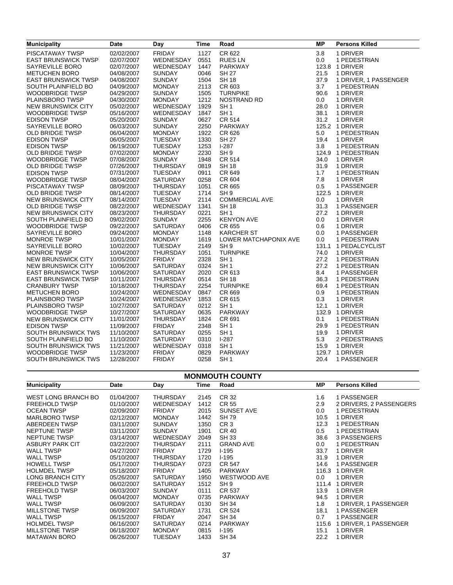| <b>Municipality</b>        | <b>Date</b> | Day             | Time | Road                  | <b>MP</b> | <b>Persons Killed</b> |
|----------------------------|-------------|-----------------|------|-----------------------|-----------|-----------------------|
| <b>PISCATAWAY TWSP</b>     | 02/02/2007  | <b>FRIDAY</b>   | 1127 | CR 622                | 3.8       | 1 DRIVER              |
| <b>EAST BRUNSWICK TWSP</b> | 02/07/2007  | WEDNESDAY       | 0551 | RUES LN               | 0.0       | 1 PEDESTRIAN          |
| SAYREVILLE BORO            | 02/07/2007  | WEDNESDAY       | 1447 | PARKWAY               |           | 123.8 1 DRIVER        |
| <b>METUCHEN BORO</b>       | 04/08/2007  | <b>SUNDAY</b>   | 0046 | <b>SH 27</b>          | 21.5      | 1 DRIVER              |
| <b>EAST BRUNSWICK TWSP</b> | 04/08/2007  | <b>SUNDAY</b>   | 1504 | <b>SH 18</b>          | 37.9      | 1 DRIVER, 1 PASSENGER |
| SOUTH PLAINFIELD BO        | 04/09/2007  | <b>MONDAY</b>   | 2113 | CR 603                | 3.7       | 1 PEDESTRIAN          |
| <b>WOODBRIDGE TWSP</b>     | 04/29/2007  | <b>SUNDAY</b>   | 1505 | <b>TURNPIKE</b>       | 90.6      | 1 DRIVER              |
| PLAINSBORO TWSP            | 04/30/2007  | <b>MONDAY</b>   | 1212 | NOSTRAND RD           | 0.0       | 1 DRIVER              |
| NEW BRUNSWICK CITY         | 05/02/2007  | WEDNESDAY       | 1929 | SH <sub>1</sub>       | 28.0      | 1 DRIVER              |
| <b>WOODBRIDGE TWSP</b>     | 05/16/2007  | WEDNESDAY       | 1847 | SH <sub>1</sub>       | 38.1      | 1 DRIVER              |
| <b>EDISON TWSP</b>         | 05/20/2007  | <b>SUNDAY</b>   | 0627 | <b>CR 514</b>         | 31.2      | 1 DRIVER              |
| SAYREVILLE BORO            | 06/03/2007  | <b>SUNDAY</b>   | 2250 | PARKWAY               |           | 125.2 1 DRIVER        |
| <b>OLD BRIDGE TWSP</b>     | 06/04/2007  | <b>MONDAY</b>   | 1922 | CR 626                | 5.0       | 1 PEDESTRIAN          |
| <b>EDISON TWSP</b>         | 06/05/2007  | <b>TUESDAY</b>  | 1330 | <b>SH 27</b>          | 19.4      | 1 DRIVER              |
| <b>EDISON TWSP</b>         | 06/19/2007  | <b>TUESDAY</b>  | 1253 | $I-287$               | 3.8       | 1 PEDESTRIAN          |
| <b>OLD BRIDGE TWSP</b>     | 07/02/2007  | <b>MONDAY</b>   | 2230 | SH <sub>9</sub>       |           | 124.9 1 PEDESTRIAN    |
| WOODBRIDGE TWSP            | 07/08/2007  | <b>SUNDAY</b>   | 1948 | <b>CR 514</b>         | 34.0      | 1 DRIVER              |
| <b>OLD BRIDGE TWSP</b>     | 07/26/2007  | <b>THURSDAY</b> | 0819 | <b>SH 18</b>          | 31.9      | 1 DRIVER              |
| <b>EDISON TWSP</b>         | 07/31/2007  | <b>TUESDAY</b>  | 0911 | CR 649                | 1.7       | 1 PEDESTRIAN          |
| <b>WOODBRIDGE TWSP</b>     | 08/04/2007  | SATURDAY        | 0258 | CR 604                | 7.8       | 1 DRIVER              |
| PISCATAWAY TWSP            | 08/09/2007  | THURSDAY        | 1051 | CR 665                | 0.5       | 1 PASSENGER           |
| <b>OLD BRIDGE TWSP</b>     | 08/14/2007  | TUESDAY         | 1714 | SH <sub>9</sub>       |           | 122.5 1 DRIVER        |
| <b>NEW BRUNSWICK CITY</b>  | 08/14/2007  | TUESDAY         | 2114 | <b>COMMERCIAL AVE</b> | 0.0       | 1 DRIVER              |
| <b>OLD BRIDGE TWSP</b>     | 08/22/2007  | WEDNESDAY       | 1341 | <b>SH 18</b>          | 31.3      | 1 PASSENGER           |
| <b>NEW BRUNSWICK CITY</b>  | 08/23/2007  | <b>THURSDAY</b> | 0221 | SH <sub>1</sub>       | 27.2      | 1 DRIVER              |
| SOUTH PLAINFIELD BO        | 09/02/2007  | <b>SUNDAY</b>   | 2255 | <b>KENYON AVE</b>     | 0.0       | 1 DRIVER              |
| <b>WOODBRIDGE TWSP</b>     | 09/22/2007  | <b>SATURDAY</b> | 0406 | CR 655                | 0.6       | 1 DRIVER              |
| SAYREVILLE BORO            | 09/24/2007  | <b>MONDAY</b>   | 1148 | <b>KARCHER ST</b>     | 0.0       | 1 PASSENGER           |
| <b>MONROE TWSP</b>         | 10/01/2007  | <b>MONDAY</b>   | 1619 | LOWER MATCHAPONIX AVE | 0.0       | 1 PEDESTRIAN          |
| SAYREVILLE BORO            | 10/02/2007  | <b>TUESDAY</b>  | 2149 | SH <sub>9</sub>       |           | 131.1 1 PEDALCYCLIST  |
| <b>MONROE TWSP</b>         | 10/04/2007  | <b>THURSDAY</b> | 1051 | <b>TURNPIKE</b>       | 74.0      | 1 DRIVER              |
| <b>NEW BRUNSWICK CITY</b>  | 10/05/2007  | <b>FRIDAY</b>   | 2328 | SH <sub>1</sub>       | 27.2      | 1 PEDESTRIAN          |
| NEW BRUNSWICK CITY         | 10/06/2007  | <b>SATURDAY</b> | 0324 | SH <sub>1</sub>       | 27.2      | 1 PEDESTRIAN          |
| <b>EAST BRUNSWICK TWSP</b> | 10/06/2007  | <b>SATURDAY</b> | 2020 | CR 613                | 8.4       | 1 PASSENGER           |
| <b>EAST BRUNSWICK TWSP</b> | 10/11/2007  | <b>THURSDAY</b> | 0514 | <b>SH 18</b>          | 36.3      | 1 PEDESTRIAN          |
| <b>CRANBURY TWSP</b>       | 10/18/2007  | THURSDAY        | 2254 | <b>TURNPIKE</b>       | 69.4      | 1 PEDESTRIAN          |
| <b>METUCHEN BORO</b>       | 10/24/2007  | WEDNESDAY       | 0847 | CR 669                | 0.9       | 1 PEDESTRIAN          |
| PLAINSBORO TWSP            | 10/24/2007  | WEDNESDAY       | 1853 | CR 615                | 0.3       | 1 DRIVER              |
| PLAINSBORO TWSP            | 10/27/2007  | SATURDAY        | 0212 | SH <sub>1</sub>       | 12.1      | 1 DRIVER              |
| <b>WOODBRIDGE TWSP</b>     | 10/27/2007  | <b>SATURDAY</b> | 0635 | PARKWAY               |           | 132.9 1 DRIVER        |
| NEW BRUNSWICK CITY         | 11/01/2007  | THURSDAY        | 1824 | CR 691                | 0.1       | 1 PEDESTRIAN          |
| <b>EDISON TWSP</b>         | 11/09/2007  | <b>FRIDAY</b>   | 2348 | SH <sub>1</sub>       | 29.9      | 1 PEDESTRIAN          |
| <b>SOUTH BRUNSWICK TWS</b> | 11/10/2007  | <b>SATURDAY</b> | 0255 | SH <sub>1</sub>       | 19.9      | 1 DRIVER              |
| SOUTH PLAINFIELD BO        | 11/10/2007  | <b>SATURDAY</b> | 0310 | $I-287$               | 5.3       | 2 PEDESTRIANS         |
| SOUTH BRUNSWICK TWS        | 11/21/2007  | WEDNESDAY       | 0318 | SH <sub>1</sub>       | 15.9      | 1 DRIVER              |
| <b>WOODBRIDGE TWSP</b>     | 11/23/2007  | <b>FRIDAY</b>   | 0829 | PARKWAY               |           | 129.7 1 DRIVER        |
| SOUTH BRUNSWICK TWS        | 12/28/2007  | <b>FRIDAY</b>   | 0258 | SH <sub>1</sub>       | 20.4      | 1 PASSENGER           |

| <b>MONMOUTH COUNTY</b>  |            |                  |      |                  |         |                             |  |  |  |  |
|-------------------------|------------|------------------|------|------------------|---------|-----------------------------|--|--|--|--|
| <b>Municipality</b>     | Date       | Day              | Time | Road             | MР      | <b>Persons Killed</b>       |  |  |  |  |
| WEST LONG BRANCH BO     | 01/04/2007 | <b>THURSDAY</b>  | 2145 | CR 32            | 1.6     | 1 PASSENGER                 |  |  |  |  |
| <b>FREEHOLD TWSP</b>    | 01/10/2007 | <b>WEDNESDAY</b> | 1412 | <b>CR 55</b>     | 2.9     | 2 DRIVERS, 2 PASSENGERS     |  |  |  |  |
| <b>OCEAN TWSP</b>       | 02/09/2007 | <b>FRIDAY</b>    | 2015 | SUNSET AVE       | 0.0     | 1 PEDESTRIAN                |  |  |  |  |
| <b>MARLBORO TWSP</b>    | 02/12/2007 | <b>MONDAY</b>    | 1442 | <b>SH79</b>      | 10.5    | 1 DRIVER                    |  |  |  |  |
| ABERDEEN TWSP           | 03/11/2007 | <b>SUNDAY</b>    | 1350 | CR <sub>3</sub>  | 12.3    | 1 PEDESTRIAN                |  |  |  |  |
| NEPTUNE TWSP            | 03/11/2007 | <b>SUNDAY</b>    | 1901 | CR 40            | 0.5     | 1 PEDESTRIAN                |  |  |  |  |
| NEPTUNE TWSP            | 03/14/2007 | <b>WEDNESDAY</b> | 2049 | <b>SH33</b>      | 38.6    | 3 PASSENGERS                |  |  |  |  |
| ASBURY PARK CIT         | 03/22/2007 | <b>THURSDAY</b>  | 2111 | <b>GRAND AVE</b> | 0.0     | 1 PEDESTRIAN                |  |  |  |  |
| <b>WALL TWSP</b>        | 04/27/2007 | <b>FRIDAY</b>    | 1729 | $1-195$          | 33.7    | 1 DRIVER                    |  |  |  |  |
| <b>WALL TWSP</b>        | 05/10/2007 | THURSDAY         | 1720 | $1-195$          | 31.9    | 1 DRIVER                    |  |  |  |  |
| <b>HOWELL TWSP</b>      | 05/17/2007 | <b>THURSDAY</b>  | 0723 | CR 547           | 14.6    | 1 PASSENGER                 |  |  |  |  |
| <b>HOLMDEL TWSP</b>     | 05/18/2007 | <b>FRIDAY</b>    | 1405 | <b>PARKWAY</b>   | 116.3   | 1 DRIVER                    |  |  |  |  |
| <b>LONG BRANCH CITY</b> | 05/26/2007 | <b>SATURDAY</b>  | 1950 | WESTWOOD AVE     | $0.0\,$ | 1 DRIVER                    |  |  |  |  |
| <b>FREEHOLD TWSP</b>    | 06/02/2007 | <b>SATURDAY</b>  | 1512 | SH <sub>9</sub>  |         | 111.4 1 DRIVER              |  |  |  |  |
| <b>FREEHOLD TWSP</b>    | 06/03/2007 | <b>SUNDAY</b>    | 0111 | CR 537           | 13.9    | 1 DRIVER                    |  |  |  |  |
| <b>WALL TWSP</b>        | 06/04/2007 | <b>MONDAY</b>    | 0735 | <b>PARKWAY</b>   | 94.5    | 1 DRIVER                    |  |  |  |  |
| <b>WALL TWSP</b>        | 06/09/2007 | <b>SATURDAY</b>  | 0130 | <b>SH 34</b>     | 1.8     | 1 DRIVER, 1 PASSENGER       |  |  |  |  |
| <b>MILLSTONE TWSP</b>   | 06/09/2007 | <b>SATURDAY</b>  | 1731 | CR 524           | 18.1    | 1 PASSENGER                 |  |  |  |  |
| <b>WALL TWSP</b>        | 06/15/2007 | <b>FRIDAY</b>    | 2047 | SH 34            | 0.7     | 1 PASSENGER                 |  |  |  |  |
| <b>HOLMDEL TWSP</b>     | 06/16/2007 | <b>SATURDAY</b>  | 0214 | <b>PARKWAY</b>   |         | 115.6 1 DRIVER, 1 PASSENGER |  |  |  |  |
| <b>MILLSTONE TWSP</b>   | 06/18/2007 | <b>MONDAY</b>    | 0815 | $1-195$          | 15.1    | 1 DRIVER                    |  |  |  |  |
| <b>MATAWAN BORO</b>     | 06/26/2007 | <b>TUESDAY</b>   | 1433 | <b>SH 34</b>     | 22.2    | 1 DRIVER                    |  |  |  |  |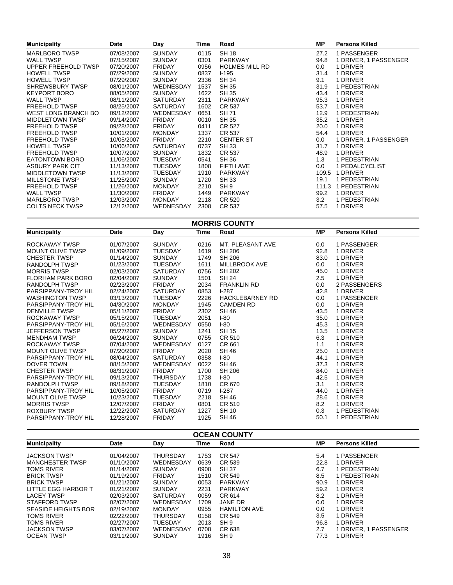| <b>Municipality</b>    | Date       | Day              | Time | Road                  | <b>MP</b> | <b>Persons Killed</b> |
|------------------------|------------|------------------|------|-----------------------|-----------|-----------------------|
| <b>MARLBORO TWSP</b>   | 07/08/2007 | <b>SUNDAY</b>    | 0115 | <b>SH 18</b>          | 27.2      | 1 PASSENGER           |
| <b>WALL TWSP</b>       | 07/15/2007 | <b>SUNDAY</b>    | 0301 | <b>PARKWAY</b>        | 94.8      | 1 DRIVER, 1 PASSENGER |
| UPPER FREEHOLD TWSP    | 07/20/2007 | <b>FRIDAY</b>    | 0956 | <b>HOLMES MILL RD</b> | 0.0       | 1 DRIVER              |
| <b>HOWELL TWSP</b>     | 07/29/2007 | <b>SUNDAY</b>    | 0837 | $1-195$               | 31.4      | 1 DRIVER              |
| <b>HOWELL TWSP</b>     | 07/29/2007 | <b>SUNDAY</b>    | 2336 | <b>SH 34</b>          | 9.1       | 1 DRIVER              |
| SHREWSBURY TWSP        | 08/01/2007 | WEDNESDAY        | 1537 | <b>SH 35</b>          | 31.9      | 1 PEDESTRIAN          |
| <b>KEYPORT BORO</b>    | 08/05/2007 | <b>SUNDAY</b>    | 1622 | <b>SH 35</b>          | 43.4      | 1 DRIVER              |
| <b>WALL TWSP</b>       | 08/11/2007 | <b>SATURDAY</b>  | 2311 | <b>PARKWAY</b>        | 95.3      | 1 DRIVER              |
| <b>FREEHOLD TWSP</b>   | 08/25/2007 | <b>SATURDAY</b>  | 1602 | CR 537                | 53.7      | 1 DRIVER              |
| WEST LONG BRANCH BO    | 09/12/2007 | WEDNESDAY        | 0651 | <b>SH71</b>           | 12.9      | 1 PEDESTRIAN          |
| <b>MIDDLETOWN TWSP</b> | 09/14/2007 | <b>FRIDAY</b>    | 0010 | <b>SH 35</b>          | 35.2      | 1 DRIVER              |
| <b>FREEHOLD TWSP</b>   | 09/28/2007 | <b>FRIDAY</b>    | 0411 | CR 527                | 20.0      | 1 DRIVER              |
| <b>FREEHOLD TWSP</b>   | 10/01/2007 | <b>MONDAY</b>    | 1337 | CR 537                | 54.4      | 1 DRIVER              |
| <b>FREEHOLD TWSP</b>   | 10/05/2007 | <b>FRIDAY</b>    | 2210 | <b>CENTER ST</b>      | 0.0       | 1 DRIVER, 1 PASSENGER |
| <b>HOWELL TWSP</b>     | 10/06/2007 | <b>SATURDAY</b>  | 0737 | <b>SH33</b>           | 31.7      | 1 DRIVER              |
| <b>FREEHOLD TWSP</b>   | 10/07/2007 | <b>SUNDAY</b>    | 1832 | CR 537                | 48.9      | 1 DRIVER              |
| <b>EATONTOWN BORO</b>  | 11/06/2007 | <b>TUESDAY</b>   | 0541 | <b>SH 36</b>          | 1.3       | 1 PEDESTRIAN          |
| <b>ASBURY PARK CIT</b> | 11/13/2007 | <b>TUESDAY</b>   | 1808 | FIFTH AVE             | 0.0       | 1 PEDALCYCLIST        |
| <b>MIDDLETOWN TWSP</b> | 11/13/2007 | <b>TUESDAY</b>   | 1910 | <b>PARKWAY</b>        | 109.5     | 1 DRIVER              |
| <b>MILLSTONE TWSP</b>  | 11/25/2007 | <b>SUNDAY</b>    | 1720 | <b>SH 33</b>          | 19.1      | 1 PEDESTRIAN          |
| <b>FREEHOLD TWSP</b>   | 11/26/2007 | <b>MONDAY</b>    | 2210 | SH <sub>9</sub>       | 111.3     | 1 PEDESTRIAN          |
| <b>WALL TWSP</b>       | 11/30/2007 | <b>FRIDAY</b>    | 1449 | <b>PARKWAY</b>        | 99.2      | 1 DRIVER              |
| <b>MARLBORO TWSP</b>   | 12/03/2007 | <b>MONDAY</b>    | 2118 | CR 520                | 3.2       | 1 PEDESTRIAN          |
| <b>COLTS NECK TWSP</b> | 12/12/2007 | <b>WEDNESDAY</b> | 2308 | CR 537                | 57.5      | 1 DRIVER              |

#### **MORRIS COUNTY**

**MP**

| Date       | Day             | Time |                        | <b>MP</b>                                               | <b>Persons Killed</b> |
|------------|-----------------|------|------------------------|---------------------------------------------------------|-----------------------|
| 01/07/2007 | <b>SUNDAY</b>   | 0216 | MT. PLEASANT AVE       | 0.0                                                     | 1 PASSENGER           |
| 01/09/2007 | <b>TUESDAY</b>  | 1619 | SH 206                 | 92.8                                                    | 1 DRIVER              |
| 01/14/2007 | <b>SUNDAY</b>   | 1749 | SH 206                 | 83.0                                                    | 1 DRIVER              |
| 01/23/2007 | TUESDAY         | 1611 | MILLBROOK AVE          | 0.0                                                     | 1 DRIVER              |
| 02/03/2007 | <b>SATURDAY</b> | 0756 | SH 202                 | 45.0                                                    | 1 DRIVER              |
| 02/04/2007 | <b>SUNDAY</b>   | 1501 | <b>SH 24</b>           | 2.5                                                     | 1 DRIVER              |
| 02/23/2007 | FRIDAY          | 2034 | <b>FRANKLIN RD</b>     | 0.0                                                     | 2 PASSENGERS          |
| 02/24/2007 | <b>SATURDAY</b> | 0853 | $1-287$                | 42.8                                                    | 1 DRIVER              |
| 03/13/2007 | <b>TUESDAY</b>  | 2226 | <b>HACKLEBARNEY RD</b> | 0.0                                                     | 1 PASSENGER           |
| 04/30/2007 | <b>MONDAY</b>   | 1945 | CAMDEN RD              | 0.0                                                     | 1 DRIVER              |
| 05/11/2007 | FRIDAY          | 2302 | <b>SH 46</b>           | 43.5                                                    | 1 DRIVER              |
| 05/15/2007 | <b>TUESDAY</b>  | 2051 | $I-80$                 | 35.0                                                    | 1 DRIVER              |
| 05/16/2007 | WEDNESDAY       | 0550 | $I-80$                 | 45.3                                                    | 1 DRIVER              |
| 05/27/2007 | <b>SUNDAY</b>   | 1241 | SH 15                  | 13.5                                                    | 1 DRIVER              |
| 06/24/2007 | <b>SUNDAY</b>   | 0755 | CR 510                 | 6.3                                                     | 1 DRIVER              |
| 07/04/2007 | WEDNESDAY       | 0127 | CR 661                 | 1.1                                                     | 1 DRIVER              |
| 07/20/2007 | <b>FRIDAY</b>   | 2020 | <b>SH 46</b>           | 25.0                                                    | 1 DRIVER              |
| 08/04/2007 | SATURDAY        | 0358 | $I-80$                 | 44.1                                                    | 1 DRIVER              |
| 08/15/2007 | WEDNESDAY       | 0022 |                        | 37.3                                                    | 1 DRIVER              |
| 08/31/2007 | <b>FRIDAY</b>   | 1700 | <b>SH 206</b>          | 84.0                                                    | 1 DRIVER              |
| 09/13/2007 | THURSDAY        | 1738 | $I-80$                 | 42.5                                                    | 1 DRIVER              |
| 09/18/2007 | <b>TUESDAY</b>  | 1810 | CR 670                 | 3.1                                                     | 1 DRIVER              |
| 10/05/2007 | <b>FRIDAY</b>   | 0719 | $1-287$                | 44.0                                                    | 1 DRIVER              |
| 10/23/2007 | <b>TUESDAY</b>  | 2218 |                        | 28.6                                                    | 1 DRIVER              |
| 12/07/2007 | <b>FRIDAY</b>   | 0801 |                        |                                                         | 1 DRIVER              |
| 12/22/2007 | <b>SATURDAY</b> | 1227 | SH 10                  | 0.3                                                     | 1 PEDESTRIAN          |
| 12/28/2007 | <b>FRIDAY</b>   | 1925 |                        | 50.1                                                    | 1 PEDESTRIAN          |
|            |                 |      |                        | Road<br>SH 46<br><b>SH 46</b><br>CR 510<br><b>SH 46</b> | 8.2                   |

| <b>OCEAN COUNTY</b>        |            |                 |      |                     |      |                       |  |  |  |  |
|----------------------------|------------|-----------------|------|---------------------|------|-----------------------|--|--|--|--|
| <b>Municipality</b>        | Date       | Day             | Time | Road                | MР   | <b>Persons Killed</b> |  |  |  |  |
| <b>JACKSON TWSP</b>        | 01/04/2007 | <b>THURSDAY</b> | 1753 | <b>CR 547</b>       | 5.4  | 1 PASSENGER           |  |  |  |  |
| <b>MANCHESTER TWSP</b>     | 01/10/2007 | WEDNESDAY       | 0639 | CR 539              | 22.8 | 1 DRIVER              |  |  |  |  |
| <b>TOMS RIVER</b>          | 01/14/2007 | <b>SUNDAY</b>   | 0908 | <b>SH 37</b>        | 6.7  | 1 PEDESTRIAN          |  |  |  |  |
| <b>BRICK TWSP</b>          | 01/19/2007 | <b>FRIDAY</b>   | 1510 | CR 549              | 8.5  | 1 PEDESTRIAN          |  |  |  |  |
| <b>BRICK TWSP</b>          | 01/21/2007 | <b>SUNDAY</b>   | 0053 | PARKWAY             | 90.9 | 1 DRIVER              |  |  |  |  |
| LITTLE EGG HARBOR T        | 01/21/2007 | <b>SUNDAY</b>   | 2231 | PARKWAY             | 59.2 | 1 DRIVER              |  |  |  |  |
| <b>LACEY TWSP</b>          | 02/03/2007 | <b>SATURDAY</b> | 0059 | CR 614              | 8.2  | 1 DRIVER              |  |  |  |  |
| STAFFORD TWSP              | 02/07/2007 | WEDNESDAY       | 1709 | JANE DR             | 0.0  | 1 DRIVER              |  |  |  |  |
| <b>SEASIDE HEIGHTS BOR</b> | 02/19/2007 | <b>MONDAY</b>   | 0955 | <b>HAMILTON AVE</b> | 0.0  | 1 DRIVER              |  |  |  |  |
| <b>TOMS RIVER</b>          | 02/22/2007 | <b>THURSDAY</b> | 0158 | CR 549              | 3.5  | 1 DRIVER              |  |  |  |  |
| <b>TOMS RIVER</b>          | 02/27/2007 | <b>TUESDAY</b>  | 2013 | SH <sub>9</sub>     | 96.8 | 1 DRIVER              |  |  |  |  |
| <b>JACKSON TWSP</b>        | 03/07/2007 | WEDNESDAY       | 0708 | CR 638              | 2.7  | 1 DRIVER, 1 PASSENGER |  |  |  |  |
| <b>OCEAN TWSP</b>          | 03/11/2007 | <b>SUNDAY</b>   | 1916 | SH <sub>9</sub>     | 77.3 | 1 DRIVER              |  |  |  |  |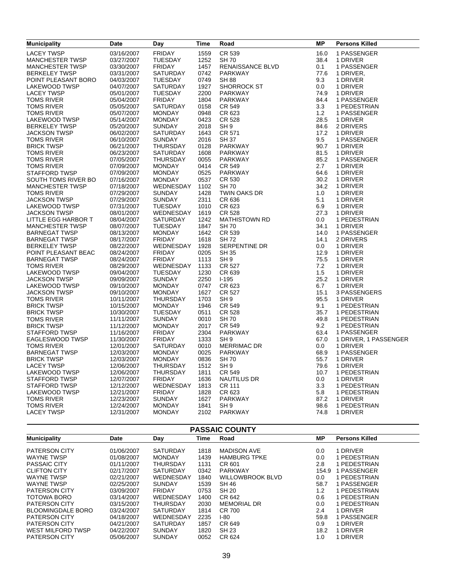| <b>Municipality</b>                          | <b>Date</b>              | Day                              | Time         | Road                 | <b>MP</b>    | <b>Persons Killed</b> |
|----------------------------------------------|--------------------------|----------------------------------|--------------|----------------------|--------------|-----------------------|
| <b>LACEY TWSP</b>                            | 03/16/2007               | <b>FRIDAY</b>                    | 1559         | CR 539               | 16.0         | 1 PASSENGER           |
| <b>MANCHESTER TWSP</b>                       | 03/27/2007               | <b>TUESDAY</b>                   | 1252         | <b>SH70</b>          | 38.4         | 1 DRIVER              |
| <b>MANCHESTER TWSP</b>                       | 03/30/2007               | <b>FRIDAY</b>                    | 1457         | RENAISSANCE BLVD     | 0.1          | 1 PASSENGER           |
| <b>BERKELEY TWSP</b>                         | 03/31/2007               | SATURDAY                         | 0742         | <b>PARKWAY</b>       | 77.6         | 1 DRIVER,             |
| POINT PLEASANT BORO                          | 04/03/2007               | <b>TUESDAY</b>                   | 0749         | <b>SH 88</b>         | 9.3          | 1 DRIVER              |
| LAKEWOOD TWSP                                | 04/07/2007               | <b>SATURDAY</b>                  | 1927         | <b>SHORROCK ST</b>   | 0.0          | 1 DRIVER              |
| <b>LACEY TWSP</b>                            | 05/01/2007               | <b>TUESDAY</b>                   | 2200         | <b>PARKWAY</b>       | 74.9         | 1 DRIVER              |
| <b>TOMS RIVER</b>                            | 05/04/2007               | <b>FRIDAY</b>                    | 1804         | <b>PARKWAY</b>       | 84.4         | 1 PASSENGER           |
| <b>TOMS RIVER</b>                            | 05/05/2007               | <b>SATURDAY</b>                  | 0158         | CR 549               | 3.3          | 1 PEDESTRIAN          |
| <b>TOMS RIVER</b>                            | 05/07/2007               | <b>MONDAY</b>                    | 0948         | CR 623               | 1.2          | 1 PASSENGER           |
| LAKEWOOD TWSP                                | 05/14/2007               | <b>MONDAY</b>                    | 0423         | CR 528               | 28.5         | 1 DRIVER              |
| <b>BERKELEY TWSP</b>                         | 05/20/2007               | <b>SUNDAY</b>                    | 2018         | SH <sub>9</sub>      | 84.6         | 2 DRIVERS             |
| <b>JACKSON TWSP</b>                          | 06/02/2007               | SATURDAY                         | 1643         | CR 571               | 17.2         | 1 DRIVER              |
| <b>TOMS RIVER</b>                            | 06/10/2007               | <b>SUNDAY</b>                    | 2016         | <b>SH 37</b>         | 9.5          | 1 PASSENGER           |
| <b>BRICK TWSP</b>                            | 06/21/2007               | <b>THURSDAY</b>                  | 0128         | PARKWAY              | 90.7         | 1 DRIVER              |
| <b>TOMS RIVER</b>                            | 06/23/2007               | <b>SATURDAY</b>                  | 1608         | PARKWAY              | 81.5         | 1 DRIVER              |
| <b>TOMS RIVER</b>                            | 07/05/2007               | <b>THURSDAY</b>                  | 0055         | PARKWAY              | 85.2         | 1 PASSENGER           |
| <b>TOMS RIVER</b>                            | 07/09/2007               | <b>MONDAY</b>                    | 0414         | CR 549               | 2.7          | 1 DRIVER              |
| STAFFORD TWSP                                | 07/09/2007               | <b>MONDAY</b>                    | 0525         | PARKWAY              | 64.6         | 1 DRIVER              |
| SOUTH TOMS RIVER BO                          | 07/16/2007               | <b>MONDAY</b>                    | 0537         | CR 530               | 30.2         | 1 DRIVER              |
| <b>MANCHESTER TWSP</b>                       | 07/18/2007               | WEDNESDAY                        | 1102         | <b>SH 70</b>         | 34.2         | 1 DRIVER              |
| <b>TOMS RIVER</b>                            | 07/29/2007               | <b>SUNDAY</b>                    | 1428         | TWIN OAKS DR         | 1.0          | 1 DRIVER              |
| <b>JACKSON TWSP</b>                          | 07/29/2007               | <b>SUNDAY</b>                    | 2311         | CR 636               | 5.1          | 1 DRIVER              |
| LAKEWOOD TWSP                                | 07/31/2007               | <b>TUESDAY</b>                   | 1010         | CR 623               | 6.9          | 1 DRIVER              |
| <b>JACKSON TWSP</b>                          | 08/01/2007               | WEDNESDAY                        | 1619         | CR 528               | 27.3         | 1 DRIVER              |
| LITTLE EGG HARBOR T                          | 08/04/2007               | SATURDAY                         | 1242         | <b>MATHISTOWN RD</b> | 0.0          | 1 PEDESTRIAN          |
| <b>MANCHESTER TWSP</b>                       | 08/07/2007               | <b>TUESDAY</b>                   | 1847         | <b>SH70</b>          | 34.1         | 1 DRIVER              |
| <b>BARNEGAT TWSP</b>                         | 08/13/2007               | <b>MONDAY</b>                    | 1642         | CR 539               | 14.0         | 1 PASSENGER           |
|                                              | 08/17/2007               | <b>FRIDAY</b>                    | 1618         | <b>SH72</b>          | 14.1         | 2 DRIVERS             |
| <b>BARNEGAT TWSP</b><br><b>BERKELEY TWSP</b> | 08/22/2007               | WEDNESDAY                        | 1928         | SERPENTINE DR        | 0.0          | 1 DRIVER              |
| POINT PLEASANT BEAC                          | 08/24/2007               | <b>FRIDAY</b>                    | 0205         | <b>SH 35</b>         | 12.9         | 1 DRIVER              |
| <b>BARNEGAT TWSP</b>                         | 08/24/2007               | <b>FRIDAY</b>                    | 1113         | SH <sub>9</sub>      | 75.5         | 1 DRIVER              |
| <b>TOMS RIVER</b>                            | 08/29/2007               | WEDNESDAY                        | 1133         | CR 527               | 7.2          | 1 DRIVER              |
|                                              | 09/04/2007               | <b>TUESDAY</b>                   | 1230         | CR 639               | 1.5          | 1 DRIVER              |
| LAKEWOOD TWSP<br><b>JACKSON TWSP</b>         | 09/09/2007               | <b>SUNDAY</b>                    | 2250         | $I-195$              | 25.2         | 1 DRIVER              |
| LAKEWOOD TWSP                                | 09/10/2007               | <b>MONDAY</b>                    | 0747         | CR 623               | 6.7          | 1 DRIVER              |
| <b>JACKSON TWSP</b>                          | 09/10/2007               | <b>MONDAY</b>                    | 1627         | CR 527               | 15.1         | 3 PASSENGERS          |
| <b>TOMS RIVER</b>                            | 10/11/2007               | <b>THURSDAY</b>                  | 1703         | SH <sub>9</sub>      | 95.5         | 1 DRIVER              |
| <b>BRICK TWSP</b>                            | 10/15/2007               | <b>MONDAY</b>                    | 1946         | CR 549               | 9.1          | 1 PEDESTRIAN          |
| <b>BRICK TWSP</b>                            |                          | <b>TUESDAY</b>                   | 0511         | <b>CR 528</b>        | 35.7         | 1 PEDESTRIAN          |
| TOMS RIVER                                   | 10/30/2007<br>11/11/2007 | <b>SUNDAY</b>                    | 0010         | <b>SH70</b>          | 49.8         | 1 PEDESTRIAN          |
| <b>BRICK TWSP</b>                            |                          | <b>MONDAY</b>                    | 2017         | CR 549               | 9.2          | 1 PEDESTRIAN          |
|                                              | 11/12/2007               |                                  | 2304         |                      |              |                       |
| STAFFORD TWSP                                | 11/16/2007               | <b>FRIDAY</b>                    |              | PARKWAY              | 63.4         | 1 PASSENGER           |
| EAGLESWOOD TWSP                              | 11/30/2007               | <b>FRIDAY</b>                    | 1333         | SH <sub>9</sub>      | 67.0         | 1 DRIVER, 1 PASSENGER |
| <b>TOMS RIVER</b>                            | 12/01/2007               | <b>SATURDAY</b>                  | 0010         | MERRIMAC DR          | 0.0          | 1 DRIVER              |
| <b>BARNEGAT TWSP</b>                         | 12/03/2007               | <b>MONDAY</b>                    | 0025<br>0836 | <b>PARKWAY</b>       | 68.9<br>55.7 | 1 PASSENGER           |
| <b>BRICK TWSP</b>                            | 12/03/2007               | <b>MONDAY</b>                    |              | <b>SH 70</b>         |              | 1 DRIVER              |
| <b>LACEY TWSP</b>                            | 12/06/2007               | <b>THURSDAY</b>                  | 1512         | SH <sub>9</sub>      | 79.6         | 1 DRIVER              |
| LAKEWOOD TWSP                                | 12/06/2007               | <b>THURSDAY</b><br><b>FRIDAY</b> | 1811         | CR 549               | 10.7         | 1 PEDESTRIAN          |
| STAFFORD TWSP                                | 12/07/2007               |                                  | 1636         | NAUTILUS DR          | 0.0          | 1 DRIVER              |
| STAFFORD TWSP                                | 12/12/2007               | WEDNESDAY                        | 1813         | CR 111               | 3.3          | 1 PEDESTRIAN          |
| LAKEWOOD TWSP                                | 12/21/2007               | <b>FRIDAY</b>                    | 1828         | CR 623               | 5.8          | 1 PEDESTRIAN          |
| <b>TOMS RIVER</b>                            | 12/23/2007               | <b>SUNDAY</b>                    | 1627         | PARKWAY              | 87.2         | 1 DRIVER              |
| TOMS RIVER                                   | 12/24/2007               | <b>MONDAY</b>                    | 1841<br>2102 | SH <sub>9</sub>      | 98.6         | 1 PEDESTRIAN          |
| <b>LACEY TWSP</b>                            | 12/31/2007               | <b>MONDAY</b>                    |              | PARKWAY              | 74.8         | 1 DRIVER              |

|  |  |  |  |  |  | <b>PASSAIC COUNTY</b> |  |  |  |  |  |  |  |
|--|--|--|--|--|--|-----------------------|--|--|--|--|--|--|--|
|--|--|--|--|--|--|-----------------------|--|--|--|--|--|--|--|

| <b>Municipality</b>      | Date       | Day             | Time | Road                    | <b>MP</b> | <b>Persons Killed</b> |
|--------------------------|------------|-----------------|------|-------------------------|-----------|-----------------------|
|                          |            |                 |      |                         |           |                       |
| <b>PATERSON CITY</b>     | 01/06/2007 | <b>SATURDAY</b> | 1818 | <b>MADISON AVE</b>      | 0.0       | 1 DRIVER              |
| <b>WAYNE TWSP</b>        | 01/08/2007 | <b>MONDAY</b>   | 1439 | <b>HAMBURG TPKE</b>     | 0.0       | 1 PEDESTRIAN          |
| PASSAIC CITY             | 01/11/2007 | <b>THURSDAY</b> | 1131 | CR 601                  | 2.8       | PEDESTRIAN            |
| <b>CLIFTON CITY</b>      | 02/17/2007 | <b>SATURDAY</b> | 0342 | <b>PARKWAY</b>          | 154.9     | PASSENGER             |
| <b>WAYNE TWSP</b>        | 02/21/2007 | WEDNESDAY       | 1840 | <b>WILLOWBROOK BLVD</b> | 0.0       | I PEDESTRIAN          |
| <b>WAYNE TWSP</b>        | 02/25/2007 | <b>SUNDAY</b>   | 1539 | SH 46                   | 58.7      | <b>PASSENGER</b>      |
| <b>PATERSON CITY</b>     | 03/09/2007 | <b>FRIDAY</b>   | 0753 | SH 20                   | 1.2       | PEDESTRIAN            |
| TOTOWA BORO              | 03/14/2007 | WEDNESDAY       | 1400 | CR 642                  | 0.6       | 1 PEDESTRIAN          |
| <b>PATERSON CITY</b>     | 03/15/2007 | <b>THURSDAY</b> | 2030 | <b>MEMORIAL DR</b>      | 0.0       | 1 PEDESTRIAN          |
| <b>BLOOMINGDALE BORO</b> | 03/24/2007 | <b>SATURDAY</b> | 1814 | CR 700                  | 2.4       | 1 DRIVER              |
| <b>PATERSON CITY</b>     | 04/18/2007 | WEDNESDAY       | 2235 | $1-80$                  | 59.8      | 1 PASSENGER           |
| <b>PATERSON CITY</b>     | 04/21/2007 | <b>SATURDAY</b> | 1857 | CR 649                  | 0.9       | <b>DRIVER</b>         |
| WEST MILFORD TWSP        | 04/22/2007 | <b>SUNDAY</b>   | 1820 | SH 23                   | 18.2      | 1 DRIVER              |
| <b>PATERSON CITY</b>     | 05/06/2007 | <b>SUNDAY</b>   | 0052 | CR 624                  | 1.0       | <b>DRIVER</b>         |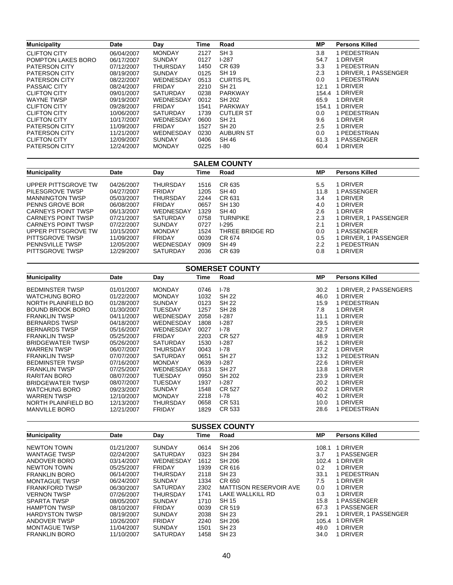| <b>Municipality</b>  | <b>Date</b> | Day             | Time | Road             | MP.     | <b>Persons Killed</b> |
|----------------------|-------------|-----------------|------|------------------|---------|-----------------------|
| <b>CLIFTON CITY</b>  | 06/04/2007  | <b>MONDAY</b>   | 2127 | SH <sub>3</sub>  | 3.8     | 1 PEDESTRIAN          |
| POMPTON LAKES BORO   | 06/17/2007  | <b>SUNDAY</b>   | 0127 | $1-287$          | 54.7    | 1 DRIVER              |
| <b>PATERSON CITY</b> | 07/12/2007  | <b>THURSDAY</b> | 1450 | CR 639           | 3.3     | 1 PEDESTRIAN          |
| <b>PATERSON CITY</b> | 08/19/2007  | <b>SUNDAY</b>   | 0125 | <b>SH 19</b>     | 2.3     | 1 DRIVER, 1 PASSENGER |
| <b>PATERSON CITY</b> | 08/22/2007  | WEDNESDAY       | 0513 | <b>CURTIS PL</b> | 0.0     | 1 PEDESTRIAN          |
| <b>PASSAIC CITY</b>  | 08/24/2007  | <b>FRIDAY</b>   | 2210 | SH 21            | 12.1    | 1 DRIVER              |
| <b>CLIFTON CITY</b>  | 09/01/2007  | <b>SATURDAY</b> | 0238 | <b>PARKWAY</b>   | 154.4   | 1 DRIVER              |
| <b>WAYNE TWSP</b>    | 09/19/2007  | WEDNESDAY       | 0012 | SH 202           | 65.9    | 1 DRIVER              |
| <b>CLIFTON CITY</b>  | 09/28/2007  | <b>FRIDAY</b>   | 1541 | PARKWAY          | 154.1   | 1 DRIVER              |
| <b>CLIFTON CITY</b>  | 10/06/2007  | <b>SATURDAY</b> | 1739 | <b>CUTLER ST</b> | 0.0     | 1 PEDESTRIAN          |
| <b>CLIFTON CITY</b>  | 10/17/2007  | WEDNESDAY       | 0600 | <b>SH 21</b>     | 9.6     | 1 DRIVER              |
| <b>PATERSON CITY</b> | 11/09/2007  | <b>FRIDAY</b>   | 1527 | SH 20            | $2.5\,$ | 1 DRIVER              |
| <b>PATERSON CITY</b> | 11/21/2007  | WEDNESDAY       | 0230 | <b>AUBURN ST</b> | 0.0     | 1 PEDESTRIAN          |
| <b>CLIFTON CITY</b>  | 12/09/2007  | <b>SUNDAY</b>   | 0406 | <b>SH 46</b>     | 61.3    | 1 PASSENGER           |
| <b>PATERSON CITY</b> | 12/24/2007  | <b>MONDAY</b>   | 0225 | I-80             | 60.4    | 1 DRIVER              |

| <b>SALEM COUNTY</b>    |            |                 |      |                 |               |                       |  |  |  |  |
|------------------------|------------|-----------------|------|-----------------|---------------|-----------------------|--|--|--|--|
| <b>Municipality</b>    | Date       | Day             | Time | Road            | <b>MP</b>     | <b>Persons Killed</b> |  |  |  |  |
| UPPER PITTSGROVE TW    | 04/26/2007 | THURSDAY        | 1516 | CR 635          | $5.5^{\circ}$ | 1 DRIVER              |  |  |  |  |
| PILESGROVE TWSP        | 04/27/2007 | <b>FRIDAY</b>   | 1205 | SH 40           | 11.8          | 1 PASSENGER           |  |  |  |  |
| <b>MANNINGTON TWSP</b> | 05/03/2007 | THURSDAY        | 2244 | CR 631          | 3.4           | 1 DRIVER              |  |  |  |  |
| PENNS GROVE BOR        | 06/08/2007 | <b>FRIDAY</b>   | 0657 | SH 130          | 4.0           | 1 DRIVER              |  |  |  |  |
| CARNEYS POINT TWSP     | 06/13/2007 | WEDNESDAY       | 1329 | SH 40           | 2.6           | 1 DRIVER              |  |  |  |  |
| CARNEYS POINT TWSP     | 07/21/2007 | <b>SATURDAY</b> | 0758 | <b>TURNPIKE</b> | 2.3           | 1 DRIVER, 1 PASSENGER |  |  |  |  |
| CARNEYS POINT TWSP     | 07/22/2007 | <b>SUNDAY</b>   | 0727 | $1-295$         | 2.1           | 1 DRIVER              |  |  |  |  |
| UPPER PITTSGROVE TW    | 10/15/2007 | <b>MONDAY</b>   | 1524 | THREE BRIDGE RD | 0.0           | 1 PASSENGER           |  |  |  |  |
| PITTSGROVE TWSP        | 11/09/2007 | <b>FRIDAY</b>   | 0039 | CR 674          | 0.5           | 1 DRIVER, 1 PASSENGER |  |  |  |  |
| <b>PENNSVILLE TWSP</b> | 12/05/2007 | WEDNESDAY       | 0909 | SH 49           | 2.2           | 1 PEDESTRIAN          |  |  |  |  |
| PITTSGROVE TWSP        | 12/29/2007 | <b>SATURDAY</b> | 2036 | CR 639          | 0.8           | 1 DRIVER              |  |  |  |  |

| <b>SOMERSET COUNTY</b>  |            |                 |      |               |      |                        |
|-------------------------|------------|-----------------|------|---------------|------|------------------------|
| <b>Municipality</b>     | Date       | Day             | Time | Road          | МP   | <b>Persons Killed</b>  |
| <b>BEDMINSTER TWSP</b>  | 01/01/2007 | <b>MONDAY</b>   | 0746 | $1-78$        | 30.2 | 1 DRIVER, 2 PASSENGERS |
| <b>WATCHUNG BORO</b>    | 01/22/2007 | <b>MONDAY</b>   | 1032 | <b>SH 22</b>  | 46.0 | 1 DRIVER               |
| NORTH PLAINFIELD BO     | 01/28/2007 | <b>SUNDAY</b>   | 0123 | <b>SH 22</b>  | 15.9 | 1 PEDESTRIAN           |
| <b>BOUND BROOK BORO</b> | 01/30/2007 | <b>TUESDAY</b>  | 1257 | <b>SH 28</b>  | 7.8  | <b>DRIVER</b>          |
| <b>FRANKLIN TWSP</b>    | 04/11/2007 | WEDNESDAY       | 2058 | $1-287$       | 11.1 | 1 DRIVER               |
| <b>BERNARDS TWSP</b>    | 04/18/2007 | WEDNESDAY       | 1808 | $1-287$       | 29.5 | <b>DRIVER</b>          |
| <b>BERNARDS TWSP</b>    | 05/16/2007 | WEDNESDAY       | 0027 | $1-78$        | 32.7 | <b>DRIVER</b>          |
| <b>FRANKLIN TWSP</b>    | 05/25/2007 | <b>FRIDAY</b>   | 2203 | CR 527        | 48.9 | 1 DRIVER               |
| <b>BRIDGEWATER TWSP</b> | 05/26/2007 | <b>SATURDAY</b> | 1530 | $1-287$       | 16.2 | 1 DRIVER               |
| <b>WARREN TWSP</b>      | 06/07/2007 | THURSDAY        | 0043 | $1-78$        | 37.2 | <b>DRIVER</b>          |
| <b>FRANKLIN TWSP</b>    | 07/07/2007 | <b>SATURDAY</b> | 0651 | <b>SH 27</b>  | 13.2 | PEDESTRIAN             |
| <b>BEDMINSTER TWSP</b>  | 07/16/2007 | <b>MONDAY</b>   | 0639 | $1-287$       | 22.6 | <b>DRIVER</b>          |
| <b>FRANKLIN TWSP</b>    | 07/25/2007 | WEDNESDAY       | 0513 | SH 27         | 13.8 | 1 DRIVER               |
| RARITAN BORO            | 08/07/2007 | TUESDAY         | 0950 | <b>SH 202</b> | 23.9 | <b>DRIVER</b>          |
| <b>BRIDGEWATER TWSP</b> | 08/07/2007 | TUESDAY         | 1937 | $1-287$       | 20.2 | <b>DRIVER</b>          |
| <b>WATCHUNG BORO</b>    | 09/23/2007 | <b>SUNDAY</b>   | 1548 | CR 527        | 60.2 | <b>DRIVER</b>          |
| <b>WARREN TWSP</b>      | 12/10/2007 | <b>MONDAY</b>   | 2218 | $1-78$        | 40.2 | <b>DRIVER</b>          |
| NORTH PLAINFIELD BO     | 12/13/2007 | THURSDAY        | 0658 | CR 531        | 10.0 | 1 DRIVER               |
| <b>MANVILLE BORO</b>    | 12/21/2007 | <b>FRIDAY</b>   | 1829 | CR 533        | 28.6 | PEDESTRIAN             |

| <b>SUSSEX COUNTY</b>  |            |                 |      |                               |       |                       |  |
|-----------------------|------------|-----------------|------|-------------------------------|-------|-----------------------|--|
| <b>Municipality</b>   | Date       | Day             | Time | Road                          | MР    | <b>Persons Killed</b> |  |
| <b>NEWTON TOWN</b>    | 01/21/2007 | <b>SUNDAY</b>   | 0614 | SH 206                        | 108.1 | 1 DRIVER              |  |
| <b>WANTAGE TWSP</b>   | 02/24/2007 | SATURDAY        | 0323 | SH 284                        | 3.7   | 1 PASSENGER           |  |
| ANDOVER BORO          | 03/14/2007 | WEDNESDAY       | 1612 | SH 206                        | 102.4 | 1 DRIVER              |  |
| NEWTON TOWN           | 05/25/2007 | <b>FRIDAY</b>   | 1939 | CR 616                        | 0.2   | 1 DRIVER              |  |
| <b>FRANKLIN BORO</b>  | 06/14/2007 | <b>THURSDAY</b> | 2118 | SH 23                         | 33.1  | 1 PEDESTRIAN          |  |
| <b>MONTAGUE TWSP</b>  | 06/24/2007 | <b>SUNDAY</b>   | 1334 | CR 650                        | 7.5   | 1 DRIVER              |  |
| <b>FRANKFORD TWSP</b> | 06/30/2007 | <b>SATURDAY</b> | 2302 | <b>MATTISON RESERVOIR AVE</b> | 0.0   | 1 DRIVER              |  |
| <b>VERNON TWSP</b>    | 07/26/2007 | <b>THURSDAY</b> | 1741 | LAKE WALLKILL RD              | 0.3   | 1 DRIVER              |  |
| <b>SPARTA TWSP</b>    | 08/05/2007 | <b>SUNDAY</b>   | 1710 | <b>SH 15</b>                  | 15.8  | 1 PASSENGER           |  |
| <b>HAMPTON TWSP</b>   | 08/10/2007 | <b>FRIDAY</b>   | 0039 | CR 519                        | 67.3  | 1 PASSENGER           |  |
| <b>HARDYSTON TWSP</b> | 08/19/2007 | <b>SUNDAY</b>   | 2038 | <b>SH 23</b>                  | 29.1  | 1 DRIVER, 1 PASSENGER |  |
| ANDOVER TWSP          | 10/26/2007 | <b>FRIDAY</b>   | 2240 | SH 206                        | 105.4 | 1 DRIVER              |  |
| <b>MONTAGUE TWSP</b>  | 11/04/2007 | <b>SUNDAY</b>   | 1501 | SH 23                         | 49.0  | 1 DRIVER              |  |
| <b>FRANKLIN BORO</b>  | 11/10/2007 | <b>SATURDAY</b> | 1458 | <b>SH 23</b>                  | 34.0  | 1 DRIVER              |  |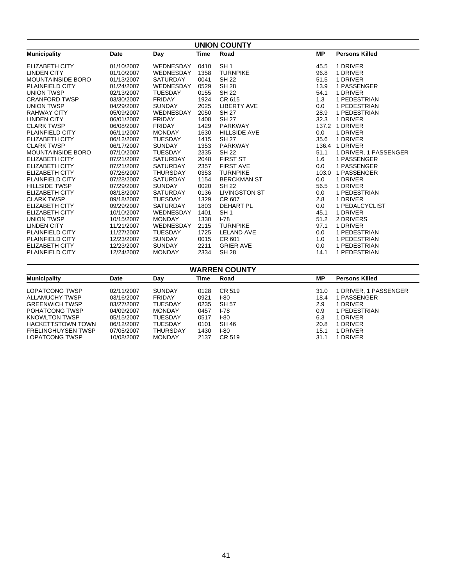| <b>UNION COUNTY</b>      |            |                 |             |                      |           |                       |
|--------------------------|------------|-----------------|-------------|----------------------|-----------|-----------------------|
| <b>Municipality</b>      | Date       | Day             | <b>Time</b> | Road                 | <b>MP</b> | <b>Persons Killed</b> |
| <b>ELIZABETH CITY</b>    | 01/10/2007 | WEDNESDAY       | 0410        | SH <sub>1</sub>      | 45.5      | 1 DRIVER              |
| <b>LINDEN CITY</b>       | 01/10/2007 | WEDNESDAY       | 1358        | <b>TURNPIKE</b>      | 96.8      | 1 DRIVER              |
| <b>MOUNTAINSIDE BORO</b> | 01/13/2007 | <b>SATURDAY</b> | 0041        | <b>SH 22</b>         | 51.5      | 1 DRIVER              |
| <b>PLAINFIELD CITY</b>   | 01/24/2007 | WEDNESDAY       | 0529        | <b>SH 28</b>         | 13.9      | 1 PASSENGER           |
| <b>UNION TWSP</b>        | 02/13/2007 | <b>TUESDAY</b>  | 0155        | <b>SH 22</b>         | 54.1      | 1 DRIVER              |
| <b>CRANFORD TWSP</b>     | 03/30/2007 | <b>FRIDAY</b>   | 1924        | CR 615               | 1.3       | 1 PEDESTRIAN          |
| <b>UNION TWSP</b>        | 04/29/2007 | <b>SUNDAY</b>   | 2025        | <b>LIBERTY AVE</b>   | 0.0       | 1 PEDESTRIAN          |
| <b>RAHWAY CITY</b>       | 05/09/2007 | WEDNESDAY       | 2050        | <b>SH 27</b>         | 28.9      | 1 PEDESTRIAN          |
| <b>LINDEN CITY</b>       | 06/01/2007 | <b>FRIDAY</b>   | 1408        | <b>SH 27</b>         | 32.3      | 1 DRIVER              |
| <b>CLARK TWSP</b>        | 06/08/2007 | <b>FRIDAY</b>   | 1429        | <b>PARKWAY</b>       | 137.2     | 1 DRIVER              |
| <b>PLAINFIELD CITY</b>   | 06/11/2007 | <b>MONDAY</b>   | 1630        | <b>HILLSIDE AVE</b>  | 0.0       | 1 DRIVER              |
| <b>ELIZABETH CITY</b>    | 06/12/2007 | <b>TUESDAY</b>  | 1415        | <b>SH 27</b>         | 35.6      | 1 DRIVER              |
| <b>CLARK TWSP</b>        | 06/17/2007 | <b>SUNDAY</b>   | 1353        | <b>PARKWAY</b>       |           | 136.4 1 DRIVER        |
| <b>MOUNTAINSIDE BORO</b> | 07/10/2007 | <b>TUESDAY</b>  | 2335        | <b>SH 22</b>         | 51.1      | 1 DRIVER, 1 PASSENGER |
| <b>ELIZABETH CITY</b>    | 07/21/2007 | <b>SATURDAY</b> | 2048        | <b>FIRST ST</b>      | 1.6       | 1 PASSENGER           |
| <b>ELIZABETH CITY</b>    | 07/21/2007 | <b>SATURDAY</b> | 2357        | <b>FIRST AVE</b>     | 0.0       | 1 PASSENGER           |
| ELIZABETH CITY           | 07/26/2007 | <b>THURSDAY</b> | 0353        | <b>TURNPIKE</b>      |           | 103.0 1 PASSENGER     |
| <b>PLAINFIELD CITY</b>   | 07/28/2007 | <b>SATURDAY</b> | 1154        | <b>BERCKMAN ST</b>   | 0.0       | 1 DRIVER              |
| <b>HILLSIDE TWSP</b>     | 07/29/2007 | <b>SUNDAY</b>   | 0020        | <b>SH 22</b>         | 56.5      | 1 DRIVER              |
| <b>ELIZABETH CITY</b>    | 08/18/2007 | <b>SATURDAY</b> | 0136        | <b>LIVINGSTON ST</b> | 0.0       | 1 PEDESTRIAN          |
| <b>CLARK TWSP</b>        | 09/18/2007 | <b>TUESDAY</b>  | 1329        | CR 607               | 2.8       | 1 DRIVER              |
| <b>ELIZABETH CITY</b>    | 09/29/2007 | <b>SATURDAY</b> | 1803        | <b>DEHART PL</b>     | 0.0       | 1 PEDALCYCLIST        |
| <b>ELIZABETH CITY</b>    | 10/10/2007 | WEDNESDAY       | 1401        | SH <sub>1</sub>      | 45.1      | 1 DRIVER              |
| <b>UNION TWSP</b>        | 10/15/2007 | <b>MONDAY</b>   | 1330        | $I - 78$             | 51.2      | 2 DRIVERS             |
| <b>LINDEN CITY</b>       | 11/21/2007 | WEDNESDAY       | 2115        | <b>TURNPIKE</b>      | 97.1      | 1 DRIVER              |
| <b>PLAINFIELD CITY</b>   | 11/27/2007 | <b>TUESDAY</b>  | 1725        | <b>LELAND AVE</b>    | 0.0       | 1 PEDESTRIAN          |
| <b>PLAINFIELD CITY</b>   | 12/23/2007 | <b>SUNDAY</b>   | 0015        | CR 601               | 1.0       | 1 PEDESTRIAN          |
| <b>ELIZABETH CITY</b>    | 12/23/2007 | <b>SUNDAY</b>   | 2211        | <b>GRIER AVE</b>     | 0.0       | 1 PEDESTRIAN          |
| <b>PLAINFIELD CITY</b>   | 12/24/2007 | <b>MONDAY</b>   | 2334        | <b>SH 28</b>         | 14.1      | 1 PEDESTRIAN          |

| <b>WARREN COUNTY</b>      |            |               |      |        |           |                       |
|---------------------------|------------|---------------|------|--------|-----------|-----------------------|
| <b>Municipality</b>       | Date       | Day           | Time | Road   | <b>MP</b> | <b>Persons Killed</b> |
| LOPATCONG TWSP            | 02/11/2007 | <b>SUNDAY</b> | 0128 | CR 519 | 31.0      | 1 DRIVER, 1 PASSENGER |
| ALLAMUCHY TWSP            | 03/16/2007 | <b>FRIDAY</b> | 0921 | I-80   | 18.4      | 1 PASSENGER           |
| <b>GREENWICH TWSP</b>     | 03/27/2007 | TUESDAY       | 0235 | SH 57  | 2.9       | 1 DRIVER              |
| POHATCONG TWSP            | 04/09/2007 | MONDAY        | 0457 | I-78   | 0.9       | 1 PEDESTRIAN          |
| KNOWLTON TWSP             | 05/15/2007 | TUESDAY       | 0517 | I-80   | 6.3       | 1 DRIVER              |
| <b>HACKETTSTOWN TOWN</b>  | 06/12/2007 | TUESDAY       | 0101 | SH 46  | 20.8      | 1 DRIVER              |
| <b>FRELINGHUYSEN TWSP</b> | 07/05/2007 | THURSDAY      | 1430 | I-80   | 15.1      | 1 DRIVER              |
| LOPATCONG TWSP            | 10/08/2007 | <b>MONDAY</b> | 2137 | CR 519 | 31.1      | 1 DRIVER              |